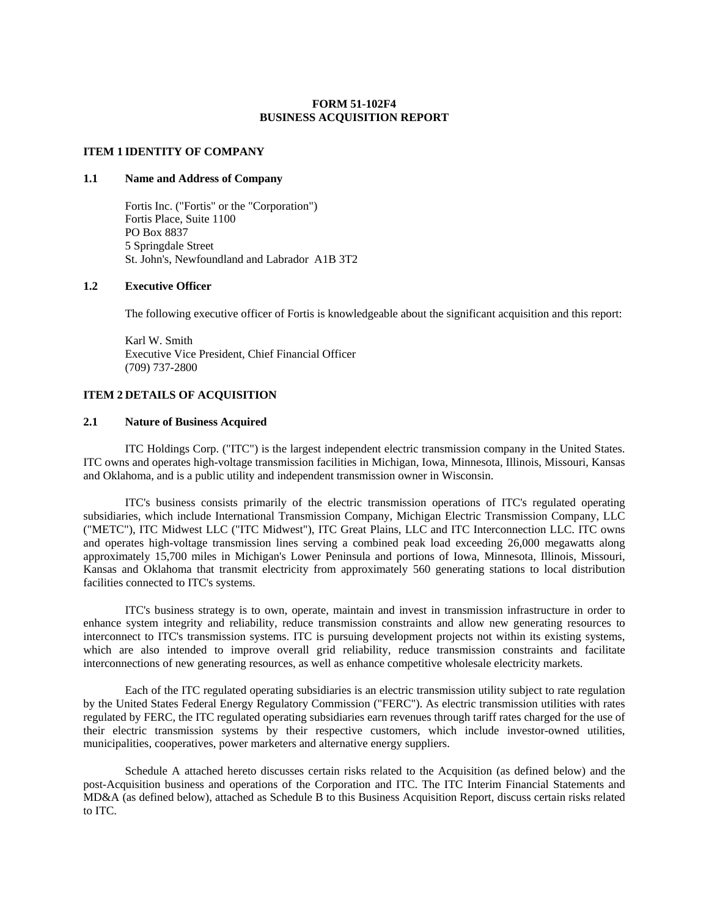#### **FORM 51-102F4 BUSINESS ACQUISITION REPORT**

#### **ITEM 1 IDENTITY OF COMPANY**

#### **1.1 Name and Address of Company**

Fortis Inc. ("Fortis" or the "Corporation") Fortis Place, Suite 1100 PO Box 8837 5 Springdale Street St. John's, Newfoundland and Labrador A1B 3T2

#### **1.2 Executive Officer**

The following executive officer of Fortis is knowledgeable about the significant acquisition and this report:

Karl W. Smith Executive Vice President, Chief Financial Officer (709) 737-2800

#### **ITEM 2 DETAILS OF ACQUISITION**

#### **2.1 Nature of Business Acquired**

ITC Holdings Corp. ("ITC") is the largest independent electric transmission company in the United States. ITC owns and operates high-voltage transmission facilities in Michigan, Iowa, Minnesota, Illinois, Missouri, Kansas and Oklahoma, and is a public utility and independent transmission owner in Wisconsin.

ITC's business consists primarily of the electric transmission operations of ITC's regulated operating subsidiaries, which include International Transmission Company, Michigan Electric Transmission Company, LLC ("METC"), ITC Midwest LLC ("ITC Midwest"), ITC Great Plains, LLC and ITC Interconnection LLC. ITC owns and operates high-voltage transmission lines serving a combined peak load exceeding 26,000 megawatts along approximately 15,700 miles in Michigan's Lower Peninsula and portions of Iowa, Minnesota, Illinois, Missouri, Kansas and Oklahoma that transmit electricity from approximately 560 generating stations to local distribution facilities connected to ITC's systems.

ITC's business strategy is to own, operate, maintain and invest in transmission infrastructure in order to enhance system integrity and reliability, reduce transmission constraints and allow new generating resources to interconnect to ITC's transmission systems. ITC is pursuing development projects not within its existing systems, which are also intended to improve overall grid reliability, reduce transmission constraints and facilitate interconnections of new generating resources, as well as enhance competitive wholesale electricity markets.

Each of the ITC regulated operating subsidiaries is an electric transmission utility subject to rate regulation by the United States Federal Energy Regulatory Commission ("FERC"). As electric transmission utilities with rates regulated by FERC, the ITC regulated operating subsidiaries earn revenues through tariff rates charged for the use of their electric transmission systems by their respective customers, which include investor-owned utilities, municipalities, cooperatives, power marketers and alternative energy suppliers.

Schedule A attached hereto discusses certain risks related to the Acquisition (as defined below) and the post-Acquisition business and operations of the Corporation and ITC. The ITC Interim Financial Statements and MD&A (as defined below), attached as Schedule B to this Business Acquisition Report, discuss certain risks related to ITC.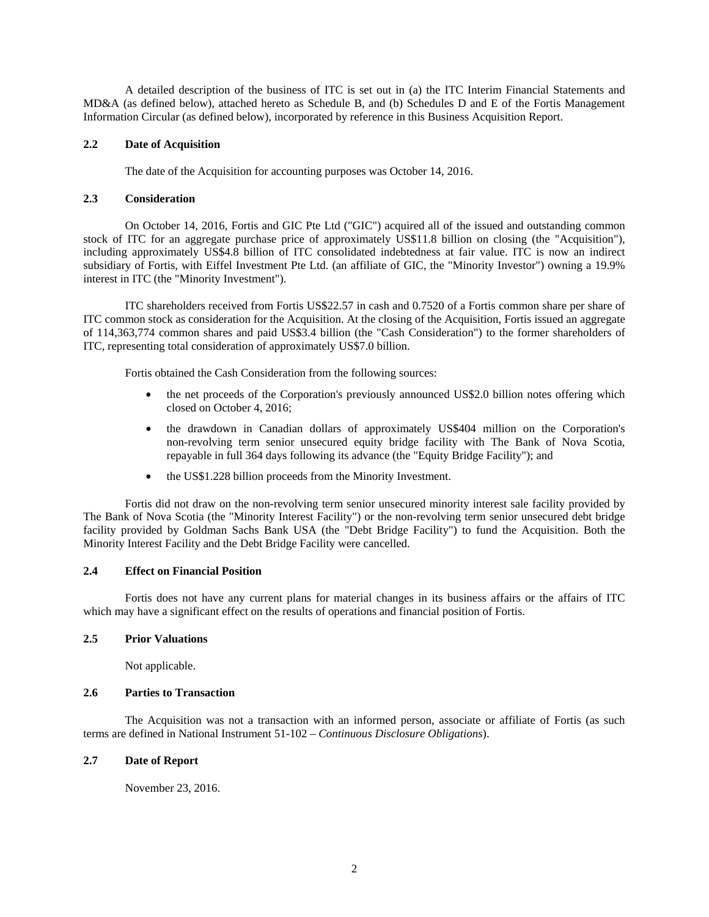A detailed description of the business of ITC is set out in (a) the ITC Interim Financial Statements and MD&A (as defined below), attached hereto as Schedule B, and (b) Schedules D and E of the Fortis Management Information Circular (as defined below), incorporated by reference in this Business Acquisition Report.

#### **2.2 Date of Acquisition**

The date of the Acquisition for accounting purposes was October 14, 2016.

#### **2.3 Consideration**

On October 14, 2016, Fortis and GIC Pte Ltd ("GIC") acquired all of the issued and outstanding common stock of ITC for an aggregate purchase price of approximately US\$11.8 billion on closing (the "Acquisition"), including approximately US\$4.8 billion of ITC consolidated indebtedness at fair value. ITC is now an indirect subsidiary of Fortis, with Eiffel Investment Pte Ltd. (an affiliate of GIC, the "Minority Investor") owning a 19.9% interest in ITC (the "Minority Investment").

ITC shareholders received from Fortis US\$22.57 in cash and 0.7520 of a Fortis common share per share of ITC common stock as consideration for the Acquisition. At the closing of the Acquisition, Fortis issued an aggregate of 114,363,774 common shares and paid US\$3.4 billion (the "Cash Consideration") to the former shareholders of ITC, representing total consideration of approximately US\$7.0 billion.

Fortis obtained the Cash Consideration from the following sources:

- the net proceeds of the Corporation's previously announced US\$2.0 billion notes offering which closed on October 4, 2016;
- the drawdown in Canadian dollars of approximately US\$404 million on the Corporation's non-revolving term senior unsecured equity bridge facility with The Bank of Nova Scotia, repayable in full 364 days following its advance (the "Equity Bridge Facility"); and
- the US\$1.228 billion proceeds from the Minority Investment.

Fortis did not draw on the non-revolving term senior unsecured minority interest sale facility provided by The Bank of Nova Scotia (the "Minority Interest Facility") or the non-revolving term senior unsecured debt bridge facility provided by Goldman Sachs Bank USA (the "Debt Bridge Facility") to fund the Acquisition. Both the Minority Interest Facility and the Debt Bridge Facility were cancelled.

#### **2.4 Effect on Financial Position**

Fortis does not have any current plans for material changes in its business affairs or the affairs of ITC which may have a significant effect on the results of operations and financial position of Fortis.

#### **2.5 Prior Valuations**

Not applicable.

#### **2.6 Parties to Transaction**

The Acquisition was not a transaction with an informed person, associate or affiliate of Fortis (as such terms are defined in National Instrument 51-102 – *Continuous Disclosure Obligations*).

#### **2.7 Date of Report**

November 23, 2016.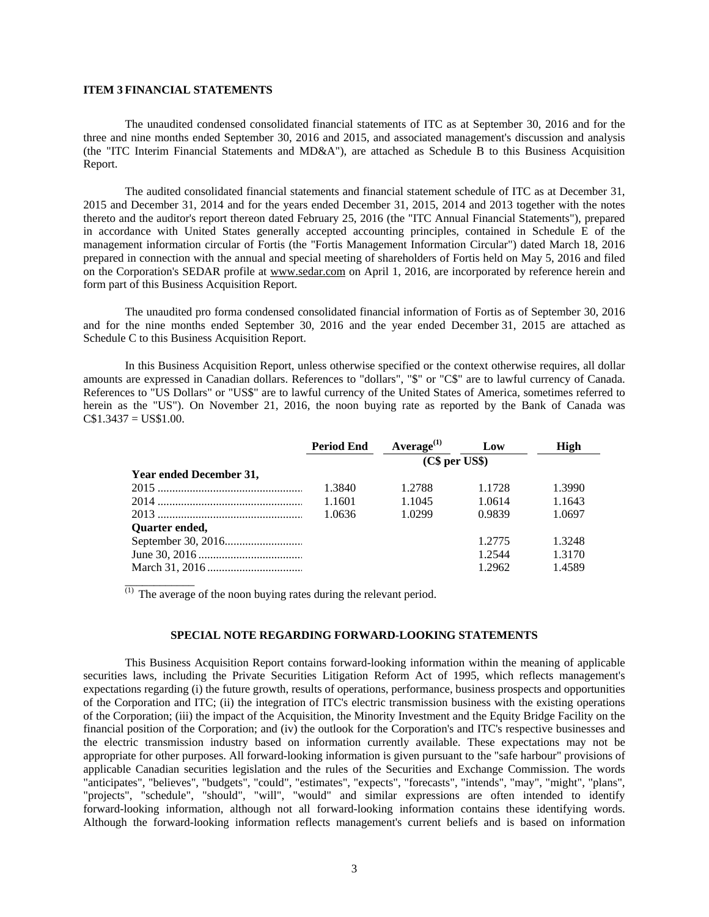#### **ITEM 3 FINANCIAL STATEMENTS**

\_\_\_\_\_\_\_\_\_\_\_\_

The unaudited condensed consolidated financial statements of ITC as at September 30, 2016 and for the three and nine months ended September 30, 2016 and 2015, and associated management's discussion and analysis (the "ITC Interim Financial Statements and MD&A"), are attached as Schedule B to this Business Acquisition Report.

The audited consolidated financial statements and financial statement schedule of ITC as at December 31, 2015 and December 31, 2014 and for the years ended December 31, 2015, 2014 and 2013 together with the notes thereto and the auditor's report thereon dated February 25, 2016 (the "ITC Annual Financial Statements"), prepared in accordance with United States generally accepted accounting principles, contained in Schedule E of the management information circular of Fortis (the "Fortis Management Information Circular") dated March 18, 2016 prepared in connection with the annual and special meeting of shareholders of Fortis held on May 5, 2016 and filed on the Corporation's SEDAR profile at www.sedar.com on April 1, 2016, are incorporated by reference herein and form part of this Business Acquisition Report.

The unaudited pro forma condensed consolidated financial information of Fortis as of September 30, 2016 and for the nine months ended September 30, 2016 and the year ended December 31, 2015 are attached as Schedule C to this Business Acquisition Report.

In this Business Acquisition Report, unless otherwise specified or the context otherwise requires, all dollar amounts are expressed in Canadian dollars. References to "dollars", "\$" or "C\$" are to lawful currency of Canada. References to "US Dollars" or "US\$" are to lawful currency of the United States of America, sometimes referred to herein as the "US"). On November 21, 2016, the noon buying rate as reported by the Bank of Canada was  $C$1.3437 = US$1.00.$ 

|                         | <b>Period End</b> | Average $^{(1)}$ | Low    | High   |
|-------------------------|-------------------|------------------|--------|--------|
|                         |                   | (C\$ per US\$)   |        |        |
| Year ended December 31, |                   |                  |        |        |
|                         | 1.3840            | 1.2788           | 1.1728 | 1.3990 |
|                         | 1.1601            | 1.1045           | 1.0614 | 1.1643 |
|                         | 1.0636            | 1.0299           | 0.9839 | 1.0697 |
| Quarter ended,          |                   |                  |        |        |
|                         |                   |                  | 1.2775 | 1.3248 |
|                         |                   |                  | 1.2544 | 1.3170 |
|                         |                   |                  | 1.2962 | 1.4589 |

 $<sup>(1)</sup>$  The average of the noon buying rates during the relevant period.</sup>

#### **SPECIAL NOTE REGARDING FORWARD-LOOKING STATEMENTS**

This Business Acquisition Report contains forward-looking information within the meaning of applicable securities laws, including the Private Securities Litigation Reform Act of 1995, which reflects management's expectations regarding (i) the future growth, results of operations, performance, business prospects and opportunities of the Corporation and ITC; (ii) the integration of ITC's electric transmission business with the existing operations of the Corporation; (iii) the impact of the Acquisition, the Minority Investment and the Equity Bridge Facility on the financial position of the Corporation; and (iv) the outlook for the Corporation's and ITC's respective businesses and the electric transmission industry based on information currently available. These expectations may not be appropriate for other purposes. All forward-looking information is given pursuant to the "safe harbour" provisions of applicable Canadian securities legislation and the rules of the Securities and Exchange Commission. The words "anticipates", "believes", "budgets", "could", "estimates", "expects", "forecasts", "intends", "may", "might", "plans", "projects", "schedule", "should", "will", "would" and similar expressions are often intended to identify forward-looking information, although not all forward-looking information contains these identifying words. Although the forward-looking information reflects management's current beliefs and is based on information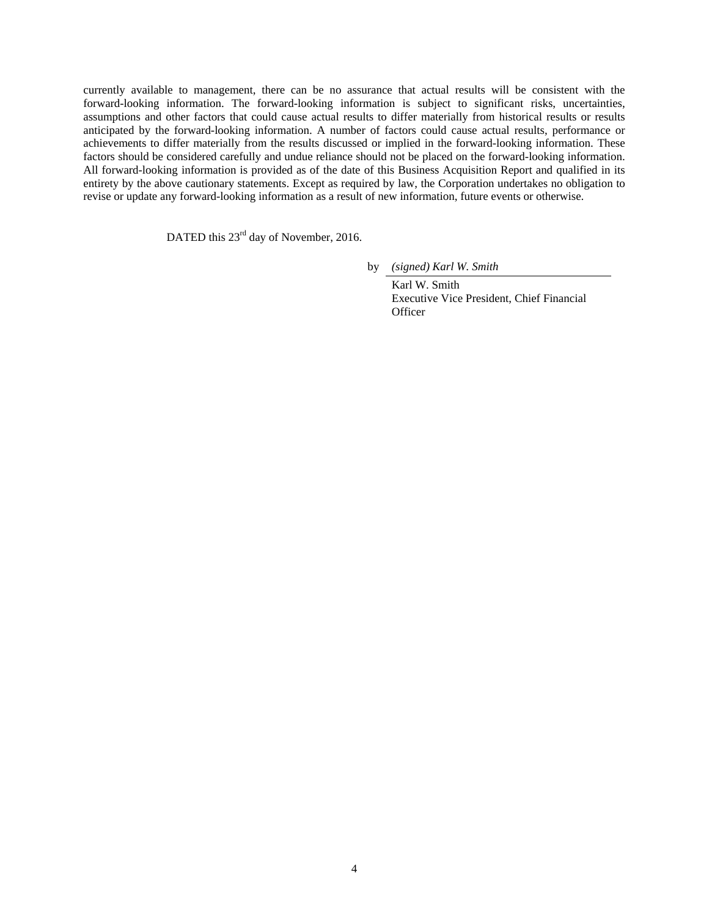currently available to management, there can be no assurance that actual results will be consistent with the forward-looking information. The forward-looking information is subject to significant risks, uncertainties, assumptions and other factors that could cause actual results to differ materially from historical results or results anticipated by the forward-looking information. A number of factors could cause actual results, performance or achievements to differ materially from the results discussed or implied in the forward-looking information. These factors should be considered carefully and undue reliance should not be placed on the forward-looking information. All forward-looking information is provided as of the date of this Business Acquisition Report and qualified in its entirety by the above cautionary statements. Except as required by law, the Corporation undertakes no obligation to revise or update any forward-looking information as a result of new information, future events or otherwise.

DATED this 23<sup>rd</sup> day of November, 2016.

by *(signed) Karl W. Smith* 

 Karl W. Smith Executive Vice President, Chief Financial **Officer**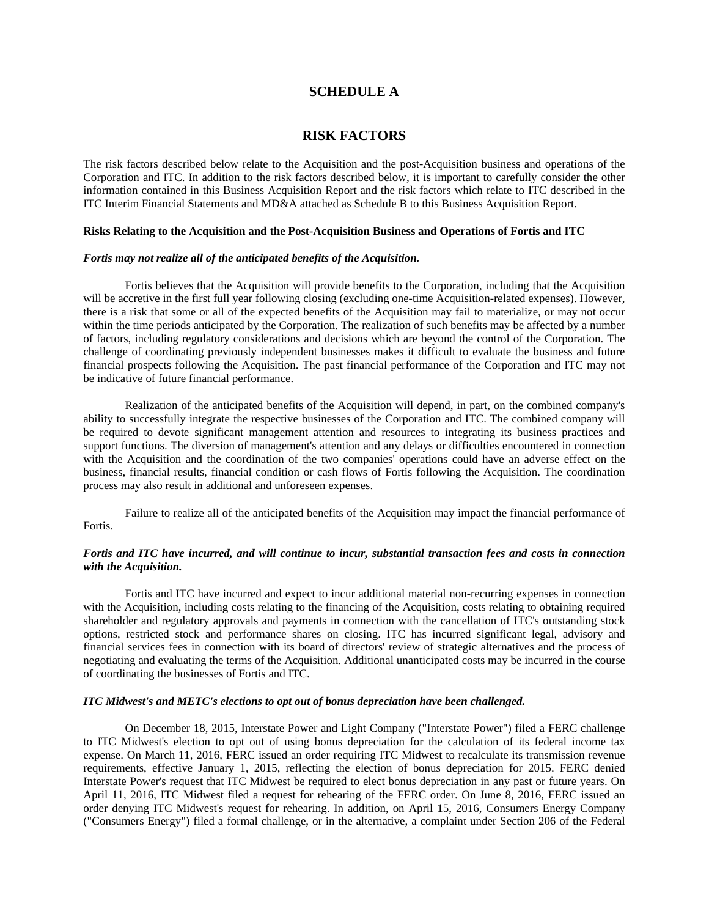#### **SCHEDULE A**

### **RISK FACTORS**

The risk factors described below relate to the Acquisition and the post-Acquisition business and operations of the Corporation and ITC. In addition to the risk factors described below, it is important to carefully consider the other information contained in this Business Acquisition Report and the risk factors which relate to ITC described in the ITC Interim Financial Statements and MD&A attached as Schedule B to this Business Acquisition Report.

#### **Risks Relating to the Acquisition and the Post-Acquisition Business and Operations of Fortis and ITC**

#### *Fortis may not realize all of the anticipated benefits of the Acquisition.*

Fortis believes that the Acquisition will provide benefits to the Corporation, including that the Acquisition will be accretive in the first full year following closing (excluding one-time Acquisition-related expenses). However, there is a risk that some or all of the expected benefits of the Acquisition may fail to materialize, or may not occur within the time periods anticipated by the Corporation. The realization of such benefits may be affected by a number of factors, including regulatory considerations and decisions which are beyond the control of the Corporation. The challenge of coordinating previously independent businesses makes it difficult to evaluate the business and future financial prospects following the Acquisition. The past financial performance of the Corporation and ITC may not be indicative of future financial performance.

Realization of the anticipated benefits of the Acquisition will depend, in part, on the combined company's ability to successfully integrate the respective businesses of the Corporation and ITC. The combined company will be required to devote significant management attention and resources to integrating its business practices and support functions. The diversion of management's attention and any delays or difficulties encountered in connection with the Acquisition and the coordination of the two companies' operations could have an adverse effect on the business, financial results, financial condition or cash flows of Fortis following the Acquisition. The coordination process may also result in additional and unforeseen expenses.

Failure to realize all of the anticipated benefits of the Acquisition may impact the financial performance of **Fortis** 

#### *Fortis and ITC have incurred, and will continue to incur, substantial transaction fees and costs in connection with the Acquisition.*

Fortis and ITC have incurred and expect to incur additional material non-recurring expenses in connection with the Acquisition, including costs relating to the financing of the Acquisition, costs relating to obtaining required shareholder and regulatory approvals and payments in connection with the cancellation of ITC's outstanding stock options, restricted stock and performance shares on closing. ITC has incurred significant legal, advisory and financial services fees in connection with its board of directors' review of strategic alternatives and the process of negotiating and evaluating the terms of the Acquisition. Additional unanticipated costs may be incurred in the course of coordinating the businesses of Fortis and ITC.

#### *ITC Midwest's and METC's elections to opt out of bonus depreciation have been challenged.*

On December 18, 2015, Interstate Power and Light Company ("Interstate Power") filed a FERC challenge to ITC Midwest's election to opt out of using bonus depreciation for the calculation of its federal income tax expense. On March 11, 2016, FERC issued an order requiring ITC Midwest to recalculate its transmission revenue requirements, effective January 1, 2015, reflecting the election of bonus depreciation for 2015. FERC denied Interstate Power's request that ITC Midwest be required to elect bonus depreciation in any past or future years. On April 11, 2016, ITC Midwest filed a request for rehearing of the FERC order. On June 8, 2016, FERC issued an order denying ITC Midwest's request for rehearing. In addition, on April 15, 2016, Consumers Energy Company ("Consumers Energy") filed a formal challenge, or in the alternative, a complaint under Section 206 of the Federal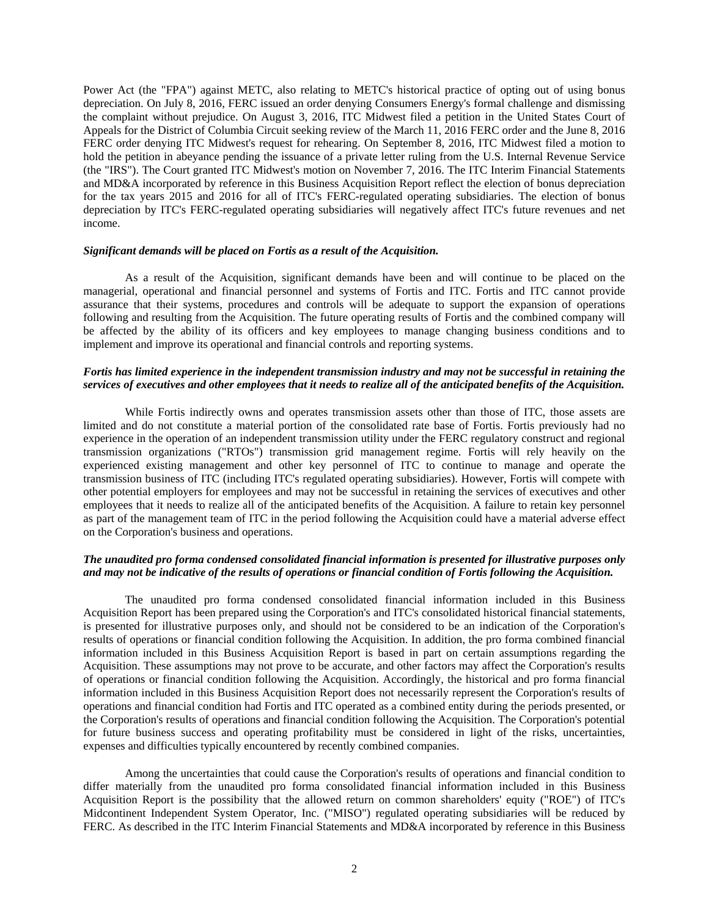Power Act (the "FPA") against METC, also relating to METC's historical practice of opting out of using bonus depreciation. On July 8, 2016, FERC issued an order denying Consumers Energy's formal challenge and dismissing the complaint without prejudice. On August 3, 2016, ITC Midwest filed a petition in the United States Court of Appeals for the District of Columbia Circuit seeking review of the March 11, 2016 FERC order and the June 8, 2016 FERC order denying ITC Midwest's request for rehearing. On September 8, 2016, ITC Midwest filed a motion to hold the petition in abeyance pending the issuance of a private letter ruling from the U.S. Internal Revenue Service (the "IRS"). The Court granted ITC Midwest's motion on November 7, 2016. The ITC Interim Financial Statements and MD&A incorporated by reference in this Business Acquisition Report reflect the election of bonus depreciation for the tax years 2015 and 2016 for all of ITC's FERC-regulated operating subsidiaries. The election of bonus depreciation by ITC's FERC-regulated operating subsidiaries will negatively affect ITC's future revenues and net income.

#### *Significant demands will be placed on Fortis as a result of the Acquisition.*

As a result of the Acquisition, significant demands have been and will continue to be placed on the managerial, operational and financial personnel and systems of Fortis and ITC. Fortis and ITC cannot provide assurance that their systems, procedures and controls will be adequate to support the expansion of operations following and resulting from the Acquisition. The future operating results of Fortis and the combined company will be affected by the ability of its officers and key employees to manage changing business conditions and to implement and improve its operational and financial controls and reporting systems.

#### *Fortis has limited experience in the independent transmission industry and may not be successful in retaining the services of executives and other employees that it needs to realize all of the anticipated benefits of the Acquisition.*

While Fortis indirectly owns and operates transmission assets other than those of ITC, those assets are limited and do not constitute a material portion of the consolidated rate base of Fortis. Fortis previously had no experience in the operation of an independent transmission utility under the FERC regulatory construct and regional transmission organizations ("RTOs") transmission grid management regime. Fortis will rely heavily on the experienced existing management and other key personnel of ITC to continue to manage and operate the transmission business of ITC (including ITC's regulated operating subsidiaries). However, Fortis will compete with other potential employers for employees and may not be successful in retaining the services of executives and other employees that it needs to realize all of the anticipated benefits of the Acquisition. A failure to retain key personnel as part of the management team of ITC in the period following the Acquisition could have a material adverse effect on the Corporation's business and operations.

#### *The unaudited pro forma condensed consolidated financial information is presented for illustrative purposes only and may not be indicative of the results of operations or financial condition of Fortis following the Acquisition.*

The unaudited pro forma condensed consolidated financial information included in this Business Acquisition Report has been prepared using the Corporation's and ITC's consolidated historical financial statements, is presented for illustrative purposes only, and should not be considered to be an indication of the Corporation's results of operations or financial condition following the Acquisition. In addition, the pro forma combined financial information included in this Business Acquisition Report is based in part on certain assumptions regarding the Acquisition. These assumptions may not prove to be accurate, and other factors may affect the Corporation's results of operations or financial condition following the Acquisition. Accordingly, the historical and pro forma financial information included in this Business Acquisition Report does not necessarily represent the Corporation's results of operations and financial condition had Fortis and ITC operated as a combined entity during the periods presented, or the Corporation's results of operations and financial condition following the Acquisition. The Corporation's potential for future business success and operating profitability must be considered in light of the risks, uncertainties, expenses and difficulties typically encountered by recently combined companies.

Among the uncertainties that could cause the Corporation's results of operations and financial condition to differ materially from the unaudited pro forma consolidated financial information included in this Business Acquisition Report is the possibility that the allowed return on common shareholders' equity ("ROE") of ITC's Midcontinent Independent System Operator, Inc. ("MISO") regulated operating subsidiaries will be reduced by FERC. As described in the ITC Interim Financial Statements and MD&A incorporated by reference in this Business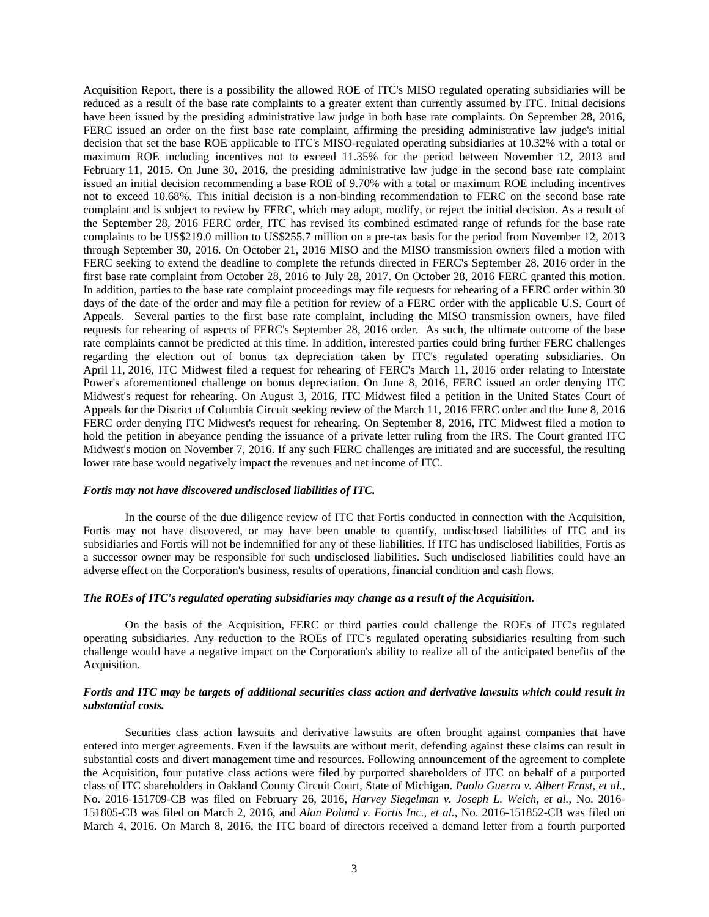Acquisition Report, there is a possibility the allowed ROE of ITC's MISO regulated operating subsidiaries will be reduced as a result of the base rate complaints to a greater extent than currently assumed by ITC. Initial decisions have been issued by the presiding administrative law judge in both base rate complaints. On September 28, 2016, FERC issued an order on the first base rate complaint, affirming the presiding administrative law judge's initial decision that set the base ROE applicable to ITC's MISO-regulated operating subsidiaries at 10.32% with a total or maximum ROE including incentives not to exceed 11.35% for the period between November 12, 2013 and February 11, 2015. On June 30, 2016, the presiding administrative law judge in the second base rate complaint issued an initial decision recommending a base ROE of 9.70% with a total or maximum ROE including incentives not to exceed 10.68%. This initial decision is a non-binding recommendation to FERC on the second base rate complaint and is subject to review by FERC, which may adopt, modify, or reject the initial decision. As a result of the September 28, 2016 FERC order, ITC has revised its combined estimated range of refunds for the base rate complaints to be US\$219.0 million to US\$255.7 million on a pre-tax basis for the period from November 12, 2013 through September 30, 2016. On October 21, 2016 MISO and the MISO transmission owners filed a motion with FERC seeking to extend the deadline to complete the refunds directed in FERC's September 28, 2016 order in the first base rate complaint from October 28, 2016 to July 28, 2017. On October 28, 2016 FERC granted this motion. In addition, parties to the base rate complaint proceedings may file requests for rehearing of a FERC order within 30 days of the date of the order and may file a petition for review of a FERC order with the applicable U.S. Court of Appeals. Several parties to the first base rate complaint, including the MISO transmission owners, have filed requests for rehearing of aspects of FERC's September 28, 2016 order. As such, the ultimate outcome of the base rate complaints cannot be predicted at this time. In addition, interested parties could bring further FERC challenges regarding the election out of bonus tax depreciation taken by ITC's regulated operating subsidiaries. On April 11, 2016, ITC Midwest filed a request for rehearing of FERC's March 11, 2016 order relating to Interstate Power's aforementioned challenge on bonus depreciation. On June 8, 2016, FERC issued an order denying ITC Midwest's request for rehearing. On August 3, 2016, ITC Midwest filed a petition in the United States Court of Appeals for the District of Columbia Circuit seeking review of the March 11, 2016 FERC order and the June 8, 2016 FERC order denying ITC Midwest's request for rehearing. On September 8, 2016, ITC Midwest filed a motion to hold the petition in abeyance pending the issuance of a private letter ruling from the IRS. The Court granted ITC Midwest's motion on November 7, 2016. If any such FERC challenges are initiated and are successful, the resulting lower rate base would negatively impact the revenues and net income of ITC.

#### *Fortis may not have discovered undisclosed liabilities of ITC.*

In the course of the due diligence review of ITC that Fortis conducted in connection with the Acquisition, Fortis may not have discovered, or may have been unable to quantify, undisclosed liabilities of ITC and its subsidiaries and Fortis will not be indemnified for any of these liabilities. If ITC has undisclosed liabilities, Fortis as a successor owner may be responsible for such undisclosed liabilities. Such undisclosed liabilities could have an adverse effect on the Corporation's business, results of operations, financial condition and cash flows.

#### *The ROEs of ITC's regulated operating subsidiaries may change as a result of the Acquisition.*

On the basis of the Acquisition, FERC or third parties could challenge the ROEs of ITC's regulated operating subsidiaries. Any reduction to the ROEs of ITC's regulated operating subsidiaries resulting from such challenge would have a negative impact on the Corporation's ability to realize all of the anticipated benefits of the Acquisition.

#### *Fortis and ITC may be targets of additional securities class action and derivative lawsuits which could result in substantial costs.*

Securities class action lawsuits and derivative lawsuits are often brought against companies that have entered into merger agreements. Even if the lawsuits are without merit, defending against these claims can result in substantial costs and divert management time and resources. Following announcement of the agreement to complete the Acquisition, four putative class actions were filed by purported shareholders of ITC on behalf of a purported class of ITC shareholders in Oakland County Circuit Court, State of Michigan. *Paolo Guerra v. Albert Ernst, et al.*, No. 2016-151709-CB was filed on February 26, 2016, *Harvey Siegelman v. Joseph L. Welch, et al.*, No. 2016- 151805-CB was filed on March 2, 2016, and *Alan Poland v. Fortis Inc., et al.*, No. 2016-151852-CB was filed on March 4, 2016. On March 8, 2016, the ITC board of directors received a demand letter from a fourth purported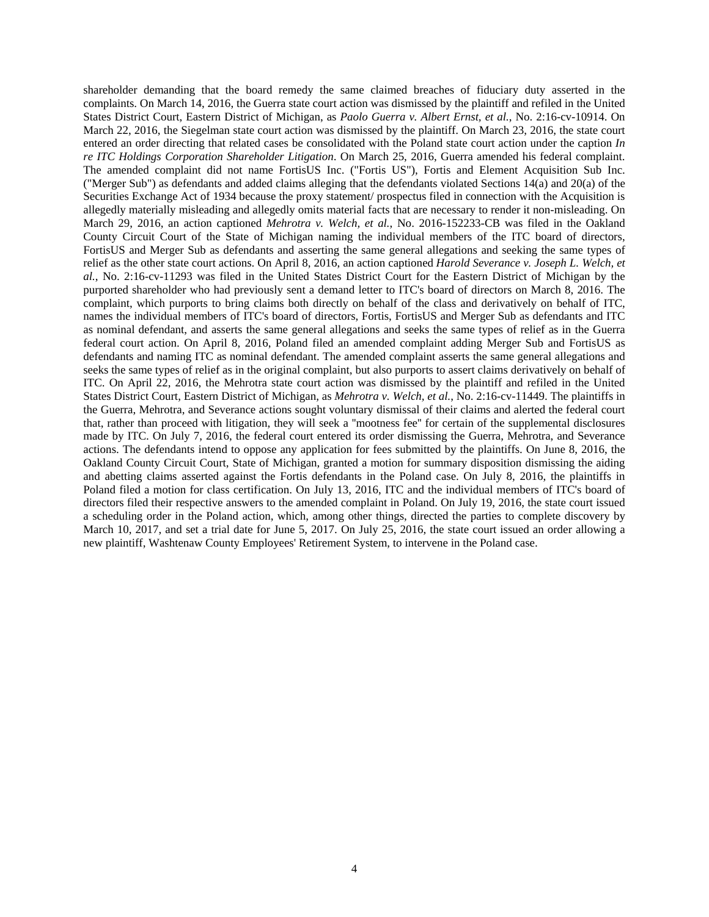shareholder demanding that the board remedy the same claimed breaches of fiduciary duty asserted in the complaints. On March 14, 2016, the Guerra state court action was dismissed by the plaintiff and refiled in the United States District Court, Eastern District of Michigan, as *Paolo Guerra v. Albert Ernst, et al.*, No. 2:16-cv-10914. On March 22, 2016, the Siegelman state court action was dismissed by the plaintiff. On March 23, 2016, the state court entered an order directing that related cases be consolidated with the Poland state court action under the caption *In re ITC Holdings Corporation Shareholder Litigation*. On March 25, 2016, Guerra amended his federal complaint. The amended complaint did not name FortisUS Inc. ("Fortis US"), Fortis and Element Acquisition Sub Inc. ("Merger Sub") as defendants and added claims alleging that the defendants violated Sections 14(a) and 20(a) of the Securities Exchange Act of 1934 because the proxy statement/ prospectus filed in connection with the Acquisition is allegedly materially misleading and allegedly omits material facts that are necessary to render it non-misleading. On March 29, 2016, an action captioned *Mehrotra v. Welch, et al.*, No. 2016-152233-CB was filed in the Oakland County Circuit Court of the State of Michigan naming the individual members of the ITC board of directors, FortisUS and Merger Sub as defendants and asserting the same general allegations and seeking the same types of relief as the other state court actions. On April 8, 2016, an action captioned *Harold Severance v. Joseph L. Welch, et al.*, No. 2:16-cv-11293 was filed in the United States District Court for the Eastern District of Michigan by the purported shareholder who had previously sent a demand letter to ITC's board of directors on March 8, 2016. The complaint, which purports to bring claims both directly on behalf of the class and derivatively on behalf of ITC, names the individual members of ITC's board of directors, Fortis, FortisUS and Merger Sub as defendants and ITC as nominal defendant, and asserts the same general allegations and seeks the same types of relief as in the Guerra federal court action. On April 8, 2016, Poland filed an amended complaint adding Merger Sub and FortisUS as defendants and naming ITC as nominal defendant. The amended complaint asserts the same general allegations and seeks the same types of relief as in the original complaint, but also purports to assert claims derivatively on behalf of ITC. On April 22, 2016, the Mehrotra state court action was dismissed by the plaintiff and refiled in the United States District Court, Eastern District of Michigan, as *Mehrotra v. Welch, et al.*, No. 2:16-cv-11449. The plaintiffs in the Guerra, Mehrotra, and Severance actions sought voluntary dismissal of their claims and alerted the federal court that, rather than proceed with litigation, they will seek a ''mootness fee'' for certain of the supplemental disclosures made by ITC. On July 7, 2016, the federal court entered its order dismissing the Guerra, Mehrotra, and Severance actions. The defendants intend to oppose any application for fees submitted by the plaintiffs. On June 8, 2016, the Oakland County Circuit Court, State of Michigan, granted a motion for summary disposition dismissing the aiding and abetting claims asserted against the Fortis defendants in the Poland case. On July 8, 2016, the plaintiffs in Poland filed a motion for class certification. On July 13, 2016, ITC and the individual members of ITC's board of directors filed their respective answers to the amended complaint in Poland. On July 19, 2016, the state court issued a scheduling order in the Poland action, which, among other things, directed the parties to complete discovery by March 10, 2017, and set a trial date for June 5, 2017. On July 25, 2016, the state court issued an order allowing a new plaintiff, Washtenaw County Employees' Retirement System, to intervene in the Poland case.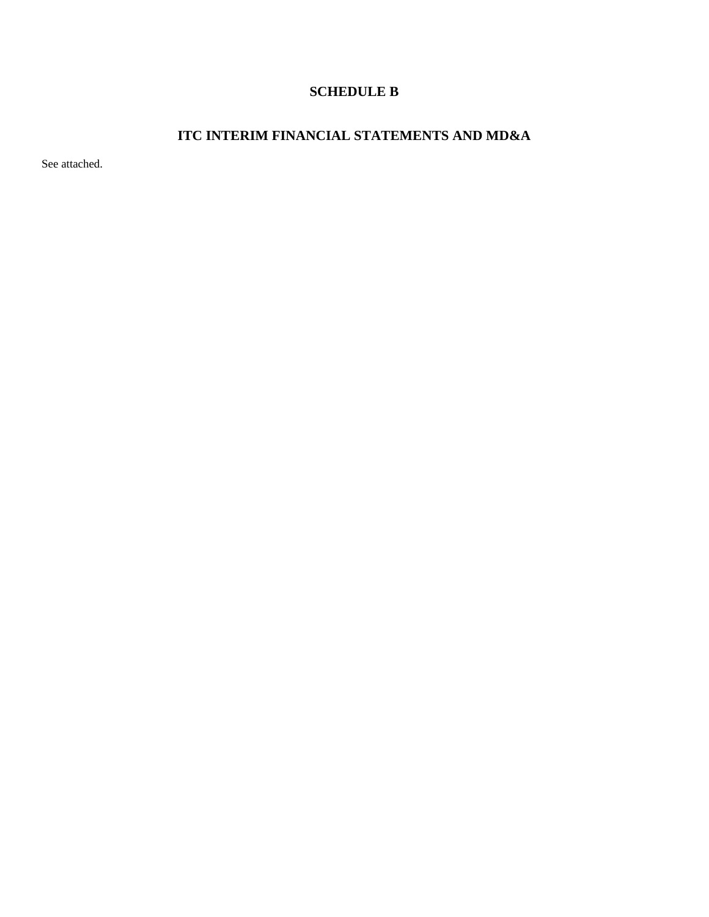### **SCHEDULE B**

### **ITC INTERIM FINANCIAL STATEMENTS AND MD&A**

See attached.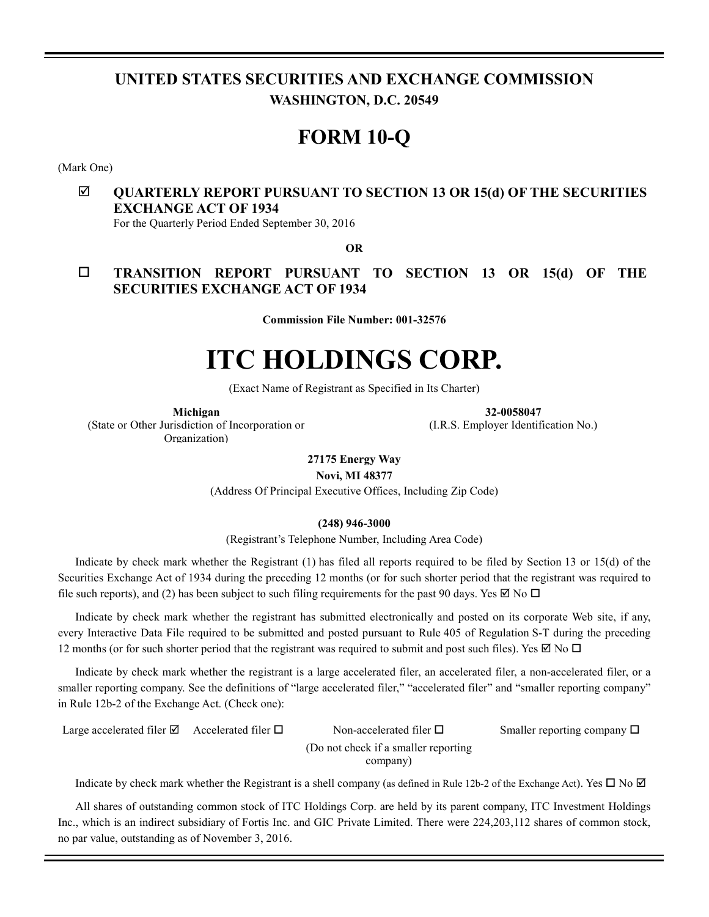### **UNITED STATES SECURITIES AND EXCHANGE COMMISSION WASHINGTON, D.C. 20549**

# **FORM 10-Q**

(Mark One)

### **QUARTERLY REPORT PURSUANT TO SECTION 13 OR 15(d) OF THE SECURITIES EXCHANGE ACT OF 1934**

For the Quarterly Period Ended September 30, 2016

**OR** 

 **TRANSITION REPORT PURSUANT TO SECTION 13 OR 15(d) OF THE SECURITIES EXCHANGE ACT OF 1934**

**Commission File Number: 001-32576** 

# **ITC HOLDINGS CORP.**

(Exact Name of Registrant as Specified in Its Charter)

**Michigan**  (State or Other Jurisdiction of Incorporation or Organization)

**32-0058047** 

(I.R.S. Employer Identification No.)

**27175 Energy Way** 

**Novi, MI 48377** 

(Address Of Principal Executive Offices, Including Zip Code)

**(248) 946-3000** 

(Registrant's Telephone Number, Including Area Code)

Indicate by check mark whether the Registrant (1) has filed all reports required to be filed by Section 13 or 15(d) of the Securities Exchange Act of 1934 during the preceding 12 months (or for such shorter period that the registrant was required to file such reports), and (2) has been subject to such filing requirements for the past 90 days. Yes  $\boxtimes$  No  $\Box$ 

Indicate by check mark whether the registrant has submitted electronically and posted on its corporate Web site, if any, every Interactive Data File required to be submitted and posted pursuant to Rule 405 of Regulation S-T during the preceding 12 months (or for such shorter period that the registrant was required to submit and post such files). Yes  $\boxtimes$  No  $\Box$ 

Indicate by check mark whether the registrant is a large accelerated filer, an accelerated filer, a non-accelerated filer, or a smaller reporting company. See the definitions of "large accelerated filer," "accelerated filer" and "smaller reporting company" in Rule 12b-2 of the Exchange Act. (Check one):

| Large accelerated filer $\boxtimes$ Accelerated filer $\Box$ |  | Non-accelerated filer $\Box$ | Smaller reporting company $\Box$ |  |  |  |  |
|--------------------------------------------------------------|--|------------------------------|----------------------------------|--|--|--|--|
| (Do not check if a smaller reporting)                        |  |                              |                                  |  |  |  |  |
|                                                              |  | company)                     |                                  |  |  |  |  |

Indicate by check mark whether the Registrant is a shell company (as defined in Rule 12b-2 of the Exchange Act). Yes  $\Box$  No  $\Box$ 

All shares of outstanding common stock of ITC Holdings Corp. are held by its parent company, ITC Investment Holdings Inc., which is an indirect subsidiary of Fortis Inc. and GIC Private Limited. There were 224,203,112 shares of common stock, no par value, outstanding as of November 3, 2016.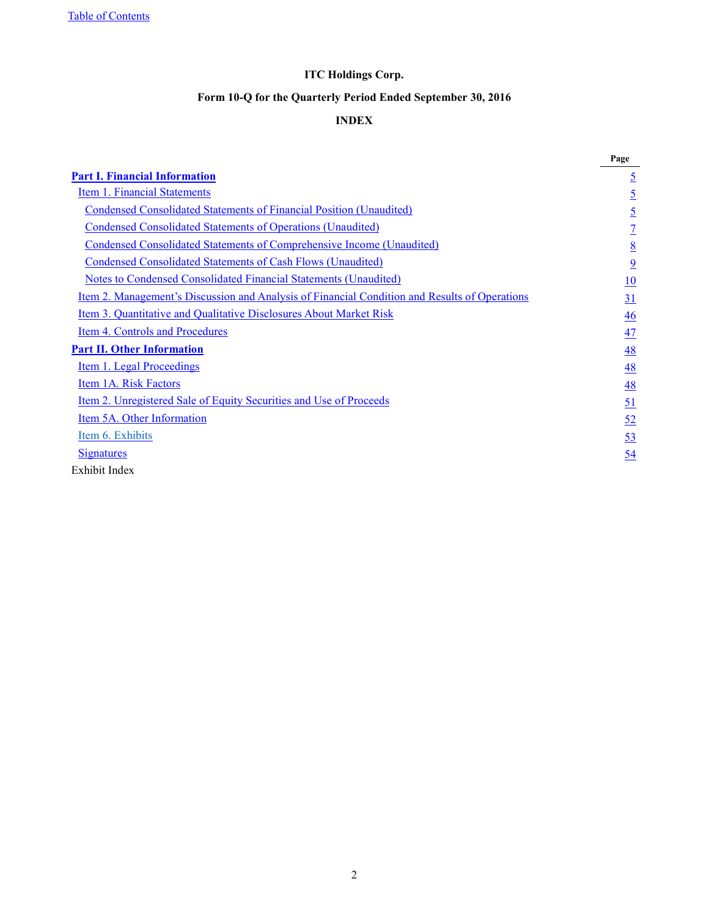Table of Contents

### **ITC Holdings Corp.**

### **Form 10-Q for the Quarterly Period Ended September 30, 2016**

### **INDEX**

|                                                                                                      | Page           |
|------------------------------------------------------------------------------------------------------|----------------|
| <b>Part I. Financial Information</b>                                                                 | $\overline{5}$ |
| <b>Item 1. Financial Statements</b>                                                                  | $\overline{5}$ |
| <b>Condensed Consolidated Statements of Financial Position (Unaudited)</b>                           | $\overline{5}$ |
| <b>Condensed Consolidated Statements of Operations (Unaudited)</b>                                   | $\overline{1}$ |
| <b>Condensed Consolidated Statements of Comprehensive Income (Unaudited)</b>                         | 8              |
| <b>Condensed Consolidated Statements of Cash Flows (Unaudited)</b>                                   | $\overline{9}$ |
| <b>Notes to Condensed Consolidated Financial Statements (Unaudited)</b>                              | 10             |
| <u>Item 2. Management's Discussion and Analysis of Financial Condition and Results of Operations</u> | 31             |
| Item 3. Quantitative and Qualitative Disclosures About Market Risk                                   | 46             |
| Item 4. Controls and Procedures                                                                      | 47             |
| <b>Part II. Other Information</b>                                                                    | 48             |
| Item 1. Legal Proceedings                                                                            | 48             |
| Item 1A. Risk Factors                                                                                | 48             |
| <u>Item 2. Unregistered Sale of Equity Securities and Use of Proceeds</u>                            | <u>51</u>      |
| Item 5A. Other Information                                                                           | 52             |
| Item 6. Exhibits                                                                                     | 53             |
| <b>Signatures</b>                                                                                    | 54             |
| Exhibit Index                                                                                        |                |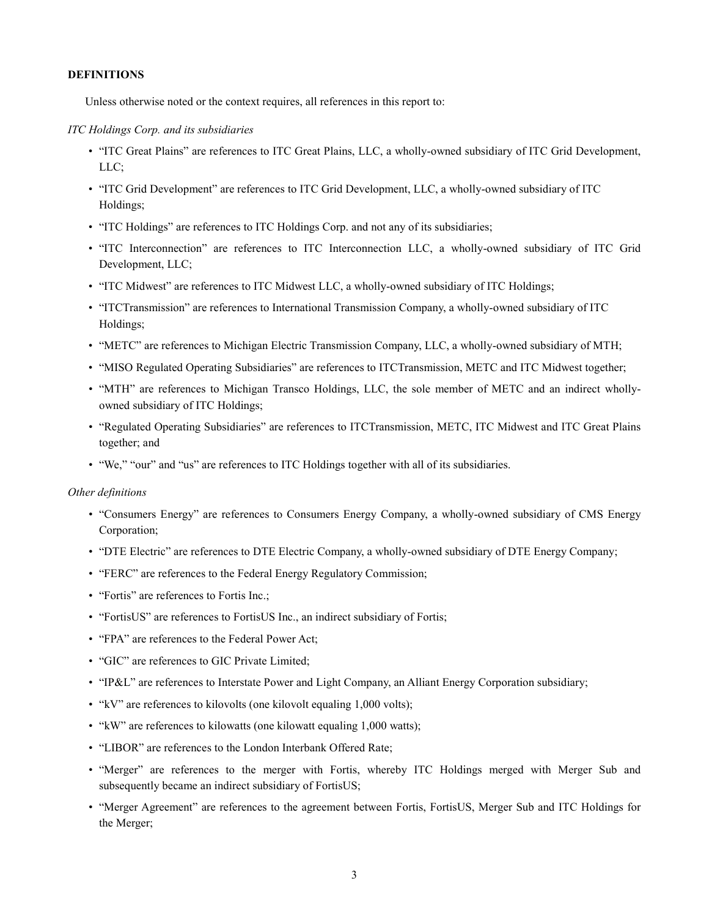#### **DEFINITIONS**

Unless otherwise noted or the context requires, all references in this report to:

#### *ITC Holdings Corp. and its subsidiaries*

- "ITC Great Plains" are references to ITC Great Plains, LLC, a wholly-owned subsidiary of ITC Grid Development, LLC;
- "ITC Grid Development" are references to ITC Grid Development, LLC, a wholly-owned subsidiary of ITC Holdings;
- "ITC Holdings" are references to ITC Holdings Corp. and not any of its subsidiaries;
- "ITC Interconnection" are references to ITC Interconnection LLC, a wholly-owned subsidiary of ITC Grid Development, LLC;
- "ITC Midwest" are references to ITC Midwest LLC, a wholly-owned subsidiary of ITC Holdings;
- "ITCTransmission" are references to International Transmission Company, a wholly-owned subsidiary of ITC Holdings;
- "METC" are references to Michigan Electric Transmission Company, LLC, a wholly-owned subsidiary of MTH;
- "MISO Regulated Operating Subsidiaries" are references to ITCTransmission, METC and ITC Midwest together;
- "MTH" are references to Michigan Transco Holdings, LLC, the sole member of METC and an indirect whollyowned subsidiary of ITC Holdings;
- "Regulated Operating Subsidiaries" are references to ITCTransmission, METC, ITC Midwest and ITC Great Plains together; and
- "We," "our" and "us" are references to ITC Holdings together with all of its subsidiaries.

#### *Other definitions*

- "Consumers Energy" are references to Consumers Energy Company, a wholly-owned subsidiary of CMS Energy Corporation;
- "DTE Electric" are references to DTE Electric Company, a wholly-owned subsidiary of DTE Energy Company;
- "FERC" are references to the Federal Energy Regulatory Commission;
- "Fortis" are references to Fortis Inc.;
- "FortisUS" are references to FortisUS Inc., an indirect subsidiary of Fortis;
- "FPA" are references to the Federal Power Act;
- "GIC" are references to GIC Private Limited;
- "IP&L" are references to Interstate Power and Light Company, an Alliant Energy Corporation subsidiary;
- "kV" are references to kilovolts (one kilovolt equaling 1,000 volts);
- "kW" are references to kilowatts (one kilowatt equaling 1,000 watts);
- "LIBOR" are references to the London Interbank Offered Rate;
- "Merger" are references to the merger with Fortis, whereby ITC Holdings merged with Merger Sub and subsequently became an indirect subsidiary of FortisUS;
- "Merger Agreement" are references to the agreement between Fortis, FortisUS, Merger Sub and ITC Holdings for the Merger;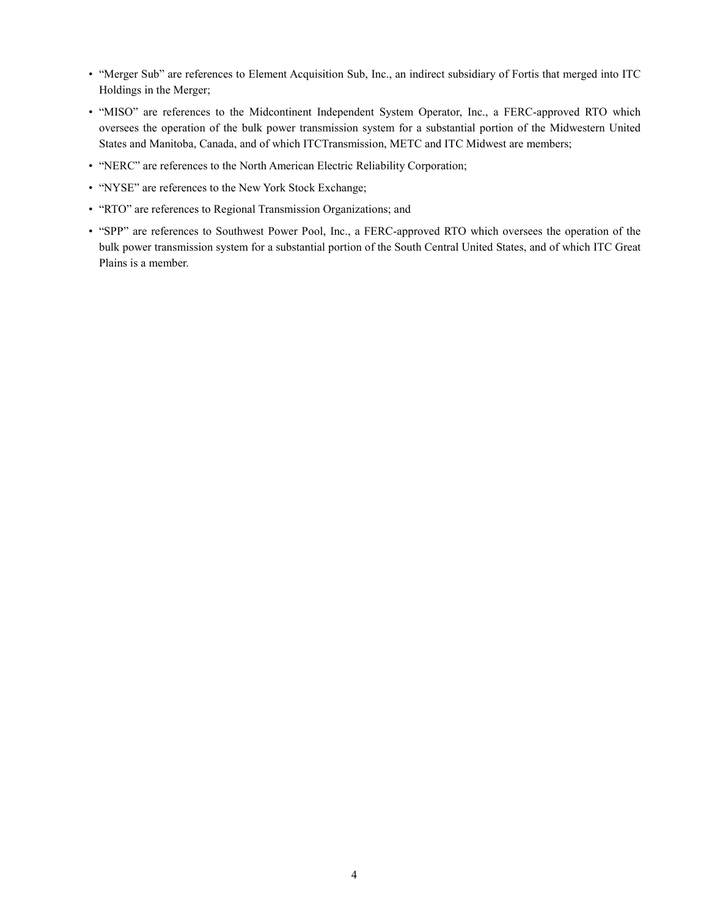- "Merger Sub" are references to Element Acquisition Sub, Inc., an indirect subsidiary of Fortis that merged into ITC Holdings in the Merger;
- "MISO" are references to the Midcontinent Independent System Operator, Inc., a FERC-approved RTO which oversees the operation of the bulk power transmission system for a substantial portion of the Midwestern United States and Manitoba, Canada, and of which ITCTransmission, METC and ITC Midwest are members;
- "NERC" are references to the North American Electric Reliability Corporation;
- "NYSE" are references to the New York Stock Exchange;
- "RTO" are references to Regional Transmission Organizations; and
- "SPP" are references to Southwest Power Pool, Inc., a FERC-approved RTO which oversees the operation of the bulk power transmission system for a substantial portion of the South Central United States, and of which ITC Great Plains is a member.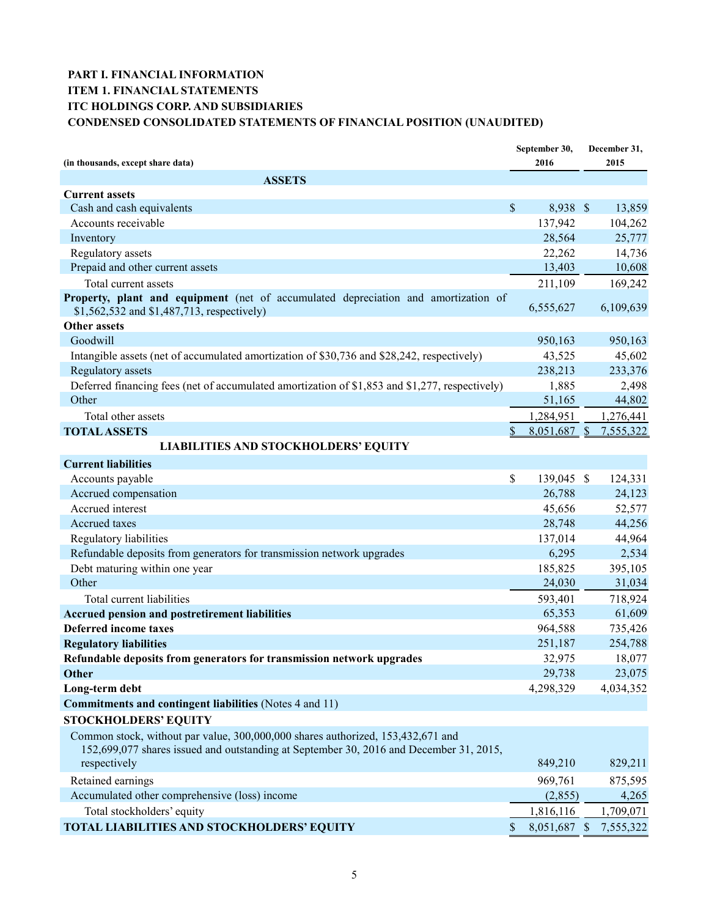### **PART I. FINANCIAL INFORMATION ITEM 1. FINANCIAL STATEMENTS ITC HOLDINGS CORP. AND SUBSIDIARIES CONDENSED CONSOLIDATED STATEMENTS OF FINANCIAL POSITION (UNAUDITED)**

|                                                                                                                                                                                           |    | September 30, | December 31,     |
|-------------------------------------------------------------------------------------------------------------------------------------------------------------------------------------------|----|---------------|------------------|
| (in thousands, except share data)                                                                                                                                                         |    | 2016          | 2015             |
| <b>ASSETS</b>                                                                                                                                                                             |    |               |                  |
| <b>Current assets</b>                                                                                                                                                                     |    |               |                  |
| Cash and cash equivalents                                                                                                                                                                 | \$ | 8,938 \$      | 13,859           |
| Accounts receivable                                                                                                                                                                       |    | 137,942       | 104,262          |
| Inventory                                                                                                                                                                                 |    | 28,564        | 25,777           |
| Regulatory assets                                                                                                                                                                         |    | 22,262        | 14,736           |
| Prepaid and other current assets                                                                                                                                                          |    | 13,403        | 10,608           |
| Total current assets                                                                                                                                                                      |    | 211,109       | 169,242          |
| Property, plant and equipment (net of accumulated depreciation and amortization of<br>\$1,562,532 and \$1,487,713, respectively)                                                          |    | 6,555,627     | 6,109,639        |
| Other assets                                                                                                                                                                              |    |               |                  |
| Goodwill                                                                                                                                                                                  |    | 950,163       | 950,163          |
| Intangible assets (net of accumulated amortization of \$30,736 and \$28,242, respectively)                                                                                                |    | 43,525        | 45,602           |
| <b>Regulatory</b> assets                                                                                                                                                                  |    | 238,213       | 233,376          |
| Deferred financing fees (net of accumulated amortization of \$1,853 and \$1,277, respectively)                                                                                            |    | 1,885         | 2,498            |
| Other                                                                                                                                                                                     |    | 51,165        | 44,802           |
| Total other assets                                                                                                                                                                        |    | 1,284,951     | 1,276,441        |
| <b>TOTAL ASSETS</b>                                                                                                                                                                       |    | 8.051.687 \$  | 7,555,322        |
| <b>LIABILITIES AND STOCKHOLDERS' EQUITY</b>                                                                                                                                               |    |               |                  |
| <b>Current liabilities</b>                                                                                                                                                                |    |               |                  |
| Accounts payable                                                                                                                                                                          | \$ | 139,045 \$    | 124,331          |
| Accrued compensation                                                                                                                                                                      |    | 26,788        | 24,123           |
| Accrued interest                                                                                                                                                                          |    | 45,656        | 52,577           |
| Accrued taxes                                                                                                                                                                             |    | 28,748        | 44,256           |
| Regulatory liabilities                                                                                                                                                                    |    | 137,014       | 44,964           |
| Refundable deposits from generators for transmission network upgrades                                                                                                                     |    | 6,295         | 2,534            |
| Debt maturing within one year                                                                                                                                                             |    | 185,825       | 395,105          |
| Other                                                                                                                                                                                     |    | 24,030        | 31,034           |
| Total current liabilities                                                                                                                                                                 |    | 593,401       | 718,924          |
| Accrued pension and postretirement liabilities                                                                                                                                            |    | 65,353        | 61,609           |
| <b>Deferred income taxes</b>                                                                                                                                                              |    | 964,588       | 735,426          |
| <b>Regulatory liabilities</b>                                                                                                                                                             |    | 251,187       | 254,788          |
| Refundable deposits from generators for transmission network upgrades                                                                                                                     |    | 32,975        | 18,077           |
| Other                                                                                                                                                                                     |    | 29,738        | 23,075           |
| Long-term debt                                                                                                                                                                            |    | 4,298,329     | 4,034,352        |
| <b>Commitments and contingent liabilities</b> (Notes 4 and 11)                                                                                                                            |    |               |                  |
|                                                                                                                                                                                           |    |               |                  |
| <b>STOCKHOLDERS' EQUITY</b>                                                                                                                                                               |    |               |                  |
| Common stock, without par value, 300,000,000 shares authorized, 153,432,671 and<br>152,699,077 shares issued and outstanding at September 30, 2016 and December 31, 2015,<br>respectively |    | 849,210       | 829,211          |
|                                                                                                                                                                                           |    |               |                  |
| Retained earnings                                                                                                                                                                         |    | 969,761       | 875,595<br>4,265 |
| Accumulated other comprehensive (loss) income                                                                                                                                             |    | (2,855)       |                  |
| Total stockholders' equity                                                                                                                                                                |    | 1,816,116     | 1,709,071        |
| <b>TOTAL LIABILITIES AND STOCKHOLDERS' EQUITY</b>                                                                                                                                         | S  | 8,051,687 \$  | 7,555,322        |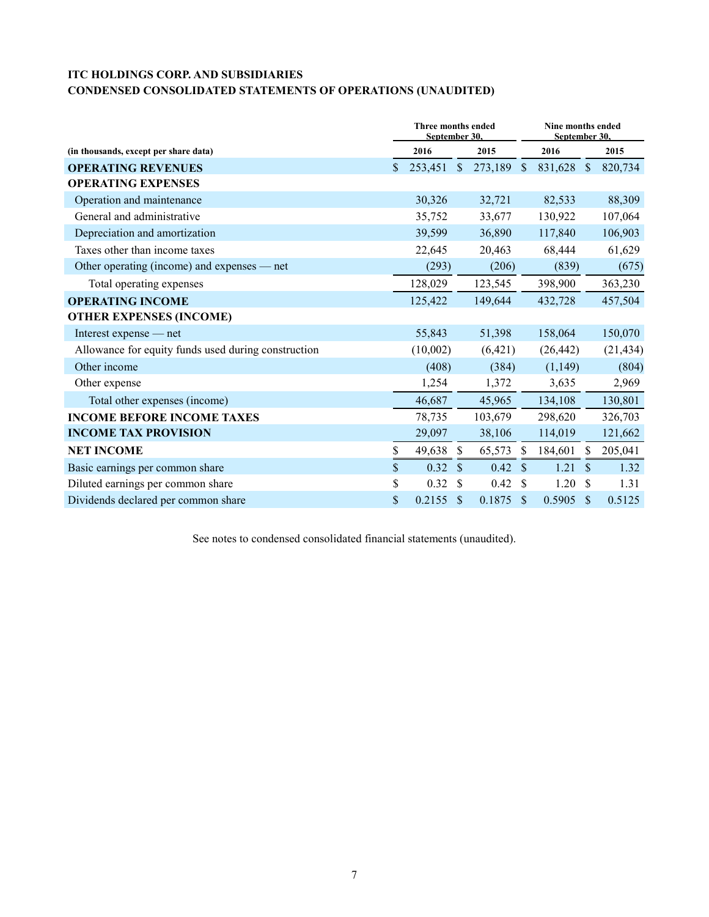## **ITC HOLDINGS CORP. AND SUBSIDIARIES**

### **CONDENSED CONSOLIDATED STATEMENTS OF OPERATIONS (UNAUDITED)**

|                                                     | <b>Three months ended</b><br>September 30. |          |               | Nine months ended<br>September 30. |               |           |                           |           |
|-----------------------------------------------------|--------------------------------------------|----------|---------------|------------------------------------|---------------|-----------|---------------------------|-----------|
| (in thousands, except per share data)               |                                            | 2016     |               | 2015                               |               | 2016      |                           | 2015      |
| <b>OPERATING REVENUES</b>                           | \$                                         | 253,451  | $\mathbb{S}$  | 273,189                            | $\sqrt{\ }$   | 831,628   | $\boldsymbol{\mathsf{S}}$ | 820,734   |
| <b>OPERATING EXPENSES</b>                           |                                            |          |               |                                    |               |           |                           |           |
| Operation and maintenance                           |                                            | 30,326   |               | 32,721                             |               | 82,533    |                           | 88,309    |
| General and administrative                          |                                            | 35,752   |               | 33,677                             |               | 130,922   |                           | 107,064   |
| Depreciation and amortization                       |                                            | 39,599   |               | 36,890                             |               | 117,840   |                           | 106,903   |
| Taxes other than income taxes                       |                                            | 22,645   |               | 20,463                             |               | 68,444    |                           | 61,629    |
| Other operating (income) and expenses — net         |                                            | (293)    |               | (206)                              |               | (839)     |                           | (675)     |
| Total operating expenses                            |                                            | 128,029  |               | 123,545                            |               | 398,900   |                           | 363,230   |
| <b>OPERATING INCOME</b>                             |                                            | 125,422  |               | 149,644                            |               | 432,728   |                           | 457,504   |
| <b>OTHER EXPENSES (INCOME)</b>                      |                                            |          |               |                                    |               |           |                           |           |
| Interest expense — net                              |                                            | 55,843   |               | 51,398                             |               | 158,064   |                           | 150,070   |
| Allowance for equity funds used during construction |                                            | (10,002) |               | (6,421)                            |               | (26, 442) |                           | (21, 434) |
| Other income                                        |                                            | (408)    |               | (384)                              |               | (1, 149)  |                           | (804)     |
| Other expense                                       |                                            | 1,254    |               | 1,372                              |               | 3,635     |                           | 2,969     |
| Total other expenses (income)                       |                                            | 46,687   |               | 45,965                             |               | 134,108   |                           | 130,801   |
| <b>INCOME BEFORE INCOME TAXES</b>                   |                                            | 78,735   |               | 103,679                            |               | 298,620   |                           | 326,703   |
| <b>INCOME TAX PROVISION</b>                         |                                            | 29,097   |               | 38,106                             |               | 114,019   |                           | 121,662   |
| <b>NET INCOME</b>                                   | \$                                         | 49,638   | $\mathbb{S}$  | 65,573                             | \$            | 184,601   | S                         | 205,041   |
| Basic earnings per common share                     | \$                                         | 0.32     | $\mathcal{S}$ | 0.42                               | <sup>\$</sup> | 1.21      | $\mathbf{\$}$             | 1.32      |
| Diluted earnings per common share                   | \$                                         | 0.32     | S             | 0.42                               | \$            | 1.20      | <sup>\$</sup>             | 1.31      |
| Dividends declared per common share                 | \$                                         | 0.2155   | <sup>\$</sup> | 0.1875                             | <sup>\$</sup> | 0.5905    | \$                        | 0.5125    |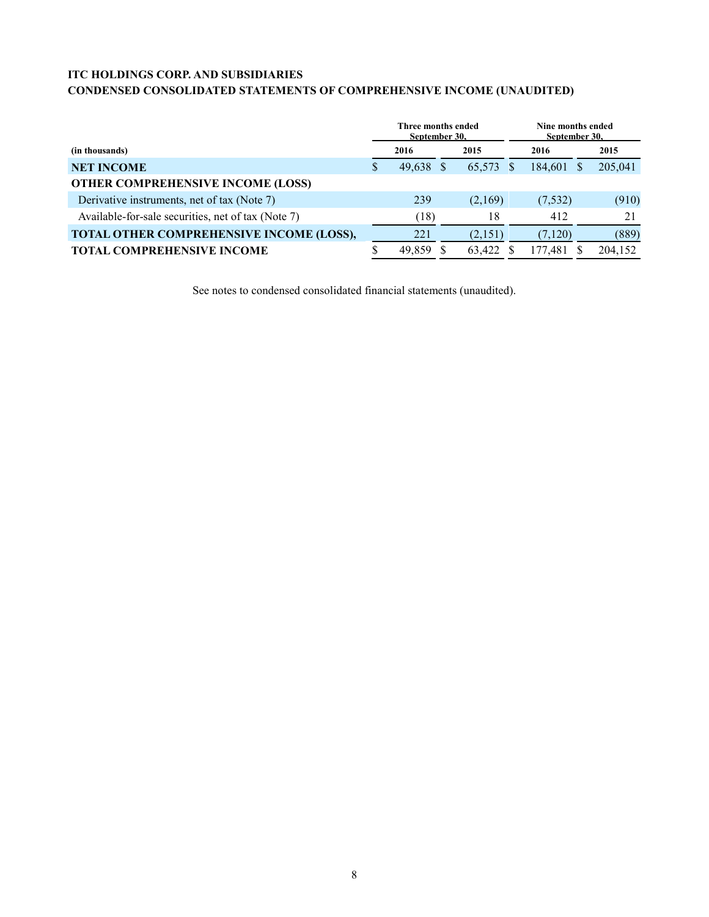### **ITC HOLDINGS CORP. AND SUBSIDIARIES**

### **CONDENSED CONSOLIDATED STATEMENTS OF COMPREHENSIVE INCOME (UNAUDITED)**

|                                                    | Three months ended<br>Sentember 30. |           |  | Nine months ended<br>September 30. |  |         |  |         |
|----------------------------------------------------|-------------------------------------|-----------|--|------------------------------------|--|---------|--|---------|
| (in thousands)                                     |                                     | 2016      |  | 2015                               |  | 2016    |  | 2015    |
| <b>NET INCOME</b>                                  | S                                   | 49,638 \$ |  | 65,573                             |  | 184,601 |  | 205,041 |
| <b>OTHER COMPREHENSIVE INCOME (LOSS)</b>           |                                     |           |  |                                    |  |         |  |         |
| Derivative instruments, net of tax (Note 7)        |                                     | 239       |  | (2,169)                            |  | (7,532) |  | (910)   |
| Available-for-sale securities, net of tax (Note 7) |                                     | (18)      |  | 18                                 |  | 412     |  | 21      |
| TOTAL OTHER COMPREHENSIVE INCOME (LOSS),           |                                     | 221       |  | (2,151)                            |  | (7,120) |  | (889)   |
| <b>TOTAL COMPREHENSIVE INCOME</b>                  |                                     | 49,859    |  | 63,422                             |  | 177,481 |  | 204,152 |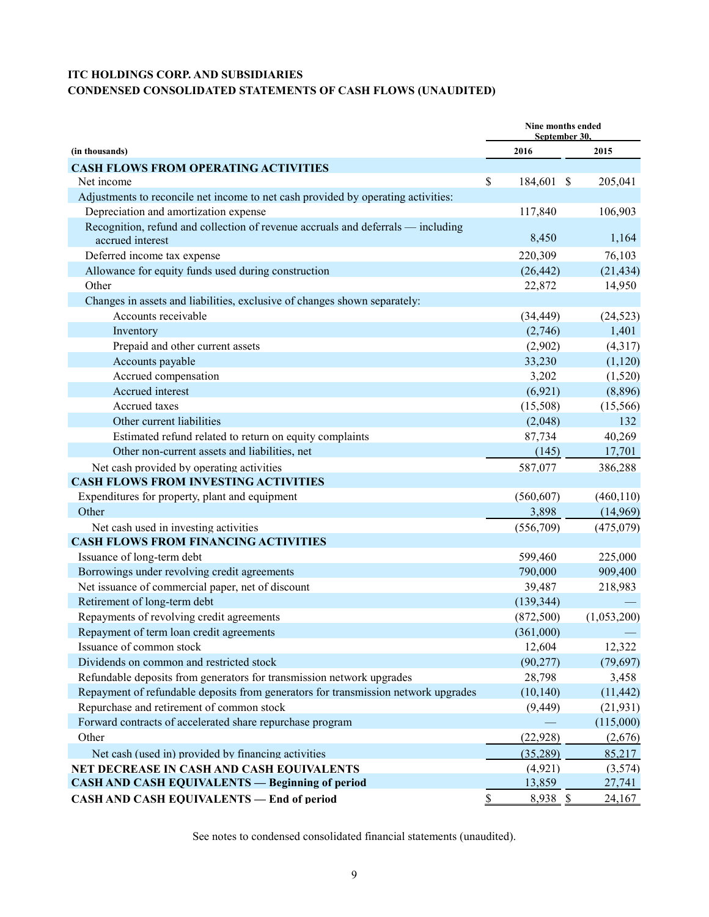### **ITC HOLDINGS CORP. AND SUBSIDIARIES CONDENSED CONSOLIDATED STATEMENTS OF CASH FLOWS (UNAUDITED)**

|                                                                                                      | Nine months ended<br>September 30. |            |               |             |
|------------------------------------------------------------------------------------------------------|------------------------------------|------------|---------------|-------------|
| (in thousands)                                                                                       |                                    | 2016       |               | 2015        |
| <b>CASH FLOWS FROM OPERATING ACTIVITIES</b>                                                          |                                    |            |               |             |
| Net income                                                                                           | \$                                 | 184,601    | $\mathcal{S}$ | 205,041     |
| Adjustments to reconcile net income to net cash provided by operating activities:                    |                                    |            |               |             |
| Depreciation and amortization expense                                                                |                                    | 117,840    |               | 106,903     |
| Recognition, refund and collection of revenue accruals and deferrals — including<br>accrued interest |                                    | 8,450      |               | 1,164       |
| Deferred income tax expense                                                                          |                                    | 220,309    |               | 76,103      |
| Allowance for equity funds used during construction                                                  |                                    | (26, 442)  |               | (21, 434)   |
| Other                                                                                                |                                    | 22,872     |               | 14,950      |
| Changes in assets and liabilities, exclusive of changes shown separately:                            |                                    |            |               |             |
| Accounts receivable                                                                                  |                                    | (34, 449)  |               | (24, 523)   |
| Inventory                                                                                            |                                    | (2,746)    |               | 1,401       |
| Prepaid and other current assets                                                                     |                                    | (2,902)    |               | (4,317)     |
| Accounts payable                                                                                     |                                    | 33,230     |               | (1,120)     |
| Accrued compensation                                                                                 |                                    | 3,202      |               | (1,520)     |
| Accrued interest                                                                                     |                                    | (6,921)    |               | (8,896)     |
| Accrued taxes                                                                                        |                                    | (15,508)   |               | (15, 566)   |
| Other current liabilities                                                                            |                                    | (2,048)    |               | 132         |
| Estimated refund related to return on equity complaints                                              |                                    | 87,734     |               | 40,269      |
| Other non-current assets and liabilities, net                                                        |                                    | (145)      |               | 17,701      |
| Net cash provided by operating activities                                                            |                                    | 587,077    |               | 386,288     |
| <b>CASH FLOWS FROM INVESTING ACTIVITIES</b>                                                          |                                    |            |               |             |
| Expenditures for property, plant and equipment                                                       |                                    | (560, 607) |               | (460, 110)  |
| Other                                                                                                |                                    | 3,898      |               | (14,969)    |
| Net cash used in investing activities                                                                |                                    | (556,709)  |               | (475,079)   |
| <b>CASH FLOWS FROM FINANCING ACTIVITIES</b>                                                          |                                    |            |               |             |
| Issuance of long-term debt                                                                           |                                    | 599,460    |               | 225,000     |
| Borrowings under revolving credit agreements                                                         |                                    | 790,000    |               | 909,400     |
| Net issuance of commercial paper, net of discount                                                    |                                    | 39,487     |               | 218,983     |
| Retirement of long-term debt                                                                         |                                    | (139, 344) |               |             |
| Repayments of revolving credit agreements                                                            |                                    | (872,500)  |               | (1,053,200) |
| Repayment of term loan credit agreements                                                             |                                    | (361,000)  |               |             |
| Issuance of common stock                                                                             |                                    | 12,604     |               | 12,322      |
| Dividends on common and restricted stock                                                             |                                    | (90, 277)  |               | (79, 697)   |
| Refundable deposits from generators for transmission network upgrades                                |                                    | 28,798     |               | 3,458       |
| Repayment of refundable deposits from generators for transmission network upgrades                   |                                    | (10, 140)  |               | (11, 442)   |
| Repurchase and retirement of common stock                                                            |                                    | (9, 449)   |               | (21, 931)   |
| Forward contracts of accelerated share repurchase program                                            |                                    |            |               | (115,000)   |
| Other                                                                                                |                                    | (22, 928)  |               | (2,676)     |
| Net cash (used in) provided by financing activities                                                  |                                    | (35, 289)  |               | 85,217      |
| NET DECREASE IN CASH AND CASH EOUIVALENTS                                                            |                                    | (4,921)    |               | (3,574)     |
| <b>CASH AND CASH EQUIVALENTS — Beginning of period</b>                                               |                                    | 13,859     |               | 27,741      |
| <b>CASH AND CASH EQUIVALENTS - End of period</b>                                                     | $\boldsymbol{\mathsf{S}}$          | 8,938 \$   |               | 24,167      |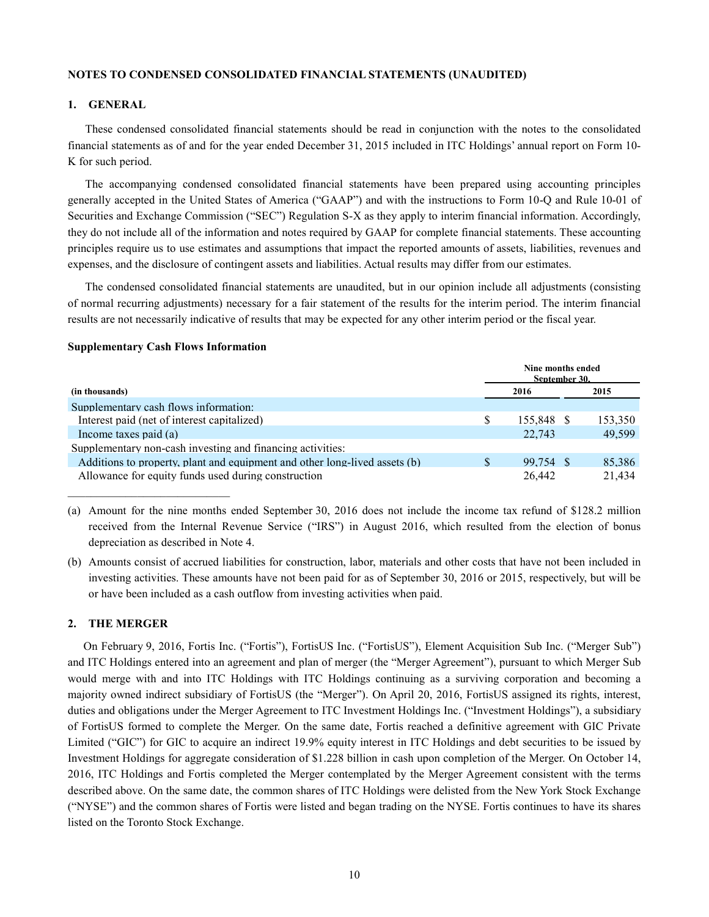#### **NOTES TO CONDENSED CONSOLIDATED FINANCIAL STATEMENTS (UNAUDITED)**

#### **1. GENERAL**

These condensed consolidated financial statements should be read in conjunction with the notes to the consolidated financial statements as of and for the year ended December 31, 2015 included in ITC Holdings' annual report on Form 10- K for such period.

The accompanying condensed consolidated financial statements have been prepared using accounting principles generally accepted in the United States of America ("GAAP") and with the instructions to Form 10-Q and Rule 10-01 of Securities and Exchange Commission ("SEC") Regulation S-X as they apply to interim financial information. Accordingly, they do not include all of the information and notes required by GAAP for complete financial statements. These accounting principles require us to use estimates and assumptions that impact the reported amounts of assets, liabilities, revenues and expenses, and the disclosure of contingent assets and liabilities. Actual results may differ from our estimates.

The condensed consolidated financial statements are unaudited, but in our opinion include all adjustments (consisting of normal recurring adjustments) necessary for a fair statement of the results for the interim period. The interim financial results are not necessarily indicative of results that may be expected for any other interim period or the fiscal year.

#### **Supplementary Cash Flows Information**

|                                                                            |  | Nine months ended<br>September 30. |         |
|----------------------------------------------------------------------------|--|------------------------------------|---------|
| (in thousands)                                                             |  | 2016                               | 2015    |
| Supplementary cash flows information:                                      |  |                                    |         |
| Interest paid (net of interest capitalized)                                |  | 155.848 \$                         | 153,350 |
| Income taxes paid (a)                                                      |  | 22.743                             | 49,599  |
| Supplementary non-cash investing and financing activities:                 |  |                                    |         |
| Additions to property, plant and equipment and other long-lived assets (b) |  | 99.754 \$                          | 85.386  |
| Allowance for equity funds used during construction                        |  | 26.442                             | 21.434  |

(a) Amount for the nine months ended September 30, 2016 does not include the income tax refund of \$128.2 million received from the Internal Revenue Service ("IRS") in August 2016, which resulted from the election of bonus depreciation as described in Note 4.

(b) Amounts consist of accrued liabilities for construction, labor, materials and other costs that have not been included in investing activities. These amounts have not been paid for as of September 30, 2016 or 2015, respectively, but will be or have been included as a cash outflow from investing activities when paid.

#### **2. THE MERGER**

On February 9, 2016, Fortis Inc. ("Fortis"), FortisUS Inc. ("FortisUS"), Element Acquisition Sub Inc. ("Merger Sub") and ITC Holdings entered into an agreement and plan of merger (the "Merger Agreement"), pursuant to which Merger Sub would merge with and into ITC Holdings with ITC Holdings continuing as a surviving corporation and becoming a majority owned indirect subsidiary of FortisUS (the "Merger"). On April 20, 2016, FortisUS assigned its rights, interest, duties and obligations under the Merger Agreement to ITC Investment Holdings Inc. ("Investment Holdings"), a subsidiary of FortisUS formed to complete the Merger. On the same date, Fortis reached a definitive agreement with GIC Private Limited ("GIC") for GIC to acquire an indirect 19.9% equity interest in ITC Holdings and debt securities to be issued by Investment Holdings for aggregate consideration of \$1.228 billion in cash upon completion of the Merger. On October 14, 2016, ITC Holdings and Fortis completed the Merger contemplated by the Merger Agreement consistent with the terms described above. On the same date, the common shares of ITC Holdings were delisted from the New York Stock Exchange ("NYSE") and the common shares of Fortis were listed and began trading on the NYSE. Fortis continues to have its shares listed on the Toronto Stock Exchange.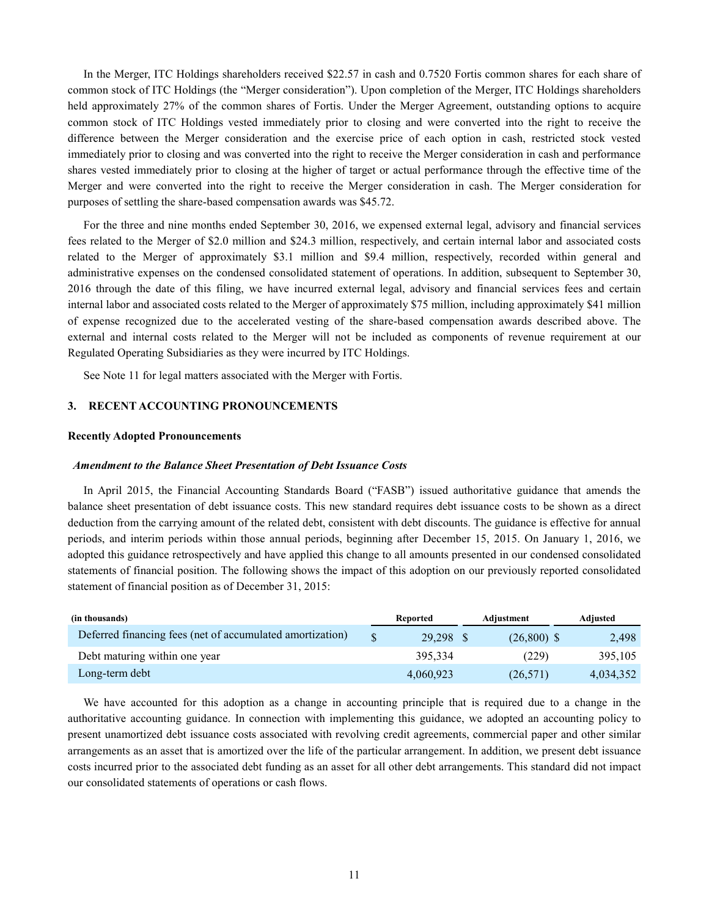In the Merger, ITC Holdings shareholders received \$22.57 in cash and 0.7520 Fortis common shares for each share of common stock of ITC Holdings (the "Merger consideration"). Upon completion of the Merger, ITC Holdings shareholders held approximately 27% of the common shares of Fortis. Under the Merger Agreement, outstanding options to acquire common stock of ITC Holdings vested immediately prior to closing and were converted into the right to receive the difference between the Merger consideration and the exercise price of each option in cash, restricted stock vested immediately prior to closing and was converted into the right to receive the Merger consideration in cash and performance shares vested immediately prior to closing at the higher of target or actual performance through the effective time of the Merger and were converted into the right to receive the Merger consideration in cash. The Merger consideration for purposes of settling the share-based compensation awards was \$45.72.

For the three and nine months ended September 30, 2016, we expensed external legal, advisory and financial services fees related to the Merger of \$2.0 million and \$24.3 million, respectively, and certain internal labor and associated costs related to the Merger of approximately \$3.1 million and \$9.4 million, respectively, recorded within general and administrative expenses on the condensed consolidated statement of operations. In addition, subsequent to September 30, 2016 through the date of this filing, we have incurred external legal, advisory and financial services fees and certain internal labor and associated costs related to the Merger of approximately \$75 million, including approximately \$41 million of expense recognized due to the accelerated vesting of the share-based compensation awards described above. The external and internal costs related to the Merger will not be included as components of revenue requirement at our Regulated Operating Subsidiaries as they were incurred by ITC Holdings.

See Note 11 for legal matters associated with the Merger with Fortis.

#### **3. RECENT ACCOUNTING PRONOUNCEMENTS**

#### **Recently Adopted Pronouncements**

#### *Amendment to the Balance Sheet Presentation of Debt Issuance Costs*

In April 2015, the Financial Accounting Standards Board ("FASB") issued authoritative guidance that amends the balance sheet presentation of debt issuance costs. This new standard requires debt issuance costs to be shown as a direct deduction from the carrying amount of the related debt, consistent with debt discounts. The guidance is effective for annual periods, and interim periods within those annual periods, beginning after December 15, 2015. On January 1, 2016, we adopted this guidance retrospectively and have applied this change to all amounts presented in our condensed consolidated statements of financial position. The following shows the impact of this adoption on our previously reported consolidated statement of financial position as of December 31, 2015:

| (in thousands)                                            |    | Reported  | Adjustment    | Adiusted  |       |
|-----------------------------------------------------------|----|-----------|---------------|-----------|-------|
| Deferred financing fees (net of accumulated amortization) | ¢. | 29.298 \$ | $(26,800)$ \$ |           | 2,498 |
| Debt maturing within one year                             |    | 395.334   | (229)         | 395.105   |       |
| Long-term debt                                            |    | 4,060,923 | (26, 571)     | 4.034.352 |       |

We have accounted for this adoption as a change in accounting principle that is required due to a change in the authoritative accounting guidance. In connection with implementing this guidance, we adopted an accounting policy to present unamortized debt issuance costs associated with revolving credit agreements, commercial paper and other similar arrangements as an asset that is amortized over the life of the particular arrangement. In addition, we present debt issuance costs incurred prior to the associated debt funding as an asset for all other debt arrangements. This standard did not impact our consolidated statements of operations or cash flows.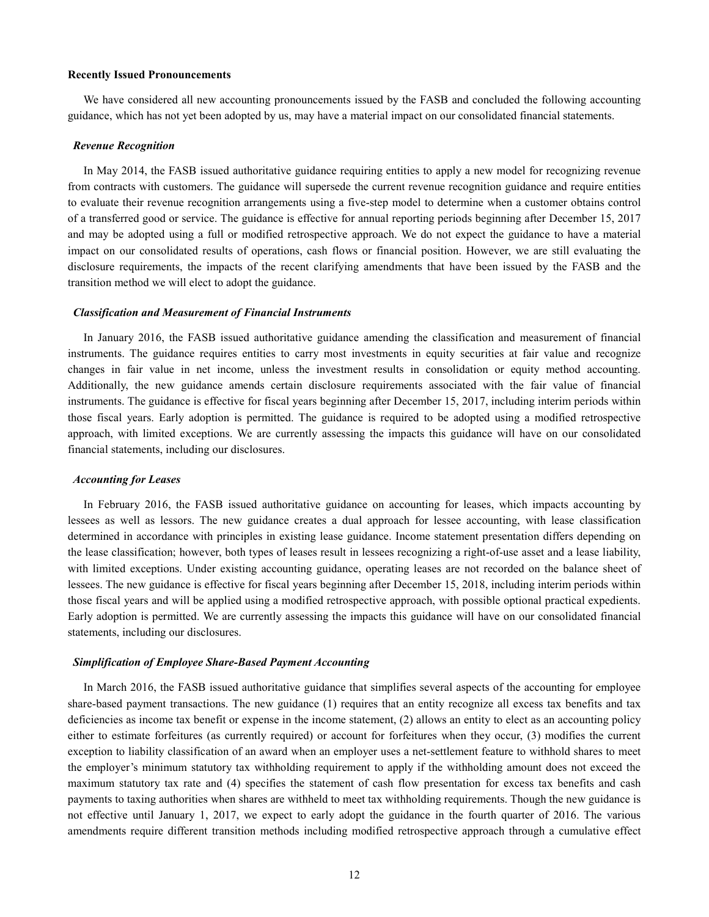#### **Recently Issued Pronouncements**

We have considered all new accounting pronouncements issued by the FASB and concluded the following accounting guidance, which has not yet been adopted by us, may have a material impact on our consolidated financial statements.

#### *Revenue Recognition*

In May 2014, the FASB issued authoritative guidance requiring entities to apply a new model for recognizing revenue from contracts with customers. The guidance will supersede the current revenue recognition guidance and require entities to evaluate their revenue recognition arrangements using a five-step model to determine when a customer obtains control of a transferred good or service. The guidance is effective for annual reporting periods beginning after December 15, 2017 and may be adopted using a full or modified retrospective approach. We do not expect the guidance to have a material impact on our consolidated results of operations, cash flows or financial position. However, we are still evaluating the disclosure requirements, the impacts of the recent clarifying amendments that have been issued by the FASB and the transition method we will elect to adopt the guidance.

#### *Classification and Measurement of Financial Instruments*

In January 2016, the FASB issued authoritative guidance amending the classification and measurement of financial instruments. The guidance requires entities to carry most investments in equity securities at fair value and recognize changes in fair value in net income, unless the investment results in consolidation or equity method accounting. Additionally, the new guidance amends certain disclosure requirements associated with the fair value of financial instruments. The guidance is effective for fiscal years beginning after December 15, 2017, including interim periods within those fiscal years. Early adoption is permitted. The guidance is required to be adopted using a modified retrospective approach, with limited exceptions. We are currently assessing the impacts this guidance will have on our consolidated financial statements, including our disclosures.

#### *Accounting for Leases*

In February 2016, the FASB issued authoritative guidance on accounting for leases, which impacts accounting by lessees as well as lessors. The new guidance creates a dual approach for lessee accounting, with lease classification determined in accordance with principles in existing lease guidance. Income statement presentation differs depending on the lease classification; however, both types of leases result in lessees recognizing a right-of-use asset and a lease liability, with limited exceptions. Under existing accounting guidance, operating leases are not recorded on the balance sheet of lessees. The new guidance is effective for fiscal years beginning after December 15, 2018, including interim periods within those fiscal years and will be applied using a modified retrospective approach, with possible optional practical expedients. Early adoption is permitted. We are currently assessing the impacts this guidance will have on our consolidated financial statements, including our disclosures.

#### *Simplification of Employee Share-Based Payment Accounting*

In March 2016, the FASB issued authoritative guidance that simplifies several aspects of the accounting for employee share-based payment transactions. The new guidance (1) requires that an entity recognize all excess tax benefits and tax deficiencies as income tax benefit or expense in the income statement, (2) allows an entity to elect as an accounting policy either to estimate forfeitures (as currently required) or account for forfeitures when they occur, (3) modifies the current exception to liability classification of an award when an employer uses a net-settlement feature to withhold shares to meet the employer's minimum statutory tax withholding requirement to apply if the withholding amount does not exceed the maximum statutory tax rate and (4) specifies the statement of cash flow presentation for excess tax benefits and cash payments to taxing authorities when shares are withheld to meet tax withholding requirements. Though the new guidance is not effective until January 1, 2017, we expect to early adopt the guidance in the fourth quarter of 2016. The various amendments require different transition methods including modified retrospective approach through a cumulative effect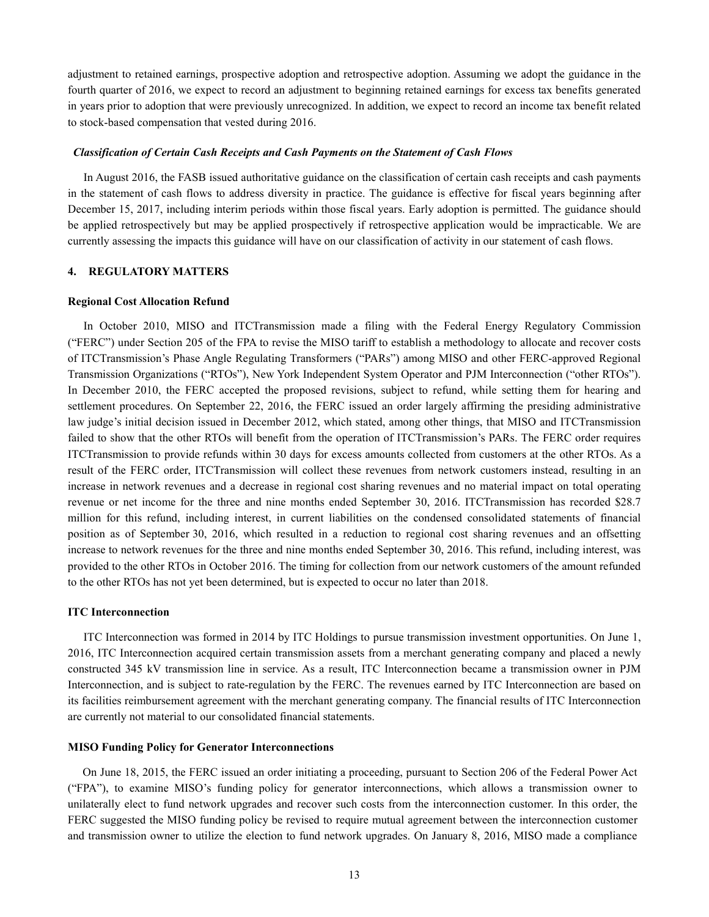adjustment to retained earnings, prospective adoption and retrospective adoption. Assuming we adopt the guidance in the fourth quarter of 2016, we expect to record an adjustment to beginning retained earnings for excess tax benefits generated in years prior to adoption that were previously unrecognized. In addition, we expect to record an income tax benefit related to stock-based compensation that vested during 2016.

#### *Classification of Certain Cash Receipts and Cash Payments on the Statement of Cash Flows*

In August 2016, the FASB issued authoritative guidance on the classification of certain cash receipts and cash payments in the statement of cash flows to address diversity in practice. The guidance is effective for fiscal years beginning after December 15, 2017, including interim periods within those fiscal years. Early adoption is permitted. The guidance should be applied retrospectively but may be applied prospectively if retrospective application would be impracticable. We are currently assessing the impacts this guidance will have on our classification of activity in our statement of cash flows.

#### **4. REGULATORY MATTERS**

#### **Regional Cost Allocation Refund**

In October 2010, MISO and ITCTransmission made a filing with the Federal Energy Regulatory Commission ("FERC") under Section 205 of the FPA to revise the MISO tariff to establish a methodology to allocate and recover costs of ITCTransmission's Phase Angle Regulating Transformers ("PARs") among MISO and other FERC-approved Regional Transmission Organizations ("RTOs"), New York Independent System Operator and PJM Interconnection ("other RTOs"). In December 2010, the FERC accepted the proposed revisions, subject to refund, while setting them for hearing and settlement procedures. On September 22, 2016, the FERC issued an order largely affirming the presiding administrative law judge's initial decision issued in December 2012, which stated, among other things, that MISO and ITCTransmission failed to show that the other RTOs will benefit from the operation of ITCTransmission's PARs. The FERC order requires ITCTransmission to provide refunds within 30 days for excess amounts collected from customers at the other RTOs. As a result of the FERC order, ITCTransmission will collect these revenues from network customers instead, resulting in an increase in network revenues and a decrease in regional cost sharing revenues and no material impact on total operating revenue or net income for the three and nine months ended September 30, 2016. ITCTransmission has recorded \$28.7 million for this refund, including interest, in current liabilities on the condensed consolidated statements of financial position as of September 30, 2016, which resulted in a reduction to regional cost sharing revenues and an offsetting increase to network revenues for the three and nine months ended September 30, 2016. This refund, including interest, was provided to the other RTOs in October 2016. The timing for collection from our network customers of the amount refunded to the other RTOs has not yet been determined, but is expected to occur no later than 2018.

#### **ITC Interconnection**

ITC Interconnection was formed in 2014 by ITC Holdings to pursue transmission investment opportunities. On June 1, 2016, ITC Interconnection acquired certain transmission assets from a merchant generating company and placed a newly constructed 345 kV transmission line in service. As a result, ITC Interconnection became a transmission owner in PJM Interconnection, and is subject to rate-regulation by the FERC. The revenues earned by ITC Interconnection are based on its facilities reimbursement agreement with the merchant generating company. The financial results of ITC Interconnection are currently not material to our consolidated financial statements.

#### **MISO Funding Policy for Generator Interconnections**

On June 18, 2015, the FERC issued an order initiating a proceeding, pursuant to Section 206 of the Federal Power Act ("FPA"), to examine MISO's funding policy for generator interconnections, which allows a transmission owner to unilaterally elect to fund network upgrades and recover such costs from the interconnection customer. In this order, the FERC suggested the MISO funding policy be revised to require mutual agreement between the interconnection customer and transmission owner to utilize the election to fund network upgrades. On January 8, 2016, MISO made a compliance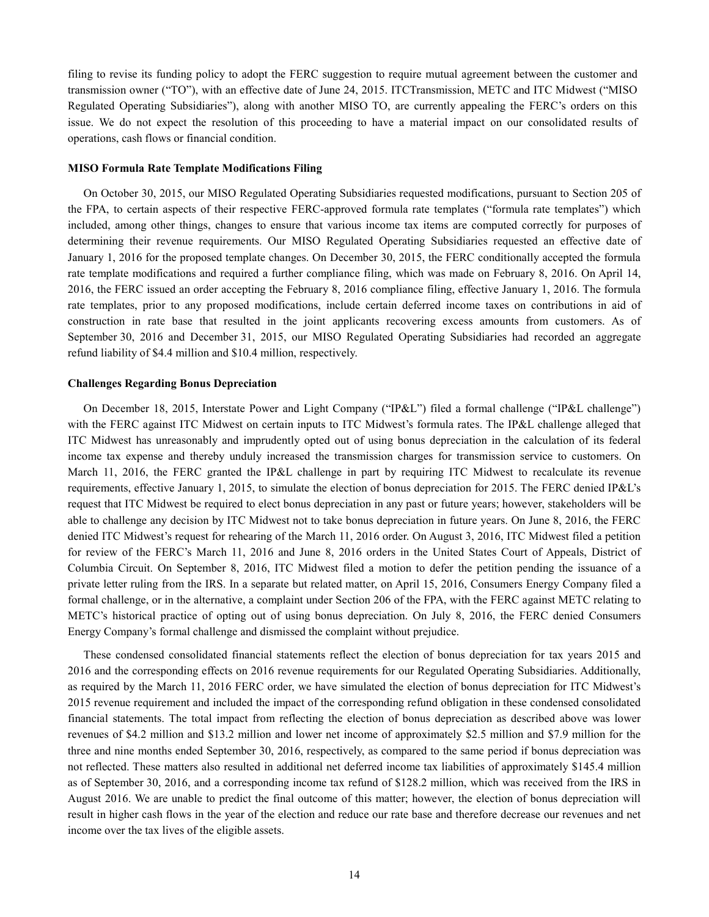filing to revise its funding policy to adopt the FERC suggestion to require mutual agreement between the customer and transmission owner ("TO"), with an effective date of June 24, 2015. ITCTransmission, METC and ITC Midwest ("MISO Regulated Operating Subsidiaries"), along with another MISO TO, are currently appealing the FERC's orders on this issue. We do not expect the resolution of this proceeding to have a material impact on our consolidated results of operations, cash flows or financial condition.

#### **MISO Formula Rate Template Modifications Filing**

On October 30, 2015, our MISO Regulated Operating Subsidiaries requested modifications, pursuant to Section 205 of the FPA, to certain aspects of their respective FERC-approved formula rate templates ("formula rate templates") which included, among other things, changes to ensure that various income tax items are computed correctly for purposes of determining their revenue requirements. Our MISO Regulated Operating Subsidiaries requested an effective date of January 1, 2016 for the proposed template changes. On December 30, 2015, the FERC conditionally accepted the formula rate template modifications and required a further compliance filing, which was made on February 8, 2016. On April 14, 2016, the FERC issued an order accepting the February 8, 2016 compliance filing, effective January 1, 2016. The formula rate templates, prior to any proposed modifications, include certain deferred income taxes on contributions in aid of construction in rate base that resulted in the joint applicants recovering excess amounts from customers. As of September 30, 2016 and December 31, 2015, our MISO Regulated Operating Subsidiaries had recorded an aggregate refund liability of \$4.4 million and \$10.4 million, respectively.

#### **Challenges Regarding Bonus Depreciation**

On December 18, 2015, Interstate Power and Light Company ("IP&L") filed a formal challenge ("IP&L challenge") with the FERC against ITC Midwest on certain inputs to ITC Midwest's formula rates. The IP&L challenge alleged that ITC Midwest has unreasonably and imprudently opted out of using bonus depreciation in the calculation of its federal income tax expense and thereby unduly increased the transmission charges for transmission service to customers. On March 11, 2016, the FERC granted the IP&L challenge in part by requiring ITC Midwest to recalculate its revenue requirements, effective January 1, 2015, to simulate the election of bonus depreciation for 2015. The FERC denied IP&L's request that ITC Midwest be required to elect bonus depreciation in any past or future years; however, stakeholders will be able to challenge any decision by ITC Midwest not to take bonus depreciation in future years. On June 8, 2016, the FERC denied ITC Midwest's request for rehearing of the March 11, 2016 order. On August 3, 2016, ITC Midwest filed a petition for review of the FERC's March 11, 2016 and June 8, 2016 orders in the United States Court of Appeals, District of Columbia Circuit. On September 8, 2016, ITC Midwest filed a motion to defer the petition pending the issuance of a private letter ruling from the IRS. In a separate but related matter, on April 15, 2016, Consumers Energy Company filed a formal challenge, or in the alternative, a complaint under Section 206 of the FPA, with the FERC against METC relating to METC's historical practice of opting out of using bonus depreciation. On July 8, 2016, the FERC denied Consumers Energy Company's formal challenge and dismissed the complaint without prejudice.

These condensed consolidated financial statements reflect the election of bonus depreciation for tax years 2015 and 2016 and the corresponding effects on 2016 revenue requirements for our Regulated Operating Subsidiaries. Additionally, as required by the March 11, 2016 FERC order, we have simulated the election of bonus depreciation for ITC Midwest's 2015 revenue requirement and included the impact of the corresponding refund obligation in these condensed consolidated financial statements. The total impact from reflecting the election of bonus depreciation as described above was lower revenues of \$4.2 million and \$13.2 million and lower net income of approximately \$2.5 million and \$7.9 million for the three and nine months ended September 30, 2016, respectively, as compared to the same period if bonus depreciation was not reflected. These matters also resulted in additional net deferred income tax liabilities of approximately \$145.4 million as of September 30, 2016, and a corresponding income tax refund of \$128.2 million, which was received from the IRS in August 2016. We are unable to predict the final outcome of this matter; however, the election of bonus depreciation will result in higher cash flows in the year of the election and reduce our rate base and therefore decrease our revenues and net income over the tax lives of the eligible assets.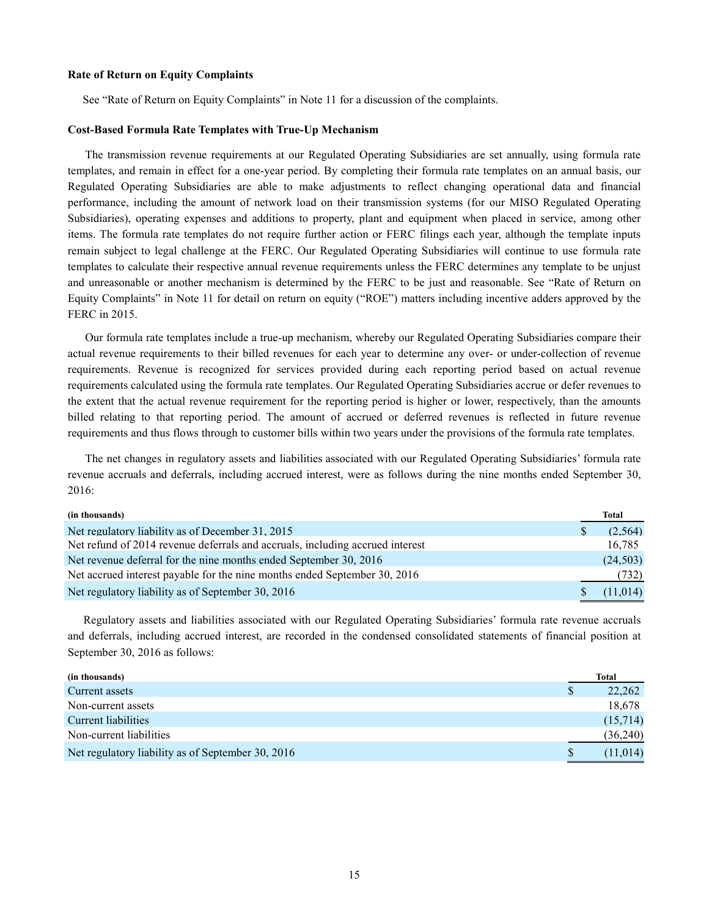#### **Rate of Return on Equity Complaints**

See "Rate of Return on Equity Complaints" in Note 11 for a discussion of the complaints.

#### **Cost-Based Formula Rate Templates with True-Up Mechanism**

The transmission revenue requirements at our Regulated Operating Subsidiaries are set annually, using formula rate templates, and remain in effect for a one-year period. By completing their formula rate templates on an annual basis, our Regulated Operating Subsidiaries are able to make adjustments to reflect changing operational data and financial performance, including the amount of network load on their transmission systems (for our MISO Regulated Operating Subsidiaries), operating expenses and additions to property, plant and equipment when placed in service, among other items. The formula rate templates do not require further action or FERC filings each year, although the template inputs remain subject to legal challenge at the FERC. Our Regulated Operating Subsidiaries will continue to use formula rate templates to calculate their respective annual revenue requirements unless the FERC determines any template to be unjust and unreasonable or another mechanism is determined by the FERC to be just and reasonable. See "Rate of Return on Equity Complaints" in Note 11 for detail on return on equity ("ROE") matters including incentive adders approved by the FERC in 2015.

Our formula rate templates include a true-up mechanism, whereby our Regulated Operating Subsidiaries compare their actual revenue requirements to their billed revenues for each year to determine any over- or under-collection of revenue requirements. Revenue is recognized for services provided during each reporting period based on actual revenue requirements calculated using the formula rate templates. Our Regulated Operating Subsidiaries accrue or defer revenues to the extent that the actual revenue requirement for the reporting period is higher or lower, respectively, than the amounts billed relating to that reporting period. The amount of accrued or deferred revenues is reflected in future revenue requirements and thus flows through to customer bills within two years under the provisions of the formula rate templates.

The net changes in regulatory assets and liabilities associated with our Regulated Operating Subsidiaries' formula rate revenue accruals and deferrals, including accrued interest, were as follows during the nine months ended September 30, 2016:

| (in thousands)                                                                | <b>Total</b> |
|-------------------------------------------------------------------------------|--------------|
| Net regulatory liability as of December 31, 2015                              | (2,564)      |
| Net refund of 2014 revenue deferrals and accruals, including accrued interest | 16.785       |
| Net revenue deferral for the nine months ended September 30, 2016             | (24, 503)    |
| Net accrued interest payable for the nine months ended September 30, 2016     | (732)        |
| Net regulatory liability as of September 30, 2016                             | (11, 014)    |

Regulatory assets and liabilities associated with our Regulated Operating Subsidiaries' formula rate revenue accruals and deferrals, including accrued interest, are recorded in the condensed consolidated statements of financial position at September 30, 2016 as follows:

| (in thousands)                                    | Total     |
|---------------------------------------------------|-----------|
| Current assets                                    | 22,262    |
| Non-current assets                                | 18,678    |
| Current liabilities                               | (15,714)  |
| Non-current liabilities                           | (36,240)  |
| Net regulatory liability as of September 30, 2016 | (11, 014) |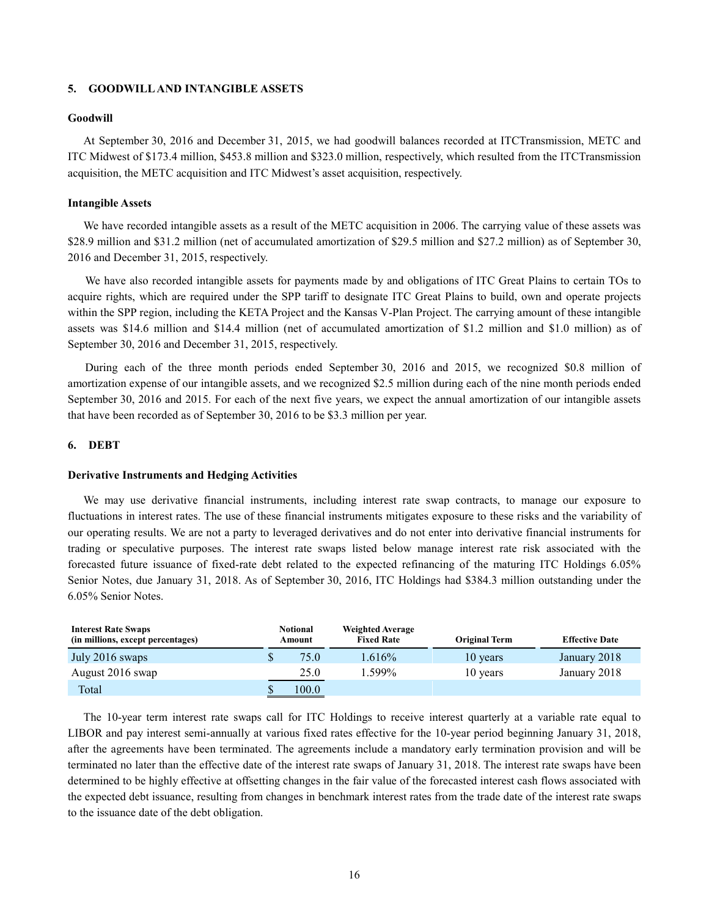#### **5. GOODWILL AND INTANGIBLE ASSETS**

#### **Goodwill**

At September 30, 2016 and December 31, 2015, we had goodwill balances recorded at ITCTransmission, METC and ITC Midwest of \$173.4 million, \$453.8 million and \$323.0 million, respectively, which resulted from the ITCTransmission acquisition, the METC acquisition and ITC Midwest's asset acquisition, respectively.

#### **Intangible Assets**

We have recorded intangible assets as a result of the METC acquisition in 2006. The carrying value of these assets was \$28.9 million and \$31.2 million (net of accumulated amortization of \$29.5 million and \$27.2 million) as of September 30, 2016 and December 31, 2015, respectively.

We have also recorded intangible assets for payments made by and obligations of ITC Great Plains to certain TOs to acquire rights, which are required under the SPP tariff to designate ITC Great Plains to build, own and operate projects within the SPP region, including the KETA Project and the Kansas V-Plan Project. The carrying amount of these intangible assets was \$14.6 million and \$14.4 million (net of accumulated amortization of \$1.2 million and \$1.0 million) as of September 30, 2016 and December 31, 2015, respectively.

During each of the three month periods ended September 30, 2016 and 2015, we recognized \$0.8 million of amortization expense of our intangible assets, and we recognized \$2.5 million during each of the nine month periods ended September 30, 2016 and 2015. For each of the next five years, we expect the annual amortization of our intangible assets that have been recorded as of September 30, 2016 to be \$3.3 million per year.

#### **6. DEBT**

#### **Derivative Instruments and Hedging Activities**

We may use derivative financial instruments, including interest rate swap contracts, to manage our exposure to fluctuations in interest rates. The use of these financial instruments mitigates exposure to these risks and the variability of our operating results. We are not a party to leveraged derivatives and do not enter into derivative financial instruments for trading or speculative purposes. The interest rate swaps listed below manage interest rate risk associated with the forecasted future issuance of fixed-rate debt related to the expected refinancing of the maturing ITC Holdings 6.05% Senior Notes, due January 31, 2018. As of September 30, 2016, ITC Holdings had \$384.3 million outstanding under the 6.05% Senior Notes.

| <b>Interest Rate Swaps</b><br>(in millions, except percentages) | <b>Notional</b><br>Amount |       | <b>Weighted Average</b><br><b>Fixed Rate</b> | <b>Original Term</b> | <b>Effective Date</b> |
|-----------------------------------------------------------------|---------------------------|-------|----------------------------------------------|----------------------|-----------------------|
| July 2016 swaps                                                 | \$                        | 75.0  | .616%                                        | 10 years             | January 2018          |
| August 2016 swap                                                |                           | 25.0  | .599%                                        | 10 years             | January 2018          |
| Total                                                           |                           | 100.0 |                                              |                      |                       |

The 10-year term interest rate swaps call for ITC Holdings to receive interest quarterly at a variable rate equal to LIBOR and pay interest semi-annually at various fixed rates effective for the 10-year period beginning January 31, 2018, after the agreements have been terminated. The agreements include a mandatory early termination provision and will be terminated no later than the effective date of the interest rate swaps of January 31, 2018. The interest rate swaps have been determined to be highly effective at offsetting changes in the fair value of the forecasted interest cash flows associated with the expected debt issuance, resulting from changes in benchmark interest rates from the trade date of the interest rate swaps to the issuance date of the debt obligation.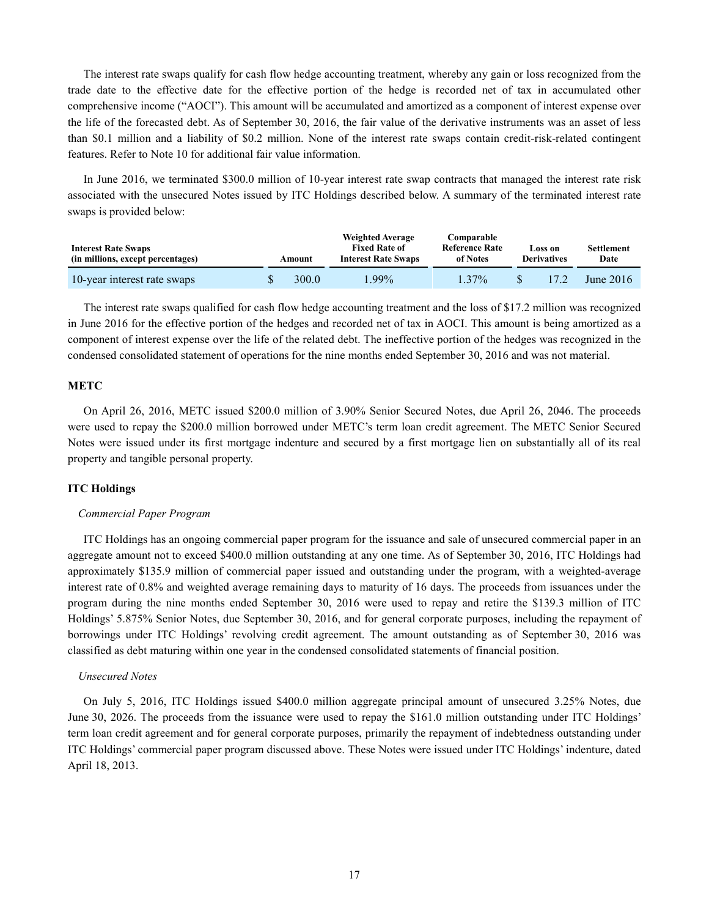The interest rate swaps qualify for cash flow hedge accounting treatment, whereby any gain or loss recognized from the trade date to the effective date for the effective portion of the hedge is recorded net of tax in accumulated other comprehensive income ("AOCI"). This amount will be accumulated and amortized as a component of interest expense over the life of the forecasted debt. As of September 30, 2016, the fair value of the derivative instruments was an asset of less than \$0.1 million and a liability of \$0.2 million. None of the interest rate swaps contain credit-risk-related contingent features. Refer to Note 10 for additional fair value information.

In June 2016, we terminated \$300.0 million of 10-year interest rate swap contracts that managed the interest rate risk associated with the unsecured Notes issued by ITC Holdings described below. A summary of the terminated interest rate swaps is provided below:

| <b>Interest Rate Swaps</b><br>(in millions, except percentages) | Amount | <b>Weighted Average</b><br><b>Fixed Rate of</b><br><b>Interest Rate Swaps</b> | Comparable<br><b>Reference Rate</b><br>of Notes | Loss on<br><b>Derivatives</b> | Settlement<br>Date |
|-----------------------------------------------------------------|--------|-------------------------------------------------------------------------------|-------------------------------------------------|-------------------------------|--------------------|
| 10-year interest rate swaps                                     | 300.0  | $1.99\%$                                                                      | $1.37\%$                                        | 17 <sub>2</sub>               | June $2016$        |

The interest rate swaps qualified for cash flow hedge accounting treatment and the loss of \$17.2 million was recognized in June 2016 for the effective portion of the hedges and recorded net of tax in AOCI. This amount is being amortized as a component of interest expense over the life of the related debt. The ineffective portion of the hedges was recognized in the condensed consolidated statement of operations for the nine months ended September 30, 2016 and was not material.

#### **METC**

On April 26, 2016, METC issued \$200.0 million of 3.90% Senior Secured Notes, due April 26, 2046. The proceeds were used to repay the \$200.0 million borrowed under METC's term loan credit agreement. The METC Senior Secured Notes were issued under its first mortgage indenture and secured by a first mortgage lien on substantially all of its real property and tangible personal property.

#### **ITC Holdings**

#### *Commercial Paper Program*

ITC Holdings has an ongoing commercial paper program for the issuance and sale of unsecured commercial paper in an aggregate amount not to exceed \$400.0 million outstanding at any one time. As of September 30, 2016, ITC Holdings had approximately \$135.9 million of commercial paper issued and outstanding under the program, with a weighted-average interest rate of 0.8% and weighted average remaining days to maturity of 16 days. The proceeds from issuances under the program during the nine months ended September 30, 2016 were used to repay and retire the \$139.3 million of ITC Holdings' 5.875% Senior Notes, due September 30, 2016, and for general corporate purposes, including the repayment of borrowings under ITC Holdings' revolving credit agreement. The amount outstanding as of September 30, 2016 was classified as debt maturing within one year in the condensed consolidated statements of financial position.

#### *Unsecured Notes*

On July 5, 2016, ITC Holdings issued \$400.0 million aggregate principal amount of unsecured 3.25% Notes, due June 30, 2026. The proceeds from the issuance were used to repay the \$161.0 million outstanding under ITC Holdings' term loan credit agreement and for general corporate purposes, primarily the repayment of indebtedness outstanding under ITC Holdings' commercial paper program discussed above. These Notes were issued under ITC Holdings' indenture, dated April 18, 2013.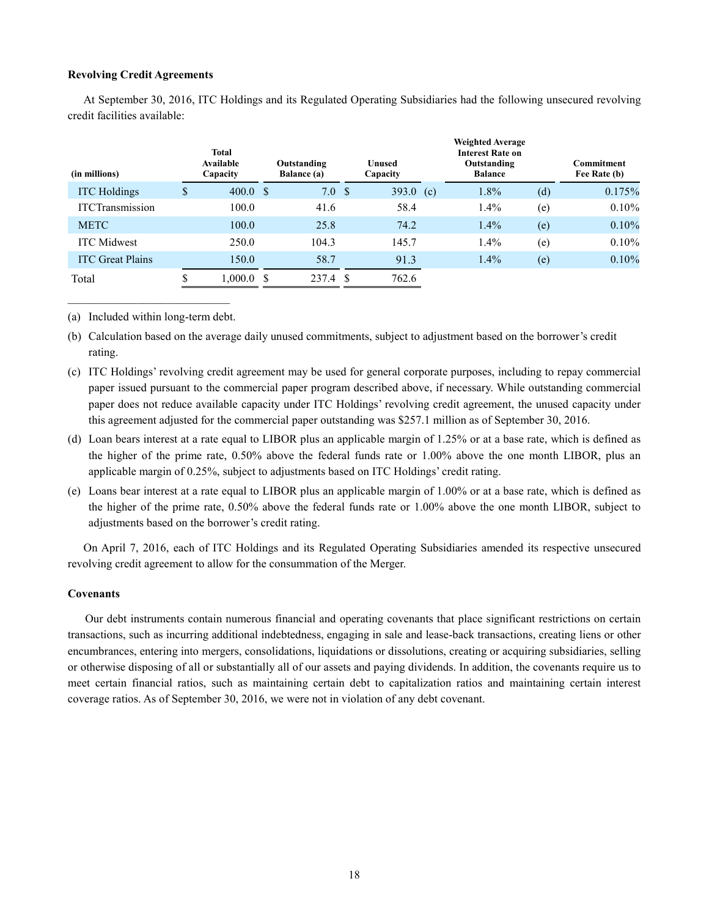#### **Revolving Credit Agreements**

At September 30, 2016, ITC Holdings and its Regulated Operating Subsidiaries had the following unsecured revolving credit facilities available:

| (in millions)           |    | <b>Total</b><br><b>Available</b><br>Capacity | Outstanding<br>Balance (a) |    | <b>Unused</b><br>Capacity |     | <b>Weighted Average</b><br><b>Interest Rate on</b><br>Outstanding<br><b>Balance</b> |     | <b>Commitment</b><br>Fee Rate (b) |
|-------------------------|----|----------------------------------------------|----------------------------|----|---------------------------|-----|-------------------------------------------------------------------------------------|-----|-----------------------------------|
| <b>ITC</b> Holdings     | \$ | 400.0 S                                      | 7.0                        | -S | 393.0                     | (c) | 1.8%                                                                                | (d) | 0.175%                            |
| <b>ITCTransmission</b>  |    | 100.0                                        | 41.6                       |    | 58.4                      |     | $1.4\%$                                                                             | (e) | 0.10%                             |
| <b>METC</b>             |    | 100.0                                        | 25.8                       |    | 74.2                      |     | 1.4%                                                                                | (e) | 0.10%                             |
| <b>ITC</b> Midwest      |    | 250.0                                        | 104.3                      |    | 145.7                     |     | $1.4\%$                                                                             | (e) | 0.10%                             |
| <b>ITC</b> Great Plains |    | 150.0                                        | 58.7                       |    | 91.3                      |     | $1.4\%$                                                                             | (e) | 0.10%                             |
| Total                   | ¢  | $1,000.0$ \$                                 | 237.4                      | S  | 762.6                     |     |                                                                                     |     |                                   |

\_\_\_\_\_\_\_\_\_\_\_\_\_\_\_\_\_\_\_\_\_\_\_\_\_\_\_\_ (a) Included within long-term debt.

- (b) Calculation based on the average daily unused commitments, subject to adjustment based on the borrower's credit rating.
- (c) ITC Holdings' revolving credit agreement may be used for general corporate purposes, including to repay commercial paper issued pursuant to the commercial paper program described above, if necessary. While outstanding commercial paper does not reduce available capacity under ITC Holdings' revolving credit agreement, the unused capacity under this agreement adjusted for the commercial paper outstanding was \$257.1 million as of September 30, 2016.
- (d) Loan bears interest at a rate equal to LIBOR plus an applicable margin of 1.25% or at a base rate, which is defined as the higher of the prime rate, 0.50% above the federal funds rate or 1.00% above the one month LIBOR, plus an applicable margin of 0.25%, subject to adjustments based on ITC Holdings' credit rating.
- (e) Loans bear interest at a rate equal to LIBOR plus an applicable margin of 1.00% or at a base rate, which is defined as the higher of the prime rate, 0.50% above the federal funds rate or 1.00% above the one month LIBOR, subject to adjustments based on the borrower's credit rating.

On April 7, 2016, each of ITC Holdings and its Regulated Operating Subsidiaries amended its respective unsecured revolving credit agreement to allow for the consummation of the Merger.

#### **Covenants**

Our debt instruments contain numerous financial and operating covenants that place significant restrictions on certain transactions, such as incurring additional indebtedness, engaging in sale and lease-back transactions, creating liens or other encumbrances, entering into mergers, consolidations, liquidations or dissolutions, creating or acquiring subsidiaries, selling or otherwise disposing of all or substantially all of our assets and paying dividends. In addition, the covenants require us to meet certain financial ratios, such as maintaining certain debt to capitalization ratios and maintaining certain interest coverage ratios. As of September 30, 2016, we were not in violation of any debt covenant.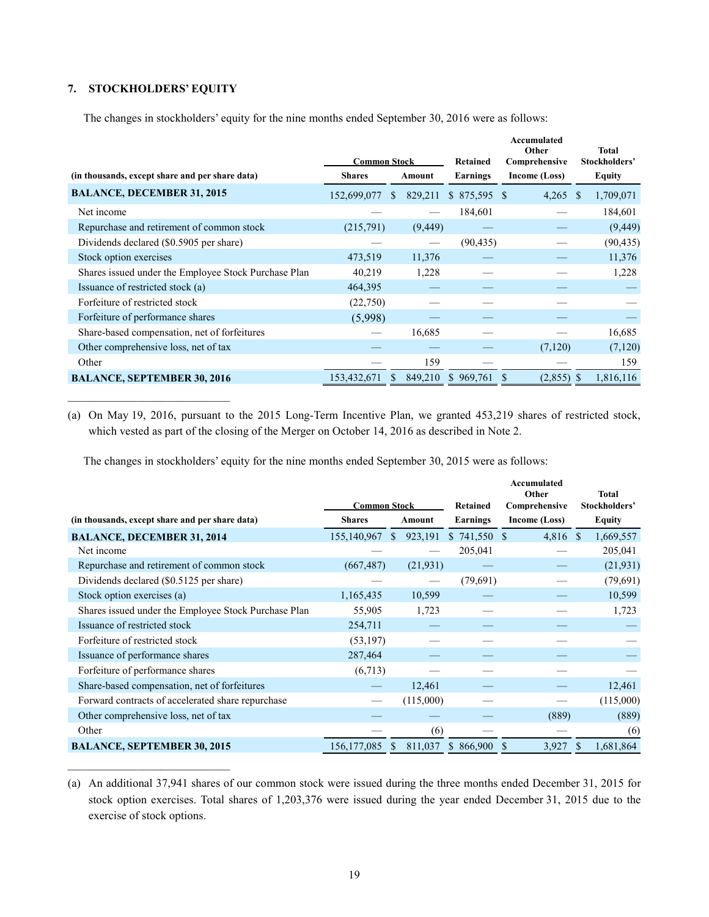### **7. STOCKHOLDERS' EQUITY**

 $\mathcal{L}_\text{max}$ 

 $\mathcal{L}_\text{max}$ 

The changes in stockholders' equity for the nine months ended September 30, 2016 were as follows:

|                                                      | <b>Common Stock</b> |    |          | Retained      | Accumulated<br>Other<br>Comprehensive |              | <b>Total</b><br>Stockholders' |
|------------------------------------------------------|---------------------|----|----------|---------------|---------------------------------------|--------------|-------------------------------|
| (in thousands, except share and per share data)      | <b>Shares</b>       |    | Amount   | Earnings      | Income (Loss)                         |              | Equity                        |
| <b>BALANCE, DECEMBER 31, 2015</b>                    | 152,699,077         | S. | 829,211  | $$875,595$ \$ | 4,265                                 | <sup>S</sup> | 1,709,071                     |
| Net income                                           |                     |    |          | 184,601       |                                       |              | 184,601                       |
| Repurchase and retirement of common stock            | (215,791)           |    | (9, 449) |               |                                       |              | (9, 449)                      |
| Dividends declared (\$0.5905 per share)              |                     |    |          | (90, 435)     |                                       |              | (90, 435)                     |
| Stock option exercises                               | 473,519             |    | 11,376   |               |                                       |              | 11,376                        |
| Shares issued under the Employee Stock Purchase Plan | 40,219              |    | 1,228    |               |                                       |              | 1,228                         |
| Issuance of restricted stock (a)                     | 464,395             |    |          |               |                                       |              |                               |
| Forfeiture of restricted stock                       | (22,750)            |    |          |               |                                       |              |                               |
| Forfeiture of performance shares                     | (5,998)             |    |          |               |                                       |              |                               |
| Share-based compensation, net of forfeitures         |                     |    | 16,685   |               |                                       |              | 16,685                        |
| Other comprehensive loss, net of tax                 |                     |    |          |               | (7,120)                               |              | (7,120)                       |
| Other                                                |                     |    | 159      |               |                                       |              | 159                           |
| <b>BALANCE, SEPTEMBER 30, 2016</b>                   | 153,432,671         | S. | 849,210  | \$969,761     | $(2,855)$ \$                          |              | 1,816,116                     |

(a) On May 19, 2016, pursuant to the 2015 Long-Term Incentive Plan, we granted 453,219 shares of restricted stock, which vested as part of the closing of the Merger on October 14, 2016 as described in Note 2.

The changes in stockholders' equity for the nine months ended September 30, 2015 were as follows:

|                                                      |                     |                          |                  | Accumulated<br>Other | <b>Total</b>               |       |
|------------------------------------------------------|---------------------|--------------------------|------------------|----------------------|----------------------------|-------|
|                                                      | <b>Common Stock</b> |                          | Retained         | Comprehensive        | Stockholders'              |       |
| (in thousands, except share and per share data)      | <b>Shares</b>       | Amount                   | Earnings         | Income (Loss)        | Equity                     |       |
| <b>BALANCE, DECEMBER 31, 2014</b>                    | 155,140,967         | 923,191<br><sup>\$</sup> | $$741,550$ \, \$ | 4,816 \$             | 1,669,557                  |       |
| Net income                                           |                     |                          | 205,041          |                      | 205,041                    |       |
| Repurchase and retirement of common stock            | (667, 487)          | (21, 931)                |                  |                      | (21, 931)                  |       |
| Dividends declared (\$0.5125 per share)              |                     |                          | (79,691)         |                      | (79,691)                   |       |
| Stock option exercises (a)                           | 1,165,435           | 10,599                   |                  |                      | 10,599                     |       |
| Shares issued under the Employee Stock Purchase Plan | 55,905              | 1,723                    |                  |                      |                            | 1,723 |
| Issuance of restricted stock                         | 254,711             |                          |                  |                      |                            |       |
| Forfeiture of restricted stock                       | (53, 197)           |                          |                  |                      |                            |       |
| Issuance of performance shares                       | 287,464             |                          |                  |                      |                            |       |
| Forfeiture of performance shares                     | (6,713)             |                          |                  |                      |                            |       |
| Share-based compensation, net of forfeitures         |                     | 12,461                   |                  |                      | 12,461                     |       |
| Forward contracts of accelerated share repurchase    |                     | (115,000)                |                  |                      | (115,000)                  |       |
| Other comprehensive loss, net of tax                 |                     |                          |                  | (889)                |                            | (889) |
| Other                                                |                     | (6)                      |                  |                      |                            | (6)   |
| <b>BALANCE, SEPTEMBER 30, 2015</b>                   | 156, 177, 085       | 811,037<br>S.            | \$866,900        | 3,927<br>S           | <sup>\$</sup><br>1,681,864 |       |

(a) An additional 37,941 shares of our common stock were issued during the three months ended December 31, 2015 for stock option exercises. Total shares of 1,203,376 were issued during the year ended December 31, 2015 due to the exercise of stock options.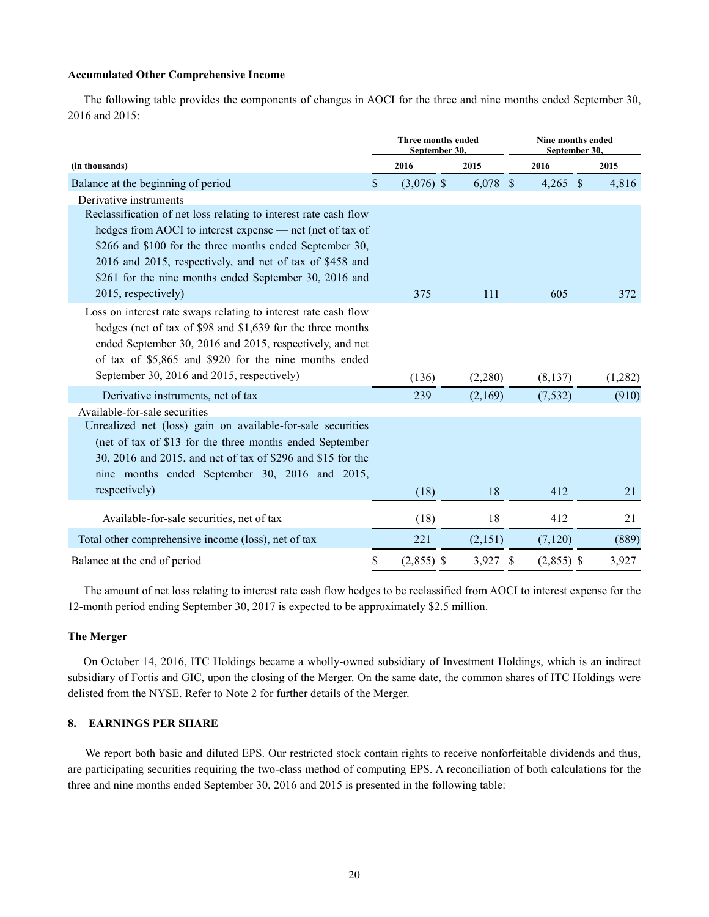#### **Accumulated Other Comprehensive Income**

The following table provides the components of changes in AOCI for the three and nine months ended September 30, 2016 and 2015:

|                                                                  |               | Three months ended<br>September 30. |  |            | Nine months ended<br>September 30. |              |  |         |  |
|------------------------------------------------------------------|---------------|-------------------------------------|--|------------|------------------------------------|--------------|--|---------|--|
| (in thousands)                                                   |               | 2016                                |  | 2015       |                                    | 2016         |  | 2015    |  |
| Balance at the beginning of period                               | $\mathcal{S}$ | $(3,076)$ \$                        |  | $6,078$ \$ |                                    | $4,265$ \$   |  | 4,816   |  |
| Derivative instruments                                           |               |                                     |  |            |                                    |              |  |         |  |
| Reclassification of net loss relating to interest rate cash flow |               |                                     |  |            |                                    |              |  |         |  |
| hedges from AOCI to interest expense — net (net of tax of        |               |                                     |  |            |                                    |              |  |         |  |
| \$266 and \$100 for the three months ended September 30,         |               |                                     |  |            |                                    |              |  |         |  |
| 2016 and 2015, respectively, and net of tax of \$458 and         |               |                                     |  |            |                                    |              |  |         |  |
| \$261 for the nine months ended September 30, 2016 and           |               |                                     |  |            |                                    |              |  |         |  |
| 2015, respectively)                                              |               | 375                                 |  | 111        |                                    | 605          |  | 372     |  |
| Loss on interest rate swaps relating to interest rate cash flow  |               |                                     |  |            |                                    |              |  |         |  |
| hedges (net of tax of \$98 and \$1,639 for the three months      |               |                                     |  |            |                                    |              |  |         |  |
| ended September 30, 2016 and 2015, respectively, and net         |               |                                     |  |            |                                    |              |  |         |  |
| of tax of \$5,865 and \$920 for the nine months ended            |               |                                     |  |            |                                    |              |  |         |  |
| September 30, 2016 and 2015, respectively)                       |               | (136)                               |  | (2,280)    |                                    | (8, 137)     |  | (1,282) |  |
| Derivative instruments, net of tax                               |               | 239                                 |  | (2,169)    |                                    | (7, 532)     |  | (910)   |  |
| Available-for-sale securities                                    |               |                                     |  |            |                                    |              |  |         |  |
| Unrealized net (loss) gain on available-for-sale securities      |               |                                     |  |            |                                    |              |  |         |  |
| (net of tax of \$13 for the three months ended September         |               |                                     |  |            |                                    |              |  |         |  |
| 30, 2016 and 2015, and net of tax of \$296 and \$15 for the      |               |                                     |  |            |                                    |              |  |         |  |
| nine months ended September 30, 2016 and 2015,                   |               |                                     |  |            |                                    |              |  |         |  |
| respectively)                                                    |               | (18)                                |  | 18         |                                    | 412          |  | 21      |  |
| Available-for-sale securities, net of tax                        |               | (18)                                |  | 18         |                                    | 412          |  | 21      |  |
| Total other comprehensive income (loss), net of tax              |               | 221                                 |  | (2,151)    |                                    | (7,120)      |  | (889)   |  |
| Balance at the end of period                                     | \$            | $(2,855)$ \$                        |  | 3,927      | <sup>\$</sup>                      | $(2,855)$ \$ |  | 3,927   |  |

The amount of net loss relating to interest rate cash flow hedges to be reclassified from AOCI to interest expense for the 12-month period ending September 30, 2017 is expected to be approximately \$2.5 million.

#### **The Merger**

On October 14, 2016, ITC Holdings became a wholly-owned subsidiary of Investment Holdings, which is an indirect subsidiary of Fortis and GIC, upon the closing of the Merger. On the same date, the common shares of ITC Holdings were delisted from the NYSE. Refer to Note 2 for further details of the Merger.

#### **8. EARNINGS PER SHARE**

We report both basic and diluted EPS. Our restricted stock contain rights to receive nonforfeitable dividends and thus, are participating securities requiring the two-class method of computing EPS. A reconciliation of both calculations for the three and nine months ended September 30, 2016 and 2015 is presented in the following table: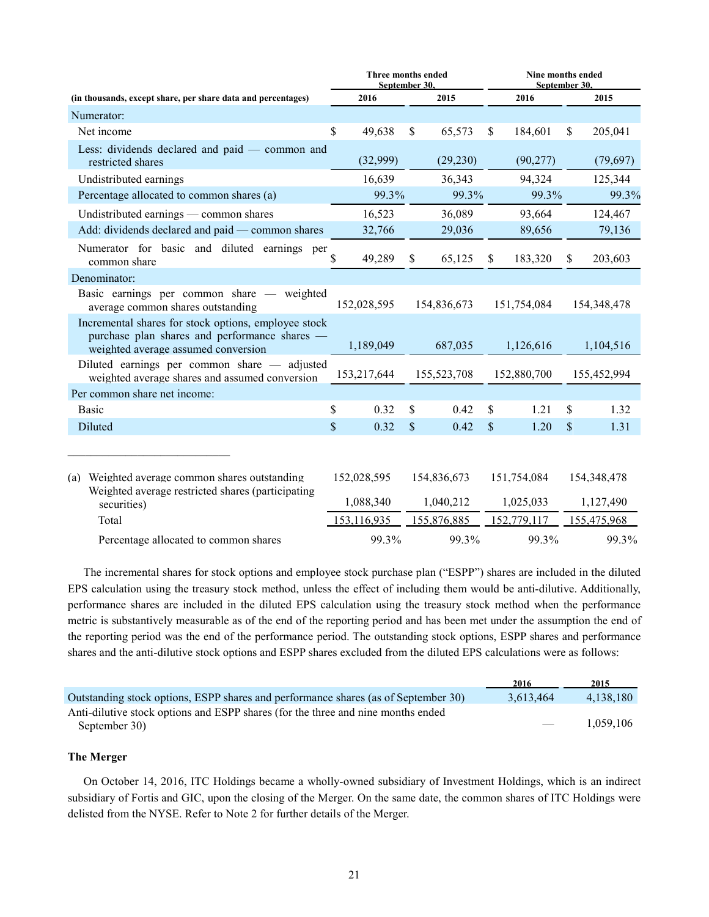|                                                                                                                                              | Three months ended<br>September 30. |                                         |    | Nine months ended<br>September 30.      |               |                                         |               |                                         |
|----------------------------------------------------------------------------------------------------------------------------------------------|-------------------------------------|-----------------------------------------|----|-----------------------------------------|---------------|-----------------------------------------|---------------|-----------------------------------------|
| (in thousands, except share, per share data and percentages)                                                                                 |                                     | 2016                                    |    | 2015                                    |               | 2016                                    |               | 2015                                    |
| Numerator:                                                                                                                                   |                                     |                                         |    |                                         |               |                                         |               |                                         |
| Net income                                                                                                                                   | \$                                  | 49,638                                  | \$ | 65,573                                  | \$.           | 184,601                                 | \$.           | 205,041                                 |
| Less: dividends declared and paid - common and<br>restricted shares                                                                          |                                     | (32,999)                                |    | (29, 230)                               |               | (90, 277)                               |               | (79,697)                                |
| Undistributed earnings                                                                                                                       |                                     | 16,639                                  |    | 36,343                                  |               | 94,324                                  |               | 125,344                                 |
| Percentage allocated to common shares (a)                                                                                                    |                                     | 99.3%                                   |    | 99.3%                                   |               | 99.3%                                   |               | 99.3%                                   |
| Undistributed earnings — common shares                                                                                                       |                                     | 16,523                                  |    | 36,089                                  |               | 93,664                                  |               | 124,467                                 |
| Add: dividends declared and paid — common shares                                                                                             |                                     | 32,766                                  |    | 29,036                                  |               | 89,656                                  |               | 79,136                                  |
| Numerator for basic and diluted earnings per<br>common share                                                                                 | \$                                  | 49,289                                  | S  | 65,125                                  | S             | 183,320                                 | S.            | 203,603                                 |
| Denominator:                                                                                                                                 |                                     |                                         |    |                                         |               |                                         |               |                                         |
| Basic earnings per common share - weighted<br>average common shares outstanding                                                              |                                     | 152,028,595                             |    | 154,836,673                             |               | 151,754,084                             |               | 154, 348, 478                           |
| Incremental shares for stock options, employee stock<br>purchase plan shares and performance shares -<br>weighted average assumed conversion |                                     | 1,189,049                               |    | 687,035                                 |               | 1,126,616                               |               | 1,104,516                               |
| Diluted earnings per common share - adjusted<br>weighted average shares and assumed conversion                                               |                                     | 153,217,644                             |    | 155,523,708                             |               | 152,880,700                             |               | 155,452,994                             |
| Per common share net income:                                                                                                                 |                                     |                                         |    |                                         |               |                                         |               |                                         |
| <b>Basic</b>                                                                                                                                 | \$                                  | 0.32                                    | \$ | 0.42                                    | \$            | 1.21                                    | \$            | 1.32                                    |
| Diluted                                                                                                                                      | \$                                  | 0.32                                    | \$ | 0.42                                    | $\mathcal{S}$ | 1.20                                    | $\mathcal{S}$ | 1.31                                    |
| (a) Weighted average common shares outstanding<br>Weighted average restricted shares (participating<br>securities)<br>Total                  |                                     | 152,028,595<br>1,088,340<br>153,116,935 |    | 154,836,673<br>1,040,212<br>155,876,885 |               | 151,754,084<br>1,025,033<br>152,779,117 |               | 154,348,478<br>1,127,490<br>155,475,968 |
| Percentage allocated to common shares                                                                                                        |                                     | 99.3%                                   |    | 99.3%                                   |               | 99.3%                                   |               | 99.3%                                   |

The incremental shares for stock options and employee stock purchase plan ("ESPP") shares are included in the diluted EPS calculation using the treasury stock method, unless the effect of including them would be anti-dilutive. Additionally, performance shares are included in the diluted EPS calculation using the treasury stock method when the performance metric is substantively measurable as of the end of the reporting period and has been met under the assumption the end of the reporting period was the end of the performance period. The outstanding stock options, ESPP shares and performance shares and the anti-dilutive stock options and ESPP shares excluded from the diluted EPS calculations were as follows:

|                                                                                                   | 2016                     | 2015      |
|---------------------------------------------------------------------------------------------------|--------------------------|-----------|
| Outstanding stock options, ESPP shares and performance shares (as of September 30)                | 3.613.464                | 4.138.180 |
| Anti-dilutive stock options and ESPP shares (for the three and nine months ended<br>September 30) | $\overline{\phantom{a}}$ | 1.059.106 |

#### **The Merger**

On October 14, 2016, ITC Holdings became a wholly-owned subsidiary of Investment Holdings, which is an indirect subsidiary of Fortis and GIC, upon the closing of the Merger. On the same date, the common shares of ITC Holdings were delisted from the NYSE. Refer to Note 2 for further details of the Merger.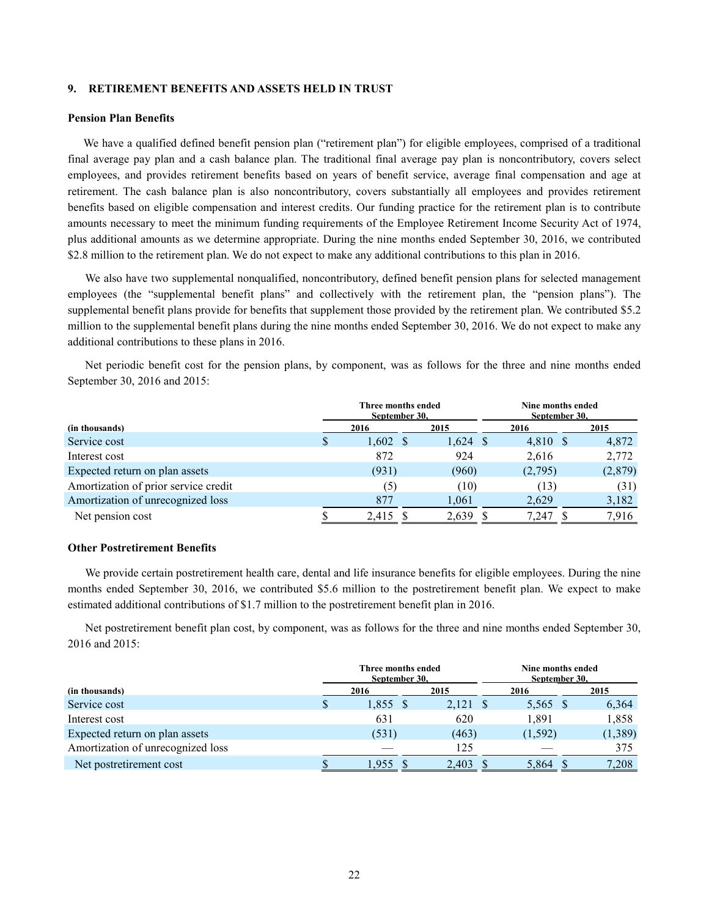#### **9. RETIREMENT BENEFITS AND ASSETS HELD IN TRUST**

#### **Pension Plan Benefits**

We have a qualified defined benefit pension plan ("retirement plan") for eligible employees, comprised of a traditional final average pay plan and a cash balance plan. The traditional final average pay plan is noncontributory, covers select employees, and provides retirement benefits based on years of benefit service, average final compensation and age at retirement. The cash balance plan is also noncontributory, covers substantially all employees and provides retirement benefits based on eligible compensation and interest credits. Our funding practice for the retirement plan is to contribute amounts necessary to meet the minimum funding requirements of the Employee Retirement Income Security Act of 1974, plus additional amounts as we determine appropriate. During the nine months ended September 30, 2016, we contributed \$2.8 million to the retirement plan. We do not expect to make any additional contributions to this plan in 2016.

We also have two supplemental nonqualified, noncontributory, defined benefit pension plans for selected management employees (the "supplemental benefit plans" and collectively with the retirement plan, the "pension plans"). The supplemental benefit plans provide for benefits that supplement those provided by the retirement plan. We contributed \$5.2 million to the supplemental benefit plans during the nine months ended September 30, 2016. We do not expect to make any additional contributions to these plans in 2016.

Net periodic benefit cost for the pension plans, by component, was as follows for the three and nine months ended September 30, 2016 and 2015:

|                                      |   | Three months ended<br>September 30. |      |            | Nine months ended<br>September 30. |  |         |  |  |
|--------------------------------------|---|-------------------------------------|------|------------|------------------------------------|--|---------|--|--|
| (in thousands)                       |   | 2016                                | 2015 |            | 2016                               |  | 2015    |  |  |
| Service cost                         | S | $1,602 \text{ }$ \$                 |      | $1,624$ \$ | 4,810 \$                           |  | 4,872   |  |  |
| Interest cost                        |   | 872                                 |      | 924        | 2,616                              |  | 2,772   |  |  |
| Expected return on plan assets       |   | (931)                               |      | (960)      | (2,795)                            |  | (2,879) |  |  |
| Amortization of prior service credit |   | (5)                                 |      | (10)       | (13)                               |  | (31)    |  |  |
| Amortization of unrecognized loss    |   | 877                                 |      | 1,061      | 2,629                              |  | 3,182   |  |  |
| Net pension cost                     |   | 2,415                               |      | 2,639      | 7.247                              |  | 7,916   |  |  |

#### **Other Postretirement Benefits**

We provide certain postretirement health care, dental and life insurance benefits for eligible employees. During the nine months ended September 30, 2016, we contributed \$5.6 million to the postretirement benefit plan. We expect to make estimated additional contributions of \$1.7 million to the postretirement benefit plan in 2016.

Net postretirement benefit plan cost, by component, was as follows for the three and nine months ended September 30, 2016 and 2015:

|                                   | Three months ended<br>September 30, |            |  |            |  |          | Nine months ended<br>September 30, |         |  |
|-----------------------------------|-------------------------------------|------------|--|------------|--|----------|------------------------------------|---------|--|
| (in thousands)                    |                                     | 2016       |  | 2015       |  | 2016     |                                    | 2015    |  |
| Service cost                      |                                     | $1,855$ \$ |  | $2,121$ \$ |  | 5,565 \$ |                                    | 6,364   |  |
| Interest cost                     |                                     | 631        |  | 620        |  | 1,891    |                                    | 1,858   |  |
| Expected return on plan assets    |                                     | (531)      |  | (463)      |  | (1, 592) |                                    | (1,389) |  |
| Amortization of unrecognized loss |                                     |            |  | 125        |  |          |                                    | 375     |  |
| Net postretirement cost           |                                     | .955       |  | 2,403      |  | 5,864    |                                    | 7,208   |  |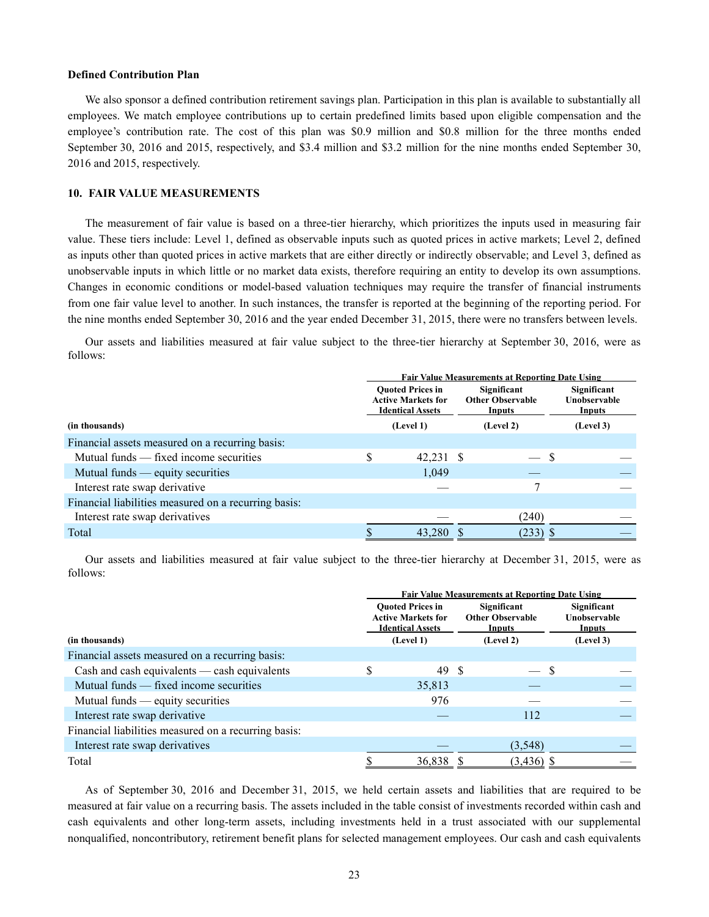#### **Defined Contribution Plan**

We also sponsor a defined contribution retirement savings plan. Participation in this plan is available to substantially all employees. We match employee contributions up to certain predefined limits based upon eligible compensation and the employee's contribution rate. The cost of this plan was \$0.9 million and \$0.8 million for the three months ended September 30, 2016 and 2015, respectively, and \$3.4 million and \$3.2 million for the nine months ended September 30, 2016 and 2015, respectively.

#### **10. FAIR VALUE MEASUREMENTS**

The measurement of fair value is based on a three-tier hierarchy, which prioritizes the inputs used in measuring fair value. These tiers include: Level 1, defined as observable inputs such as quoted prices in active markets; Level 2, defined as inputs other than quoted prices in active markets that are either directly or indirectly observable; and Level 3, defined as unobservable inputs in which little or no market data exists, therefore requiring an entity to develop its own assumptions. Changes in economic conditions or model-based valuation techniques may require the transfer of financial instruments from one fair value level to another. In such instances, the transfer is reported at the beginning of the reporting period. For the nine months ended September 30, 2016 and the year ended December 31, 2015, there were no transfers between levels.

Our assets and liabilities measured at fair value subject to the three-tier hierarchy at September 30, 2016, were as follows:

|                                                      | <b>Fair Value Measurements at Reporting Date Using</b> |                                                                                 |                                                  |                                       |  |  |  |  |  |
|------------------------------------------------------|--------------------------------------------------------|---------------------------------------------------------------------------------|--------------------------------------------------|---------------------------------------|--|--|--|--|--|
|                                                      |                                                        | <b>Ouoted Prices in</b><br><b>Active Markets for</b><br><b>Identical Assets</b> | Significant<br><b>Other Observable</b><br>Inputs | Significant<br>Unobservable<br>Inputs |  |  |  |  |  |
| (in thousands)                                       |                                                        | (Level 1)                                                                       | (Level 2)                                        | (Level 3)                             |  |  |  |  |  |
| Financial assets measured on a recurring basis:      |                                                        |                                                                                 |                                                  |                                       |  |  |  |  |  |
| Mutual funds — fixed income securities               |                                                        | 42,231 \$                                                                       |                                                  | S                                     |  |  |  |  |  |
| Mutual funds — equity securities                     |                                                        | 1,049                                                                           |                                                  |                                       |  |  |  |  |  |
| Interest rate swap derivative                        |                                                        |                                                                                 |                                                  |                                       |  |  |  |  |  |
| Financial liabilities measured on a recurring basis: |                                                        |                                                                                 |                                                  |                                       |  |  |  |  |  |
| Interest rate swap derivatives                       |                                                        |                                                                                 | (240)                                            |                                       |  |  |  |  |  |
| Total                                                |                                                        | 43,280                                                                          | $(233)$ \$                                       |                                       |  |  |  |  |  |

Our assets and liabilities measured at fair value subject to the three-tier hierarchy at December 31, 2015, were as follows:

|                                                      | <b>Fair Value Measurements at Reporting Date Using</b> |                                                                                              |                                                               |                                                    |  |  |  |
|------------------------------------------------------|--------------------------------------------------------|----------------------------------------------------------------------------------------------|---------------------------------------------------------------|----------------------------------------------------|--|--|--|
| (in thousands)                                       |                                                        | <b>Ouoted Prices in</b><br><b>Active Markets for</b><br><b>Identical Assets</b><br>(Level 1) | Significant<br><b>Other Observable</b><br>Inputs<br>(Level 2) | Significant<br>Unobservable<br>Inputs<br>(Level 3) |  |  |  |
| Financial assets measured on a recurring basis:      |                                                        |                                                                                              |                                                               |                                                    |  |  |  |
| Cash and cash equivalents — cash equivalents         |                                                        | 49                                                                                           | - S                                                           | -S                                                 |  |  |  |
| Mutual funds — fixed income securities               |                                                        | 35,813                                                                                       |                                                               |                                                    |  |  |  |
| Mutual funds — equity securities                     |                                                        | 976                                                                                          |                                                               |                                                    |  |  |  |
| Interest rate swap derivative                        |                                                        |                                                                                              | 112                                                           |                                                    |  |  |  |
| Financial liabilities measured on a recurring basis: |                                                        |                                                                                              |                                                               |                                                    |  |  |  |
| Interest rate swap derivatives                       |                                                        |                                                                                              | (3,548)                                                       |                                                    |  |  |  |
| Total                                                |                                                        | 36,838                                                                                       | $(3,436)$ \$                                                  |                                                    |  |  |  |

As of September 30, 2016 and December 31, 2015, we held certain assets and liabilities that are required to be measured at fair value on a recurring basis. The assets included in the table consist of investments recorded within cash and cash equivalents and other long-term assets, including investments held in a trust associated with our supplemental nonqualified, noncontributory, retirement benefit plans for selected management employees. Our cash and cash equivalents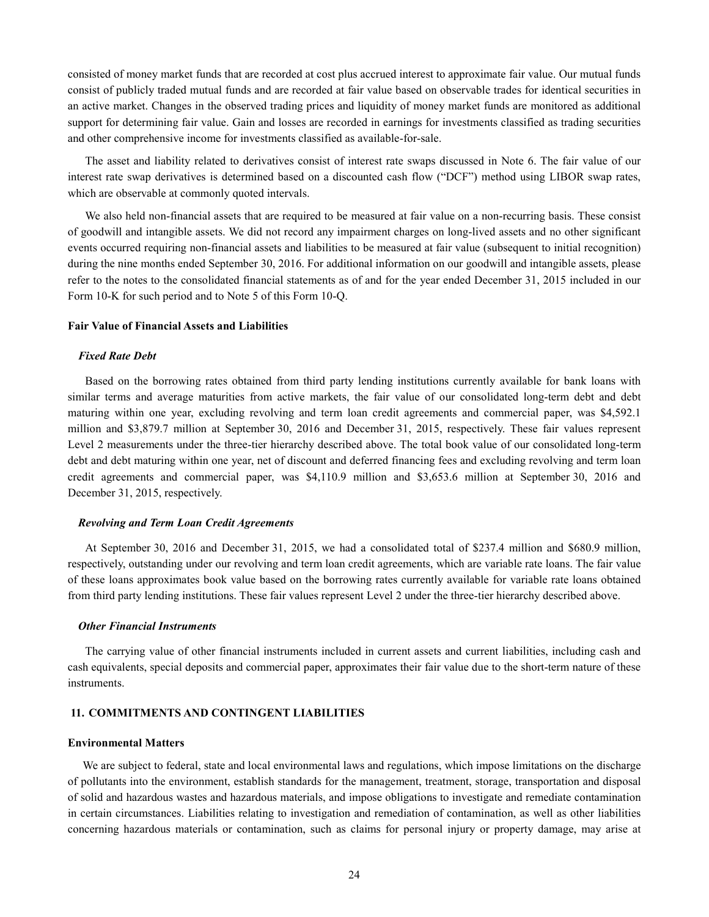consisted of money market funds that are recorded at cost plus accrued interest to approximate fair value. Our mutual funds consist of publicly traded mutual funds and are recorded at fair value based on observable trades for identical securities in an active market. Changes in the observed trading prices and liquidity of money market funds are monitored as additional support for determining fair value. Gain and losses are recorded in earnings for investments classified as trading securities and other comprehensive income for investments classified as available-for-sale.

The asset and liability related to derivatives consist of interest rate swaps discussed in Note 6. The fair value of our interest rate swap derivatives is determined based on a discounted cash flow ("DCF") method using LIBOR swap rates, which are observable at commonly quoted intervals.

We also held non-financial assets that are required to be measured at fair value on a non-recurring basis. These consist of goodwill and intangible assets. We did not record any impairment charges on long-lived assets and no other significant events occurred requiring non-financial assets and liabilities to be measured at fair value (subsequent to initial recognition) during the nine months ended September 30, 2016. For additional information on our goodwill and intangible assets, please refer to the notes to the consolidated financial statements as of and for the year ended December 31, 2015 included in our Form 10-K for such period and to Note 5 of this Form 10-Q.

#### **Fair Value of Financial Assets and Liabilities**

#### *Fixed Rate Debt*

Based on the borrowing rates obtained from third party lending institutions currently available for bank loans with similar terms and average maturities from active markets, the fair value of our consolidated long-term debt and debt maturing within one year, excluding revolving and term loan credit agreements and commercial paper, was \$4,592.1 million and \$3,879.7 million at September 30, 2016 and December 31, 2015, respectively. These fair values represent Level 2 measurements under the three-tier hierarchy described above. The total book value of our consolidated long-term debt and debt maturing within one year, net of discount and deferred financing fees and excluding revolving and term loan credit agreements and commercial paper, was \$4,110.9 million and \$3,653.6 million at September 30, 2016 and December 31, 2015, respectively.

#### *Revolving and Term Loan Credit Agreements*

At September 30, 2016 and December 31, 2015, we had a consolidated total of \$237.4 million and \$680.9 million, respectively, outstanding under our revolving and term loan credit agreements, which are variable rate loans. The fair value of these loans approximates book value based on the borrowing rates currently available for variable rate loans obtained from third party lending institutions. These fair values represent Level 2 under the three-tier hierarchy described above.

#### *Other Financial Instruments*

The carrying value of other financial instruments included in current assets and current liabilities, including cash and cash equivalents, special deposits and commercial paper, approximates their fair value due to the short-term nature of these instruments.

#### **11. COMMITMENTS AND CONTINGENT LIABILITIES**

#### **Environmental Matters**

We are subject to federal, state and local environmental laws and regulations, which impose limitations on the discharge of pollutants into the environment, establish standards for the management, treatment, storage, transportation and disposal of solid and hazardous wastes and hazardous materials, and impose obligations to investigate and remediate contamination in certain circumstances. Liabilities relating to investigation and remediation of contamination, as well as other liabilities concerning hazardous materials or contamination, such as claims for personal injury or property damage, may arise at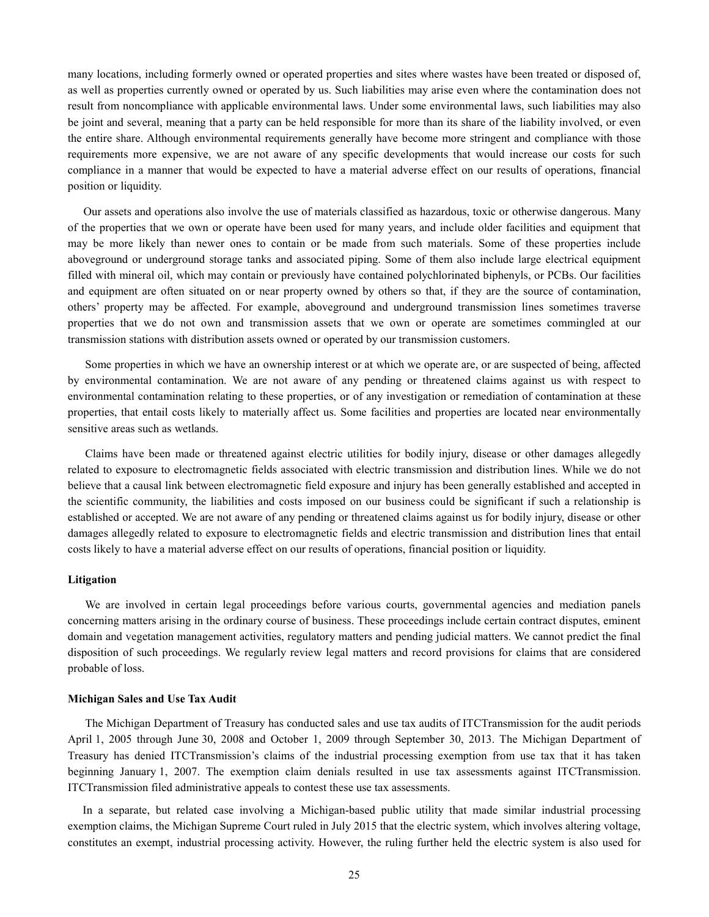many locations, including formerly owned or operated properties and sites where wastes have been treated or disposed of, as well as properties currently owned or operated by us. Such liabilities may arise even where the contamination does not result from noncompliance with applicable environmental laws. Under some environmental laws, such liabilities may also be joint and several, meaning that a party can be held responsible for more than its share of the liability involved, or even the entire share. Although environmental requirements generally have become more stringent and compliance with those requirements more expensive, we are not aware of any specific developments that would increase our costs for such compliance in a manner that would be expected to have a material adverse effect on our results of operations, financial position or liquidity.

Our assets and operations also involve the use of materials classified as hazardous, toxic or otherwise dangerous. Many of the properties that we own or operate have been used for many years, and include older facilities and equipment that may be more likely than newer ones to contain or be made from such materials. Some of these properties include aboveground or underground storage tanks and associated piping. Some of them also include large electrical equipment filled with mineral oil, which may contain or previously have contained polychlorinated biphenyls, or PCBs. Our facilities and equipment are often situated on or near property owned by others so that, if they are the source of contamination, others' property may be affected. For example, aboveground and underground transmission lines sometimes traverse properties that we do not own and transmission assets that we own or operate are sometimes commingled at our transmission stations with distribution assets owned or operated by our transmission customers.

Some properties in which we have an ownership interest or at which we operate are, or are suspected of being, affected by environmental contamination. We are not aware of any pending or threatened claims against us with respect to environmental contamination relating to these properties, or of any investigation or remediation of contamination at these properties, that entail costs likely to materially affect us. Some facilities and properties are located near environmentally sensitive areas such as wetlands.

Claims have been made or threatened against electric utilities for bodily injury, disease or other damages allegedly related to exposure to electromagnetic fields associated with electric transmission and distribution lines. While we do not believe that a causal link between electromagnetic field exposure and injury has been generally established and accepted in the scientific community, the liabilities and costs imposed on our business could be significant if such a relationship is established or accepted. We are not aware of any pending or threatened claims against us for bodily injury, disease or other damages allegedly related to exposure to electromagnetic fields and electric transmission and distribution lines that entail costs likely to have a material adverse effect on our results of operations, financial position or liquidity.

#### **Litigation**

We are involved in certain legal proceedings before various courts, governmental agencies and mediation panels concerning matters arising in the ordinary course of business. These proceedings include certain contract disputes, eminent domain and vegetation management activities, regulatory matters and pending judicial matters. We cannot predict the final disposition of such proceedings. We regularly review legal matters and record provisions for claims that are considered probable of loss.

#### **Michigan Sales and Use Tax Audit**

The Michigan Department of Treasury has conducted sales and use tax audits of ITCTransmission for the audit periods April 1, 2005 through June 30, 2008 and October 1, 2009 through September 30, 2013. The Michigan Department of Treasury has denied ITCTransmission's claims of the industrial processing exemption from use tax that it has taken beginning January 1, 2007. The exemption claim denials resulted in use tax assessments against ITCTransmission. ITCTransmission filed administrative appeals to contest these use tax assessments.

In a separate, but related case involving a Michigan-based public utility that made similar industrial processing exemption claims, the Michigan Supreme Court ruled in July 2015 that the electric system, which involves altering voltage, constitutes an exempt, industrial processing activity. However, the ruling further held the electric system is also used for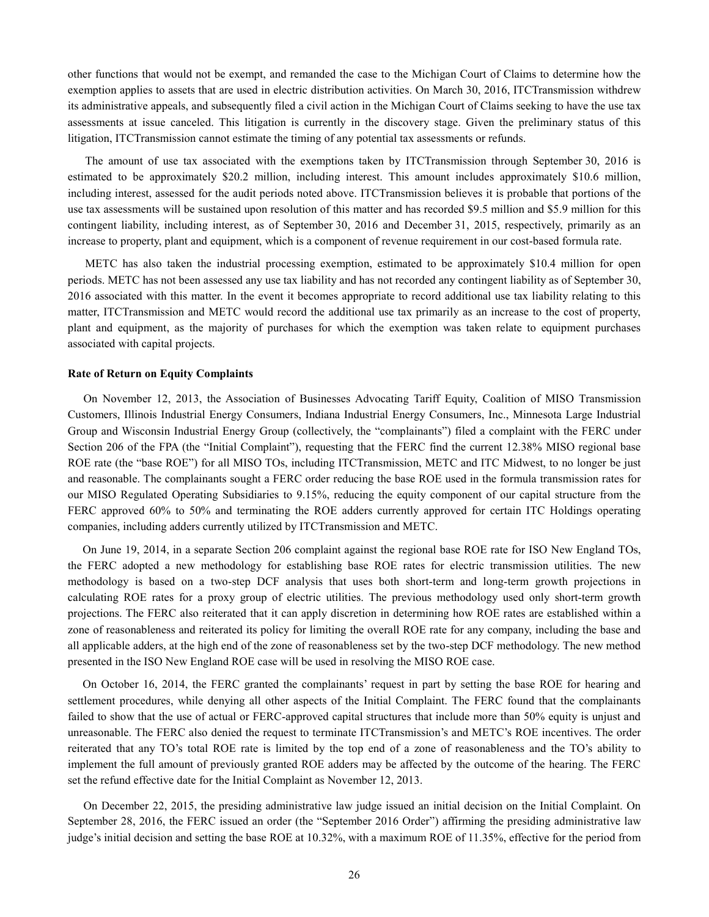other functions that would not be exempt, and remanded the case to the Michigan Court of Claims to determine how the exemption applies to assets that are used in electric distribution activities. On March 30, 2016, ITCTransmission withdrew its administrative appeals, and subsequently filed a civil action in the Michigan Court of Claims seeking to have the use tax assessments at issue canceled. This litigation is currently in the discovery stage. Given the preliminary status of this litigation, ITCTransmission cannot estimate the timing of any potential tax assessments or refunds.

The amount of use tax associated with the exemptions taken by ITCTransmission through September 30, 2016 is estimated to be approximately \$20.2 million, including interest. This amount includes approximately \$10.6 million, including interest, assessed for the audit periods noted above. ITCTransmission believes it is probable that portions of the use tax assessments will be sustained upon resolution of this matter and has recorded \$9.5 million and \$5.9 million for this contingent liability, including interest, as of September 30, 2016 and December 31, 2015, respectively, primarily as an increase to property, plant and equipment, which is a component of revenue requirement in our cost-based formula rate.

METC has also taken the industrial processing exemption, estimated to be approximately \$10.4 million for open periods. METC has not been assessed any use tax liability and has not recorded any contingent liability as of September 30, 2016 associated with this matter. In the event it becomes appropriate to record additional use tax liability relating to this matter, ITCTransmission and METC would record the additional use tax primarily as an increase to the cost of property, plant and equipment, as the majority of purchases for which the exemption was taken relate to equipment purchases associated with capital projects.

#### **Rate of Return on Equity Complaints**

On November 12, 2013, the Association of Businesses Advocating Tariff Equity, Coalition of MISO Transmission Customers, Illinois Industrial Energy Consumers, Indiana Industrial Energy Consumers, Inc., Minnesota Large Industrial Group and Wisconsin Industrial Energy Group (collectively, the "complainants") filed a complaint with the FERC under Section 206 of the FPA (the "Initial Complaint"), requesting that the FERC find the current 12.38% MISO regional base ROE rate (the "base ROE") for all MISO TOs, including ITCTransmission, METC and ITC Midwest, to no longer be just and reasonable. The complainants sought a FERC order reducing the base ROE used in the formula transmission rates for our MISO Regulated Operating Subsidiaries to 9.15%, reducing the equity component of our capital structure from the FERC approved 60% to 50% and terminating the ROE adders currently approved for certain ITC Holdings operating companies, including adders currently utilized by ITCTransmission and METC.

On June 19, 2014, in a separate Section 206 complaint against the regional base ROE rate for ISO New England TOs, the FERC adopted a new methodology for establishing base ROE rates for electric transmission utilities. The new methodology is based on a two-step DCF analysis that uses both short-term and long-term growth projections in calculating ROE rates for a proxy group of electric utilities. The previous methodology used only short-term growth projections. The FERC also reiterated that it can apply discretion in determining how ROE rates are established within a zone of reasonableness and reiterated its policy for limiting the overall ROE rate for any company, including the base and all applicable adders, at the high end of the zone of reasonableness set by the two-step DCF methodology. The new method presented in the ISO New England ROE case will be used in resolving the MISO ROE case.

On October 16, 2014, the FERC granted the complainants' request in part by setting the base ROE for hearing and settlement procedures, while denying all other aspects of the Initial Complaint. The FERC found that the complainants failed to show that the use of actual or FERC-approved capital structures that include more than 50% equity is unjust and unreasonable. The FERC also denied the request to terminate ITCTransmission's and METC's ROE incentives. The order reiterated that any TO's total ROE rate is limited by the top end of a zone of reasonableness and the TO's ability to implement the full amount of previously granted ROE adders may be affected by the outcome of the hearing. The FERC set the refund effective date for the Initial Complaint as November 12, 2013.

On December 22, 2015, the presiding administrative law judge issued an initial decision on the Initial Complaint. On September 28, 2016, the FERC issued an order (the "September 2016 Order") affirming the presiding administrative law judge's initial decision and setting the base ROE at 10.32%, with a maximum ROE of 11.35%, effective for the period from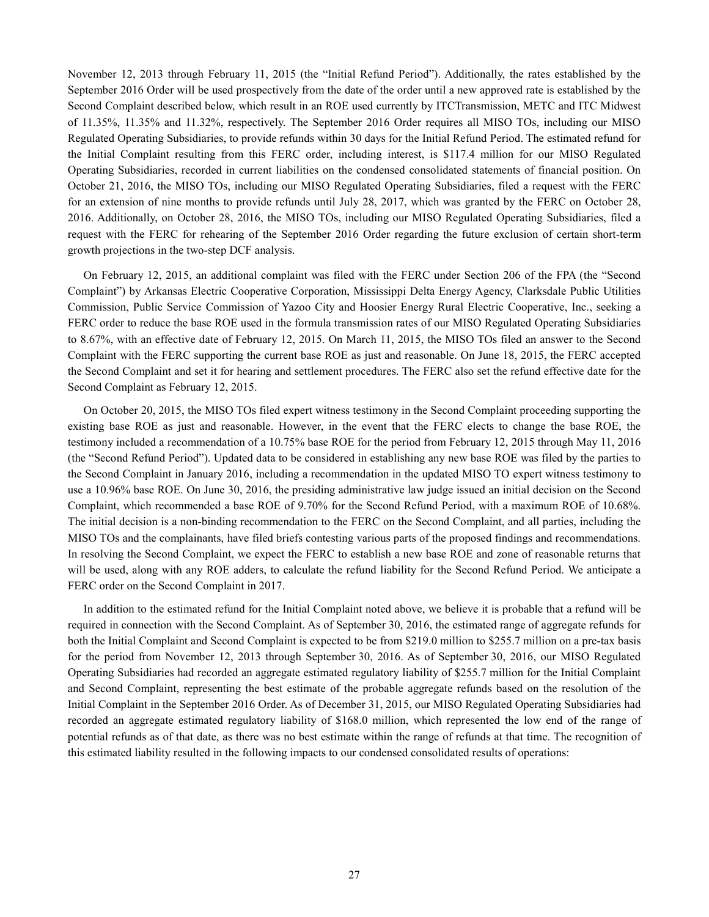November 12, 2013 through February 11, 2015 (the "Initial Refund Period"). Additionally, the rates established by the September 2016 Order will be used prospectively from the date of the order until a new approved rate is established by the Second Complaint described below, which result in an ROE used currently by ITCTransmission, METC and ITC Midwest of 11.35%, 11.35% and 11.32%, respectively. The September 2016 Order requires all MISO TOs, including our MISO Regulated Operating Subsidiaries, to provide refunds within 30 days for the Initial Refund Period. The estimated refund for the Initial Complaint resulting from this FERC order, including interest, is \$117.4 million for our MISO Regulated Operating Subsidiaries, recorded in current liabilities on the condensed consolidated statements of financial position. On October 21, 2016, the MISO TOs, including our MISO Regulated Operating Subsidiaries, filed a request with the FERC for an extension of nine months to provide refunds until July 28, 2017, which was granted by the FERC on October 28, 2016. Additionally, on October 28, 2016, the MISO TOs, including our MISO Regulated Operating Subsidiaries, filed a request with the FERC for rehearing of the September 2016 Order regarding the future exclusion of certain short-term growth projections in the two-step DCF analysis.

On February 12, 2015, an additional complaint was filed with the FERC under Section 206 of the FPA (the "Second Complaint") by Arkansas Electric Cooperative Corporation, Mississippi Delta Energy Agency, Clarksdale Public Utilities Commission, Public Service Commission of Yazoo City and Hoosier Energy Rural Electric Cooperative, Inc., seeking a FERC order to reduce the base ROE used in the formula transmission rates of our MISO Regulated Operating Subsidiaries to 8.67%, with an effective date of February 12, 2015. On March 11, 2015, the MISO TOs filed an answer to the Second Complaint with the FERC supporting the current base ROE as just and reasonable. On June 18, 2015, the FERC accepted the Second Complaint and set it for hearing and settlement procedures. The FERC also set the refund effective date for the Second Complaint as February 12, 2015.

On October 20, 2015, the MISO TOs filed expert witness testimony in the Second Complaint proceeding supporting the existing base ROE as just and reasonable. However, in the event that the FERC elects to change the base ROE, the testimony included a recommendation of a 10.75% base ROE for the period from February 12, 2015 through May 11, 2016 (the "Second Refund Period"). Updated data to be considered in establishing any new base ROE was filed by the parties to the Second Complaint in January 2016, including a recommendation in the updated MISO TO expert witness testimony to use a 10.96% base ROE. On June 30, 2016, the presiding administrative law judge issued an initial decision on the Second Complaint, which recommended a base ROE of 9.70% for the Second Refund Period, with a maximum ROE of 10.68%. The initial decision is a non-binding recommendation to the FERC on the Second Complaint, and all parties, including the MISO TOs and the complainants, have filed briefs contesting various parts of the proposed findings and recommendations. In resolving the Second Complaint, we expect the FERC to establish a new base ROE and zone of reasonable returns that will be used, along with any ROE adders, to calculate the refund liability for the Second Refund Period. We anticipate a FERC order on the Second Complaint in 2017.

In addition to the estimated refund for the Initial Complaint noted above, we believe it is probable that a refund will be required in connection with the Second Complaint. As of September 30, 2016, the estimated range of aggregate refunds for both the Initial Complaint and Second Complaint is expected to be from \$219.0 million to \$255.7 million on a pre-tax basis for the period from November 12, 2013 through September 30, 2016. As of September 30, 2016, our MISO Regulated Operating Subsidiaries had recorded an aggregate estimated regulatory liability of \$255.7 million for the Initial Complaint and Second Complaint, representing the best estimate of the probable aggregate refunds based on the resolution of the Initial Complaint in the September 2016 Order. As of December 31, 2015, our MISO Regulated Operating Subsidiaries had recorded an aggregate estimated regulatory liability of \$168.0 million, which represented the low end of the range of potential refunds as of that date, as there was no best estimate within the range of refunds at that time. The recognition of this estimated liability resulted in the following impacts to our condensed consolidated results of operations: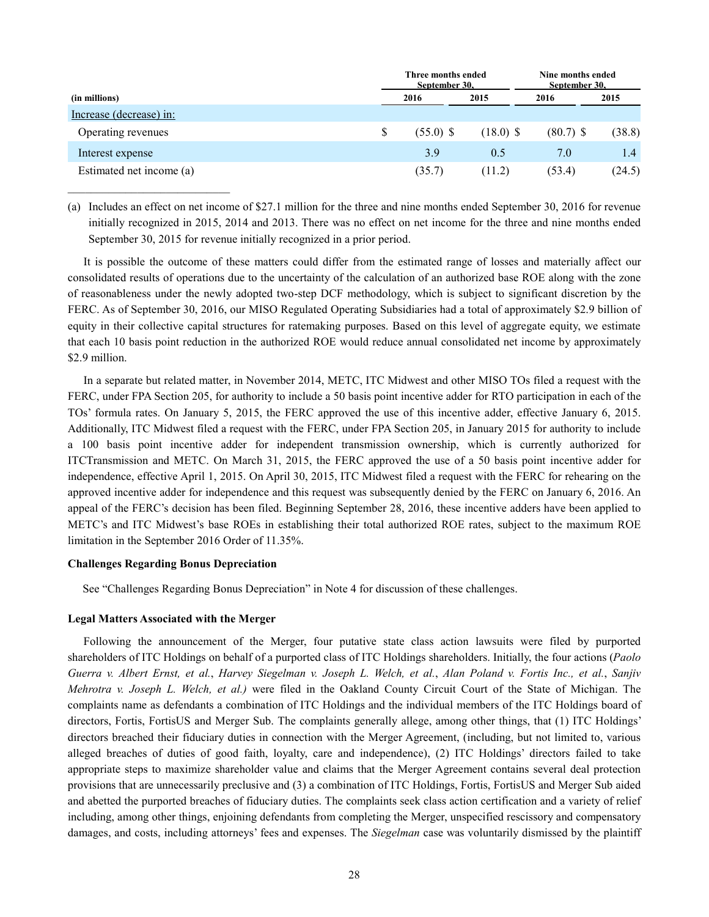|                          |  | Three months ended<br>September 30. |             | Nine months ended<br>September 30. |        |  |
|--------------------------|--|-------------------------------------|-------------|------------------------------------|--------|--|
| (in millions)            |  | 2016                                | 2015        | 2016                               | 2015   |  |
| Increase (decrease) in:  |  |                                     |             |                                    |        |  |
| Operating revenues       |  | $(55.0)$ \$                         | $(18.0)$ \$ | $(80.7)$ \$                        | (38.8) |  |
| Interest expense         |  | 3.9                                 | 0.5         | 7.0                                | 1.4    |  |
| Estimated net income (a) |  | (35.7)                              | (11.2)      | (53.4)                             | (24.5) |  |

(a) Includes an effect on net income of \$27.1 million for the three and nine months ended September 30, 2016 for revenue initially recognized in 2015, 2014 and 2013. There was no effect on net income for the three and nine months ended September 30, 2015 for revenue initially recognized in a prior period.

It is possible the outcome of these matters could differ from the estimated range of losses and materially affect our consolidated results of operations due to the uncertainty of the calculation of an authorized base ROE along with the zone of reasonableness under the newly adopted two-step DCF methodology, which is subject to significant discretion by the FERC. As of September 30, 2016, our MISO Regulated Operating Subsidiaries had a total of approximately \$2.9 billion of equity in their collective capital structures for ratemaking purposes. Based on this level of aggregate equity, we estimate that each 10 basis point reduction in the authorized ROE would reduce annual consolidated net income by approximately \$2.9 million.

In a separate but related matter, in November 2014, METC, ITC Midwest and other MISO TOs filed a request with the FERC, under FPA Section 205, for authority to include a 50 basis point incentive adder for RTO participation in each of the TOs' formula rates. On January 5, 2015, the FERC approved the use of this incentive adder, effective January 6, 2015. Additionally, ITC Midwest filed a request with the FERC, under FPA Section 205, in January 2015 for authority to include a 100 basis point incentive adder for independent transmission ownership, which is currently authorized for ITCTransmission and METC. On March 31, 2015, the FERC approved the use of a 50 basis point incentive adder for independence, effective April 1, 2015. On April 30, 2015, ITC Midwest filed a request with the FERC for rehearing on the approved incentive adder for independence and this request was subsequently denied by the FERC on January 6, 2016. An appeal of the FERC's decision has been filed. Beginning September 28, 2016, these incentive adders have been applied to METC's and ITC Midwest's base ROEs in establishing their total authorized ROE rates, subject to the maximum ROE limitation in the September 2016 Order of 11.35%.

#### **Challenges Regarding Bonus Depreciation**

 $\mathcal{L}_\text{max}$ 

See "Challenges Regarding Bonus Depreciation" in Note 4 for discussion of these challenges.

#### **Legal Matters Associated with the Merger**

Following the announcement of the Merger, four putative state class action lawsuits were filed by purported shareholders of ITC Holdings on behalf of a purported class of ITC Holdings shareholders. Initially, the four actions (*Paolo Guerra v. Albert Ernst, et al.*, *Harvey Siegelman v. Joseph L. Welch, et al.*, *Alan Poland v. Fortis Inc., et al.*, *Sanjiv Mehrotra v. Joseph L. Welch, et al.)* were filed in the Oakland County Circuit Court of the State of Michigan. The complaints name as defendants a combination of ITC Holdings and the individual members of the ITC Holdings board of directors, Fortis, FortisUS and Merger Sub. The complaints generally allege, among other things, that (1) ITC Holdings' directors breached their fiduciary duties in connection with the Merger Agreement, (including, but not limited to, various alleged breaches of duties of good faith, loyalty, care and independence), (2) ITC Holdings' directors failed to take appropriate steps to maximize shareholder value and claims that the Merger Agreement contains several deal protection provisions that are unnecessarily preclusive and (3) a combination of ITC Holdings, Fortis, FortisUS and Merger Sub aided and abetted the purported breaches of fiduciary duties. The complaints seek class action certification and a variety of relief including, among other things, enjoining defendants from completing the Merger, unspecified rescissory and compensatory damages, and costs, including attorneys' fees and expenses. The *Siegelman* case was voluntarily dismissed by the plaintiff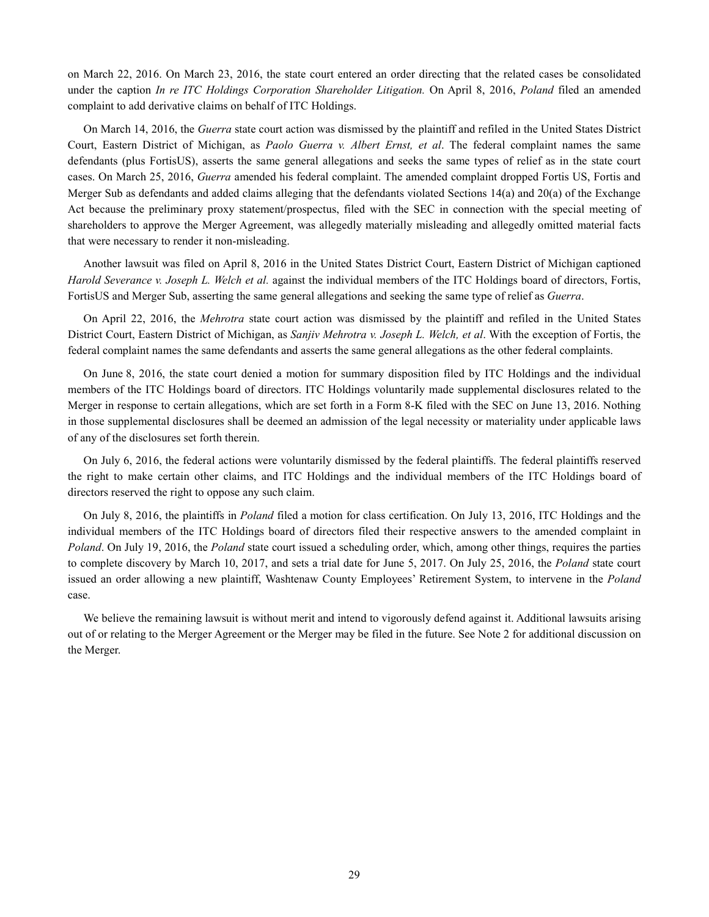on March 22, 2016. On March 23, 2016, the state court entered an order directing that the related cases be consolidated under the caption *In re ITC Holdings Corporation Shareholder Litigation.* On April 8, 2016, *Poland* filed an amended complaint to add derivative claims on behalf of ITC Holdings.

On March 14, 2016, the *Guerra* state court action was dismissed by the plaintiff and refiled in the United States District Court, Eastern District of Michigan, as *Paolo Guerra v. Albert Ernst, et al*. The federal complaint names the same defendants (plus FortisUS), asserts the same general allegations and seeks the same types of relief as in the state court cases. On March 25, 2016, *Guerra* amended his federal complaint. The amended complaint dropped Fortis US, Fortis and Merger Sub as defendants and added claims alleging that the defendants violated Sections 14(a) and 20(a) of the Exchange Act because the preliminary proxy statement/prospectus, filed with the SEC in connection with the special meeting of shareholders to approve the Merger Agreement, was allegedly materially misleading and allegedly omitted material facts that were necessary to render it non-misleading.

Another lawsuit was filed on April 8, 2016 in the United States District Court, Eastern District of Michigan captioned *Harold Severance v. Joseph L. Welch et al.* against the individual members of the ITC Holdings board of directors, Fortis, FortisUS and Merger Sub, asserting the same general allegations and seeking the same type of relief as *Guerra*.

On April 22, 2016, the *Mehrotra* state court action was dismissed by the plaintiff and refiled in the United States District Court, Eastern District of Michigan, as *Sanjiv Mehrotra v. Joseph L. Welch, et al*. With the exception of Fortis, the federal complaint names the same defendants and asserts the same general allegations as the other federal complaints.

On June 8, 2016, the state court denied a motion for summary disposition filed by ITC Holdings and the individual members of the ITC Holdings board of directors. ITC Holdings voluntarily made supplemental disclosures related to the Merger in response to certain allegations, which are set forth in a Form 8-K filed with the SEC on June 13, 2016. Nothing in those supplemental disclosures shall be deemed an admission of the legal necessity or materiality under applicable laws of any of the disclosures set forth therein.

On July 6, 2016, the federal actions were voluntarily dismissed by the federal plaintiffs. The federal plaintiffs reserved the right to make certain other claims, and ITC Holdings and the individual members of the ITC Holdings board of directors reserved the right to oppose any such claim.

On July 8, 2016, the plaintiffs in *Poland* filed a motion for class certification. On July 13, 2016, ITC Holdings and the individual members of the ITC Holdings board of directors filed their respective answers to the amended complaint in *Poland*. On July 19, 2016, the *Poland* state court issued a scheduling order, which, among other things, requires the parties to complete discovery by March 10, 2017, and sets a trial date for June 5, 2017. On July 25, 2016, the *Poland* state court issued an order allowing a new plaintiff, Washtenaw County Employees' Retirement System, to intervene in the *Poland*  case.

We believe the remaining lawsuit is without merit and intend to vigorously defend against it. Additional lawsuits arising out of or relating to the Merger Agreement or the Merger may be filed in the future. See Note 2 for additional discussion on the Merger.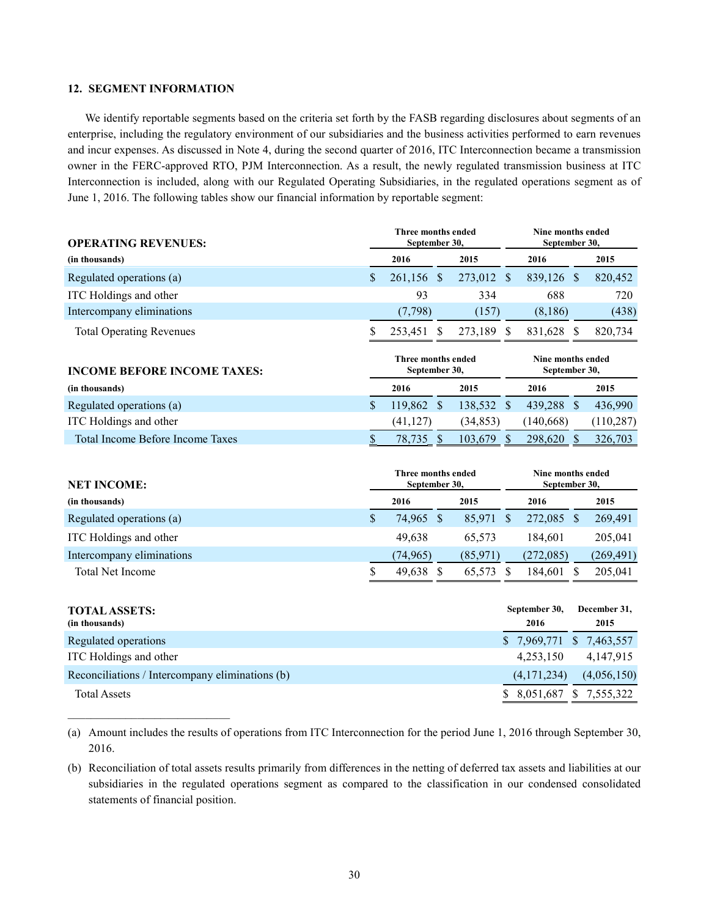# **12. SEGMENT INFORMATION**

\_\_\_\_\_\_\_\_\_\_\_\_\_\_\_\_\_\_\_\_\_\_\_\_\_\_\_\_

We identify reportable segments based on the criteria set forth by the FASB regarding disclosures about segments of an enterprise, including the regulatory environment of our subsidiaries and the business activities performed to earn revenues and incur expenses. As discussed in Note 4, during the second quarter of 2016, ITC Interconnection became a transmission owner in the FERC-approved RTO, PJM Interconnection. As a result, the newly regulated transmission business at ITC Interconnection is included, along with our Regulated Operating Subsidiaries, in the regulated operations segment as of June 1, 2016. The following tables show our financial information by reportable segment:

| <b>OPERATING REVENUES:</b>                      |               | Three months ended<br>September 30, |               | Nine months ended<br>September 30, |                                    |                                    |               |                      |
|-------------------------------------------------|---------------|-------------------------------------|---------------|------------------------------------|------------------------------------|------------------------------------|---------------|----------------------|
| (in thousands)                                  |               | 2016                                |               | 2015                               |                                    | 2016                               |               | 2015                 |
| Regulated operations (a)                        | \$            | 261,156 \$                          |               | 273,012 \$                         |                                    | 839,126 \$                         |               | 820,452              |
| ITC Holdings and other                          |               | 93                                  |               | 334                                |                                    | 688                                |               | 720                  |
| Intercompany eliminations                       |               | (7,798)                             |               | (157)                              |                                    | (8,186)                            |               | (438)                |
| <b>Total Operating Revenues</b>                 | S             | 253,451                             | <sup>\$</sup> | 273,189                            | <sup>S</sup>                       | 831,628                            | $\mathbb{S}$  | 820,734              |
| <b>INCOME BEFORE INCOME TAXES:</b>              |               | Three months ended<br>September 30, |               |                                    |                                    | Nine months ended<br>September 30, |               |                      |
| (in thousands)                                  |               | 2016                                |               | 2015                               |                                    | 2016                               |               | 2015                 |
| Regulated operations (a)                        | \$            | 119,862 \$                          |               | 138,532 \$                         |                                    | 439,288 \$                         |               | 436,990              |
| ITC Holdings and other                          |               | (41, 127)                           |               | (34, 853)                          |                                    | (140, 668)                         |               | (110, 287)           |
| <b>Total Income Before Income Taxes</b>         | \$            | 78,735                              | $\mathcal{S}$ | 103,679                            | $\mathcal{S}$                      | 298,620 \$                         |               | 326,703              |
| <b>NET INCOME:</b>                              |               | Three months ended<br>September 30, |               |                                    | Nine months ended<br>September 30, |                                    |               |                      |
| (in thousands)                                  |               | 2016                                |               | 2015                               |                                    | 2016                               |               | 2015                 |
| Regulated operations (a)                        | $\mathsf{\$}$ | 74,965 \$                           |               | 85,971                             | $\mathcal{S}$                      | 272,085 \$                         |               | 269,491              |
| ITC Holdings and other                          |               | 49,638                              |               | 65,573                             |                                    | 184,601                            |               | 205,041              |
| Intercompany eliminations                       |               | (74, 965)                           |               | (85, 971)                          |                                    | (272,085)                          |               | (269, 491)           |
| <b>Total Net Income</b>                         | \$            | 49,638                              | $\mathbb{S}$  | 65,573                             | $\mathcal{S}$                      | 184,601                            | $\mathcal{S}$ | 205,041              |
|                                                 |               |                                     |               |                                    |                                    |                                    |               |                      |
| <b>TOTAL ASSETS:</b><br>(in thousands)          |               |                                     |               |                                    |                                    | September 30,<br>2016              |               | December 31,<br>2015 |
| Regulated operations                            |               |                                     |               |                                    | $\mathcal{S}$                      | 7,969,771 \$ 7,463,557             |               |                      |
| ITC Holdings and other                          |               |                                     |               |                                    |                                    | 4,253,150                          |               | 4,147,915            |
|                                                 |               |                                     |               |                                    |                                    |                                    |               |                      |
| Reconciliations / Intercompany eliminations (b) |               |                                     |               |                                    |                                    | (4, 171, 234)                      |               | (4,056,150)          |

(a) Amount includes the results of operations from ITC Interconnection for the period June 1, 2016 through September 30, 2016.

(b) Reconciliation of total assets results primarily from differences in the netting of deferred tax assets and liabilities at our subsidiaries in the regulated operations segment as compared to the classification in our condensed consolidated statements of financial position.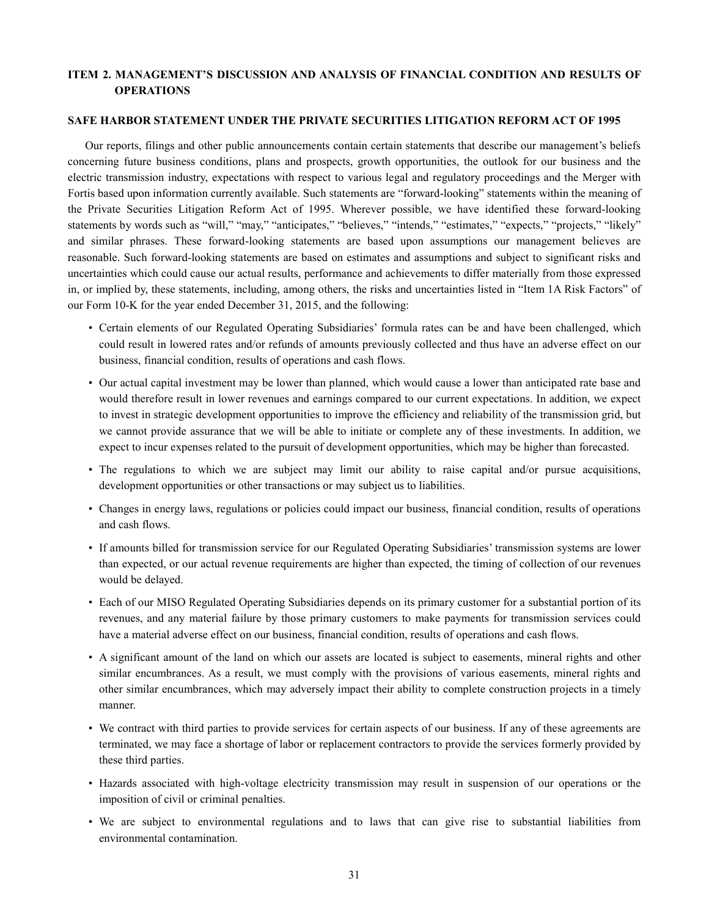# **ITEM 2. MANAGEMENT'S DISCUSSION AND ANALYSIS OF FINANCIAL CONDITION AND RESULTS OF OPERATIONS**

## **SAFE HARBOR STATEMENT UNDER THE PRIVATE SECURITIES LITIGATION REFORM ACT OF 1995**

Our reports, filings and other public announcements contain certain statements that describe our management's beliefs concerning future business conditions, plans and prospects, growth opportunities, the outlook for our business and the electric transmission industry, expectations with respect to various legal and regulatory proceedings and the Merger with Fortis based upon information currently available. Such statements are "forward-looking" statements within the meaning of the Private Securities Litigation Reform Act of 1995. Wherever possible, we have identified these forward-looking statements by words such as "will," "may," "anticipates," "believes," "intends," "estimates," "expects," "projects," "likely" and similar phrases. These forward-looking statements are based upon assumptions our management believes are reasonable. Such forward-looking statements are based on estimates and assumptions and subject to significant risks and uncertainties which could cause our actual results, performance and achievements to differ materially from those expressed in, or implied by, these statements, including, among others, the risks and uncertainties listed in "Item 1A Risk Factors" of our Form 10-K for the year ended December 31, 2015, and the following:

- Certain elements of our Regulated Operating Subsidiaries' formula rates can be and have been challenged, which could result in lowered rates and/or refunds of amounts previously collected and thus have an adverse effect on our business, financial condition, results of operations and cash flows.
- Our actual capital investment may be lower than planned, which would cause a lower than anticipated rate base and would therefore result in lower revenues and earnings compared to our current expectations. In addition, we expect to invest in strategic development opportunities to improve the efficiency and reliability of the transmission grid, but we cannot provide assurance that we will be able to initiate or complete any of these investments. In addition, we expect to incur expenses related to the pursuit of development opportunities, which may be higher than forecasted.
- The regulations to which we are subject may limit our ability to raise capital and/or pursue acquisitions, development opportunities or other transactions or may subject us to liabilities.
- Changes in energy laws, regulations or policies could impact our business, financial condition, results of operations and cash flows.
- If amounts billed for transmission service for our Regulated Operating Subsidiaries' transmission systems are lower than expected, or our actual revenue requirements are higher than expected, the timing of collection of our revenues would be delayed.
- Each of our MISO Regulated Operating Subsidiaries depends on its primary customer for a substantial portion of its revenues, and any material failure by those primary customers to make payments for transmission services could have a material adverse effect on our business, financial condition, results of operations and cash flows.
- A significant amount of the land on which our assets are located is subject to easements, mineral rights and other similar encumbrances. As a result, we must comply with the provisions of various easements, mineral rights and other similar encumbrances, which may adversely impact their ability to complete construction projects in a timely manner.
- We contract with third parties to provide services for certain aspects of our business. If any of these agreements are terminated, we may face a shortage of labor or replacement contractors to provide the services formerly provided by these third parties.
- Hazards associated with high-voltage electricity transmission may result in suspension of our operations or the imposition of civil or criminal penalties.
- We are subject to environmental regulations and to laws that can give rise to substantial liabilities from environmental contamination.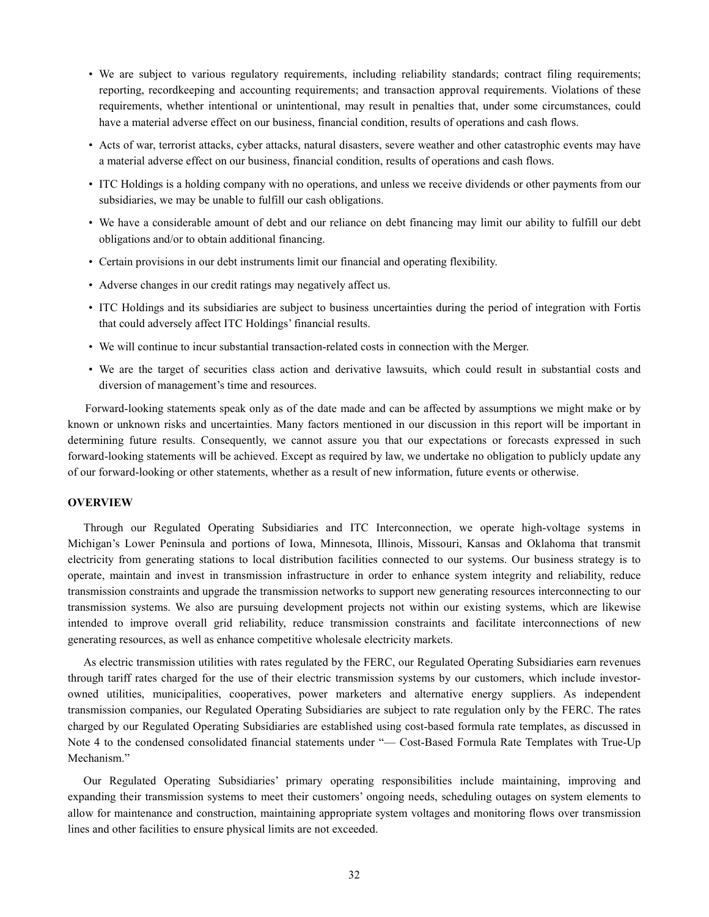- We are subject to various regulatory requirements, including reliability standards; contract filing requirements; reporting, recordkeeping and accounting requirements; and transaction approval requirements. Violations of these requirements, whether intentional or unintentional, may result in penalties that, under some circumstances, could have a material adverse effect on our business, financial condition, results of operations and cash flows.
- Acts of war, terrorist attacks, cyber attacks, natural disasters, severe weather and other catastrophic events may have a material adverse effect on our business, financial condition, results of operations and cash flows.
- ITC Holdings is a holding company with no operations, and unless we receive dividends or other payments from our subsidiaries, we may be unable to fulfill our cash obligations.
- We have a considerable amount of debt and our reliance on debt financing may limit our ability to fulfill our debt obligations and/or to obtain additional financing.
- Certain provisions in our debt instruments limit our financial and operating flexibility.
- Adverse changes in our credit ratings may negatively affect us.
- ITC Holdings and its subsidiaries are subject to business uncertainties during the period of integration with Fortis that could adversely affect ITC Holdings' financial results.
- We will continue to incur substantial transaction-related costs in connection with the Merger.
- We are the target of securities class action and derivative lawsuits, which could result in substantial costs and diversion of management's time and resources.

Forward-looking statements speak only as of the date made and can be affected by assumptions we might make or by known or unknown risks and uncertainties. Many factors mentioned in our discussion in this report will be important in determining future results. Consequently, we cannot assure you that our expectations or forecasts expressed in such forward-looking statements will be achieved. Except as required by law, we undertake no obligation to publicly update any of our forward-looking or other statements, whether as a result of new information, future events or otherwise.

# **OVERVIEW**

Through our Regulated Operating Subsidiaries and ITC Interconnection, we operate high-voltage systems in Michigan's Lower Peninsula and portions of Iowa, Minnesota, Illinois, Missouri, Kansas and Oklahoma that transmit electricity from generating stations to local distribution facilities connected to our systems. Our business strategy is to operate, maintain and invest in transmission infrastructure in order to enhance system integrity and reliability, reduce transmission constraints and upgrade the transmission networks to support new generating resources interconnecting to our transmission systems. We also are pursuing development projects not within our existing systems, which are likewise intended to improve overall grid reliability, reduce transmission constraints and facilitate interconnections of new generating resources, as well as enhance competitive wholesale electricity markets.

As electric transmission utilities with rates regulated by the FERC, our Regulated Operating Subsidiaries earn revenues through tariff rates charged for the use of their electric transmission systems by our customers, which include investorowned utilities, municipalities, cooperatives, power marketers and alternative energy suppliers. As independent transmission companies, our Regulated Operating Subsidiaries are subject to rate regulation only by the FERC. The rates charged by our Regulated Operating Subsidiaries are established using cost-based formula rate templates, as discussed in Note 4 to the condensed consolidated financial statements under "— Cost-Based Formula Rate Templates with True-Up Mechanism."

Our Regulated Operating Subsidiaries' primary operating responsibilities include maintaining, improving and expanding their transmission systems to meet their customers' ongoing needs, scheduling outages on system elements to allow for maintenance and construction, maintaining appropriate system voltages and monitoring flows over transmission lines and other facilities to ensure physical limits are not exceeded.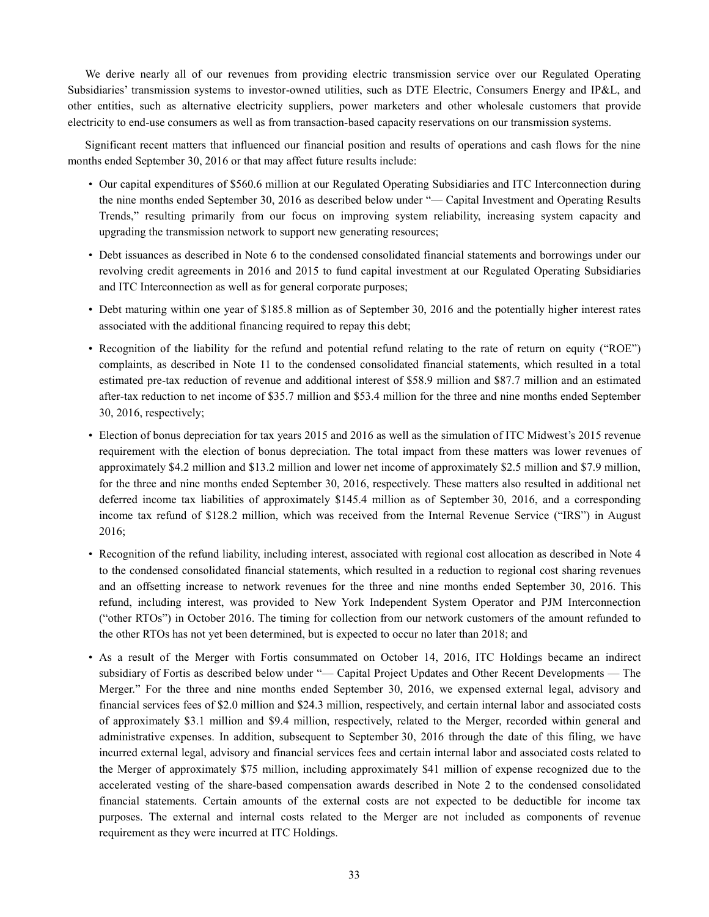We derive nearly all of our revenues from providing electric transmission service over our Regulated Operating Subsidiaries' transmission systems to investor-owned utilities, such as DTE Electric, Consumers Energy and IP&L, and other entities, such as alternative electricity suppliers, power marketers and other wholesale customers that provide electricity to end-use consumers as well as from transaction-based capacity reservations on our transmission systems.

Significant recent matters that influenced our financial position and results of operations and cash flows for the nine months ended September 30, 2016 or that may affect future results include:

- Our capital expenditures of \$560.6 million at our Regulated Operating Subsidiaries and ITC Interconnection during the nine months ended September 30, 2016 as described below under "— Capital Investment and Operating Results Trends," resulting primarily from our focus on improving system reliability, increasing system capacity and upgrading the transmission network to support new generating resources;
- Debt issuances as described in Note 6 to the condensed consolidated financial statements and borrowings under our revolving credit agreements in 2016 and 2015 to fund capital investment at our Regulated Operating Subsidiaries and ITC Interconnection as well as for general corporate purposes;
- Debt maturing within one year of \$185.8 million as of September 30, 2016 and the potentially higher interest rates associated with the additional financing required to repay this debt;
- Recognition of the liability for the refund and potential refund relating to the rate of return on equity ("ROE") complaints, as described in Note 11 to the condensed consolidated financial statements, which resulted in a total estimated pre-tax reduction of revenue and additional interest of \$58.9 million and \$87.7 million and an estimated after-tax reduction to net income of \$35.7 million and \$53.4 million for the three and nine months ended September 30, 2016, respectively;
- Election of bonus depreciation for tax years 2015 and 2016 as well as the simulation of ITC Midwest's 2015 revenue requirement with the election of bonus depreciation. The total impact from these matters was lower revenues of approximately \$4.2 million and \$13.2 million and lower net income of approximately \$2.5 million and \$7.9 million, for the three and nine months ended September 30, 2016, respectively. These matters also resulted in additional net deferred income tax liabilities of approximately \$145.4 million as of September 30, 2016, and a corresponding income tax refund of \$128.2 million, which was received from the Internal Revenue Service ("IRS") in August 2016;
- Recognition of the refund liability, including interest, associated with regional cost allocation as described in Note 4 to the condensed consolidated financial statements, which resulted in a reduction to regional cost sharing revenues and an offsetting increase to network revenues for the three and nine months ended September 30, 2016. This refund, including interest, was provided to New York Independent System Operator and PJM Interconnection ("other RTOs") in October 2016. The timing for collection from our network customers of the amount refunded to the other RTOs has not yet been determined, but is expected to occur no later than 2018; and
- As a result of the Merger with Fortis consummated on October 14, 2016, ITC Holdings became an indirect subsidiary of Fortis as described below under "— Capital Project Updates and Other Recent Developments — The Merger." For the three and nine months ended September 30, 2016, we expensed external legal, advisory and financial services fees of \$2.0 million and \$24.3 million, respectively, and certain internal labor and associated costs of approximately \$3.1 million and \$9.4 million, respectively, related to the Merger, recorded within general and administrative expenses. In addition, subsequent to September 30, 2016 through the date of this filing, we have incurred external legal, advisory and financial services fees and certain internal labor and associated costs related to the Merger of approximately \$75 million, including approximately \$41 million of expense recognized due to the accelerated vesting of the share-based compensation awards described in Note 2 to the condensed consolidated financial statements. Certain amounts of the external costs are not expected to be deductible for income tax purposes. The external and internal costs related to the Merger are not included as components of revenue requirement as they were incurred at ITC Holdings.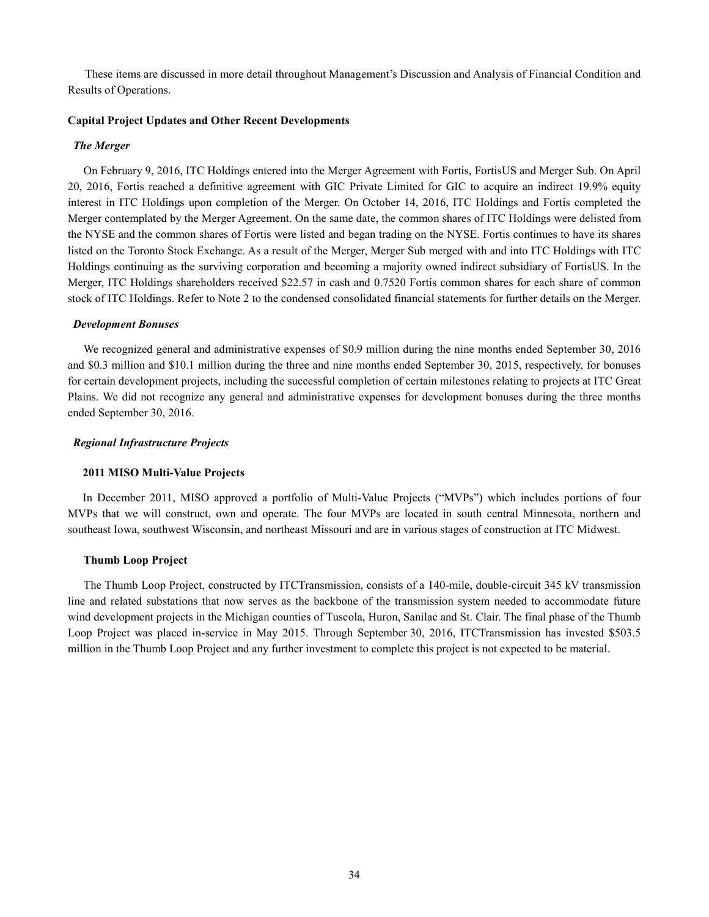These items are discussed in more detail throughout Management's Discussion and Analysis of Financial Condition and Results of Operations.

# **Capital Project Updates and Other Recent Developments**

#### *The Merger*

On February 9, 2016, ITC Holdings entered into the Merger Agreement with Fortis, FortisUS and Merger Sub. On April 20, 2016, Fortis reached a definitive agreement with GIC Private Limited for GIC to acquire an indirect 19.9% equity interest in ITC Holdings upon completion of the Merger. On October 14, 2016, ITC Holdings and Fortis completed the Merger contemplated by the Merger Agreement. On the same date, the common shares of ITC Holdings were delisted from the NYSE and the common shares of Fortis were listed and began trading on the NYSE. Fortis continues to have its shares listed on the Toronto Stock Exchange. As a result of the Merger, Merger Sub merged with and into ITC Holdings with ITC Holdings continuing as the surviving corporation and becoming a majority owned indirect subsidiary of FortisUS. In the Merger, ITC Holdings shareholders received \$22.57 in cash and 0.7520 Fortis common shares for each share of common stock of ITC Holdings. Refer to Note 2 to the condensed consolidated financial statements for further details on the Merger.

#### *Development Bonuses*

We recognized general and administrative expenses of \$0.9 million during the nine months ended September 30, 2016 and \$0.3 million and \$10.1 million during the three and nine months ended September 30, 2015, respectively, for bonuses for certain development projects, including the successful completion of certain milestones relating to projects at ITC Great Plains. We did not recognize any general and administrative expenses for development bonuses during the three months ended September 30, 2016.

#### *Regional Infrastructure Projects*

#### **2011 MISO Multi-Value Projects**

In December 2011, MISO approved a portfolio of Multi-Value Projects ("MVPs") which includes portions of four MVPs that we will construct, own and operate. The four MVPs are located in south central Minnesota, northern and southeast Iowa, southwest Wisconsin, and northeast Missouri and are in various stages of construction at ITC Midwest.

#### **Thumb Loop Project**

The Thumb Loop Project, constructed by ITCTransmission, consists of a 140-mile, double-circuit 345 kV transmission line and related substations that now serves as the backbone of the transmission system needed to accommodate future wind development projects in the Michigan counties of Tuscola, Huron, Sanilac and St. Clair. The final phase of the Thumb Loop Project was placed in-service in May 2015. Through September 30, 2016, ITCTransmission has invested \$503.5 million in the Thumb Loop Project and any further investment to complete this project is not expected to be material.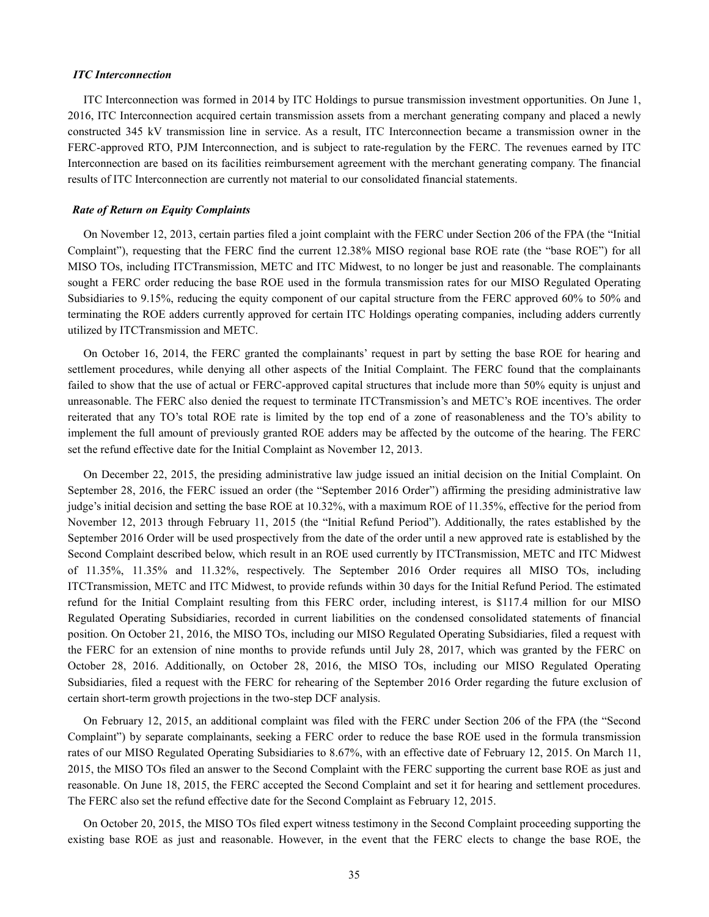#### *ITC Interconnection*

ITC Interconnection was formed in 2014 by ITC Holdings to pursue transmission investment opportunities. On June 1, 2016, ITC Interconnection acquired certain transmission assets from a merchant generating company and placed a newly constructed 345 kV transmission line in service. As a result, ITC Interconnection became a transmission owner in the FERC-approved RTO, PJM Interconnection, and is subject to rate-regulation by the FERC. The revenues earned by ITC Interconnection are based on its facilities reimbursement agreement with the merchant generating company. The financial results of ITC Interconnection are currently not material to our consolidated financial statements.

#### *Rate of Return on Equity Complaints*

On November 12, 2013, certain parties filed a joint complaint with the FERC under Section 206 of the FPA (the "Initial Complaint"), requesting that the FERC find the current 12.38% MISO regional base ROE rate (the "base ROE") for all MISO TOs, including ITCTransmission, METC and ITC Midwest, to no longer be just and reasonable. The complainants sought a FERC order reducing the base ROE used in the formula transmission rates for our MISO Regulated Operating Subsidiaries to 9.15%, reducing the equity component of our capital structure from the FERC approved 60% to 50% and terminating the ROE adders currently approved for certain ITC Holdings operating companies, including adders currently utilized by ITCTransmission and METC.

On October 16, 2014, the FERC granted the complainants' request in part by setting the base ROE for hearing and settlement procedures, while denying all other aspects of the Initial Complaint. The FERC found that the complainants failed to show that the use of actual or FERC-approved capital structures that include more than 50% equity is unjust and unreasonable. The FERC also denied the request to terminate ITCTransmission's and METC's ROE incentives. The order reiterated that any TO's total ROE rate is limited by the top end of a zone of reasonableness and the TO's ability to implement the full amount of previously granted ROE adders may be affected by the outcome of the hearing. The FERC set the refund effective date for the Initial Complaint as November 12, 2013.

On December 22, 2015, the presiding administrative law judge issued an initial decision on the Initial Complaint. On September 28, 2016, the FERC issued an order (the "September 2016 Order") affirming the presiding administrative law judge's initial decision and setting the base ROE at 10.32%, with a maximum ROE of 11.35%, effective for the period from November 12, 2013 through February 11, 2015 (the "Initial Refund Period"). Additionally, the rates established by the September 2016 Order will be used prospectively from the date of the order until a new approved rate is established by the Second Complaint described below, which result in an ROE used currently by ITCTransmission, METC and ITC Midwest of 11.35%, 11.35% and 11.32%, respectively. The September 2016 Order requires all MISO TOs, including ITCTransmission, METC and ITC Midwest, to provide refunds within 30 days for the Initial Refund Period. The estimated refund for the Initial Complaint resulting from this FERC order, including interest, is \$117.4 million for our MISO Regulated Operating Subsidiaries, recorded in current liabilities on the condensed consolidated statements of financial position. On October 21, 2016, the MISO TOs, including our MISO Regulated Operating Subsidiaries, filed a request with the FERC for an extension of nine months to provide refunds until July 28, 2017, which was granted by the FERC on October 28, 2016. Additionally, on October 28, 2016, the MISO TOs, including our MISO Regulated Operating Subsidiaries, filed a request with the FERC for rehearing of the September 2016 Order regarding the future exclusion of certain short-term growth projections in the two-step DCF analysis.

On February 12, 2015, an additional complaint was filed with the FERC under Section 206 of the FPA (the "Second Complaint") by separate complainants, seeking a FERC order to reduce the base ROE used in the formula transmission rates of our MISO Regulated Operating Subsidiaries to 8.67%, with an effective date of February 12, 2015. On March 11, 2015, the MISO TOs filed an answer to the Second Complaint with the FERC supporting the current base ROE as just and reasonable. On June 18, 2015, the FERC accepted the Second Complaint and set it for hearing and settlement procedures. The FERC also set the refund effective date for the Second Complaint as February 12, 2015.

On October 20, 2015, the MISO TOs filed expert witness testimony in the Second Complaint proceeding supporting the existing base ROE as just and reasonable. However, in the event that the FERC elects to change the base ROE, the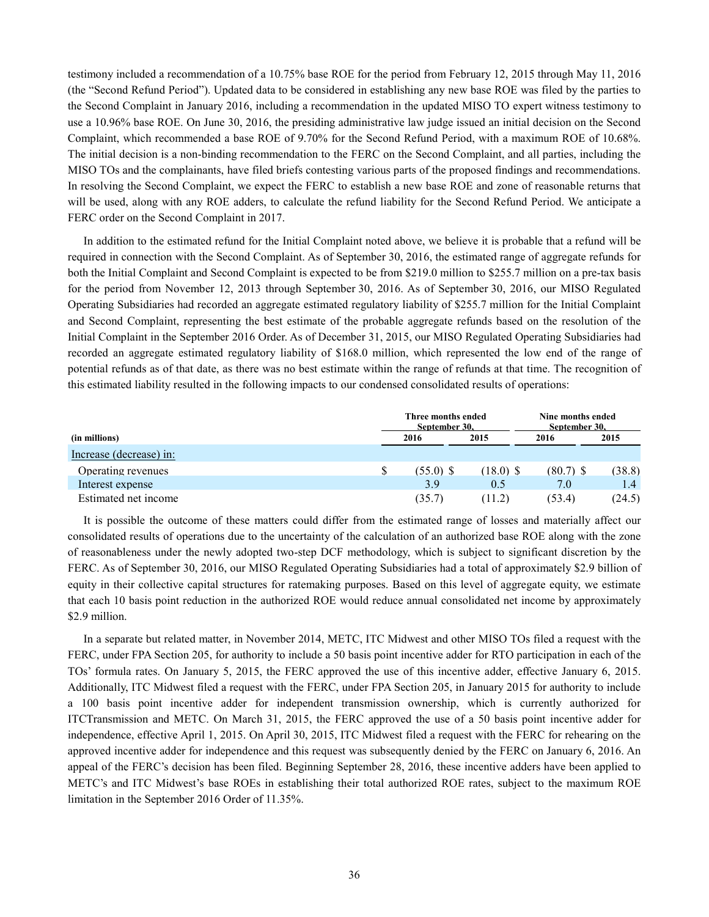testimony included a recommendation of a 10.75% base ROE for the period from February 12, 2015 through May 11, 2016 (the "Second Refund Period"). Updated data to be considered in establishing any new base ROE was filed by the parties to the Second Complaint in January 2016, including a recommendation in the updated MISO TO expert witness testimony to use a 10.96% base ROE. On June 30, 2016, the presiding administrative law judge issued an initial decision on the Second Complaint, which recommended a base ROE of 9.70% for the Second Refund Period, with a maximum ROE of 10.68%. The initial decision is a non-binding recommendation to the FERC on the Second Complaint, and all parties, including the MISO TOs and the complainants, have filed briefs contesting various parts of the proposed findings and recommendations. In resolving the Second Complaint, we expect the FERC to establish a new base ROE and zone of reasonable returns that will be used, along with any ROE adders, to calculate the refund liability for the Second Refund Period. We anticipate a FERC order on the Second Complaint in 2017.

In addition to the estimated refund for the Initial Complaint noted above, we believe it is probable that a refund will be required in connection with the Second Complaint. As of September 30, 2016, the estimated range of aggregate refunds for both the Initial Complaint and Second Complaint is expected to be from \$219.0 million to \$255.7 million on a pre-tax basis for the period from November 12, 2013 through September 30, 2016. As of September 30, 2016, our MISO Regulated Operating Subsidiaries had recorded an aggregate estimated regulatory liability of \$255.7 million for the Initial Complaint and Second Complaint, representing the best estimate of the probable aggregate refunds based on the resolution of the Initial Complaint in the September 2016 Order. As of December 31, 2015, our MISO Regulated Operating Subsidiaries had recorded an aggregate estimated regulatory liability of \$168.0 million, which represented the low end of the range of potential refunds as of that date, as there was no best estimate within the range of refunds at that time. The recognition of this estimated liability resulted in the following impacts to our condensed consolidated results of operations:

|                         | Three months ended<br>September 30. |             | Nine months ended<br>September 30. |        |  |
|-------------------------|-------------------------------------|-------------|------------------------------------|--------|--|
| (in millions)           | 2016                                | 2015        | 2016                               | 2015   |  |
| Increase (decrease) in: |                                     |             |                                    |        |  |
| Operating revenues      | $(55.0)$ \$                         | $(18.0)$ \$ | $(80.7)$ \$                        | (38.8) |  |
| Interest expense        | 39                                  | 0.5         | 7.0                                | 1.4    |  |
| Estimated net income    | (35.7)                              | (11.2)      | (53.4)                             | (24.5) |  |

It is possible the outcome of these matters could differ from the estimated range of losses and materially affect our consolidated results of operations due to the uncertainty of the calculation of an authorized base ROE along with the zone of reasonableness under the newly adopted two-step DCF methodology, which is subject to significant discretion by the FERC. As of September 30, 2016, our MISO Regulated Operating Subsidiaries had a total of approximately \$2.9 billion of equity in their collective capital structures for ratemaking purposes. Based on this level of aggregate equity, we estimate that each 10 basis point reduction in the authorized ROE would reduce annual consolidated net income by approximately \$2.9 million.

In a separate but related matter, in November 2014, METC, ITC Midwest and other MISO TOs filed a request with the FERC, under FPA Section 205, for authority to include a 50 basis point incentive adder for RTO participation in each of the TOs' formula rates. On January 5, 2015, the FERC approved the use of this incentive adder, effective January 6, 2015. Additionally, ITC Midwest filed a request with the FERC, under FPA Section 205, in January 2015 for authority to include a 100 basis point incentive adder for independent transmission ownership, which is currently authorized for ITCTransmission and METC. On March 31, 2015, the FERC approved the use of a 50 basis point incentive adder for independence, effective April 1, 2015. On April 30, 2015, ITC Midwest filed a request with the FERC for rehearing on the approved incentive adder for independence and this request was subsequently denied by the FERC on January 6, 2016. An appeal of the FERC's decision has been filed. Beginning September 28, 2016, these incentive adders have been applied to METC's and ITC Midwest's base ROEs in establishing their total authorized ROE rates, subject to the maximum ROE limitation in the September 2016 Order of 11.35%.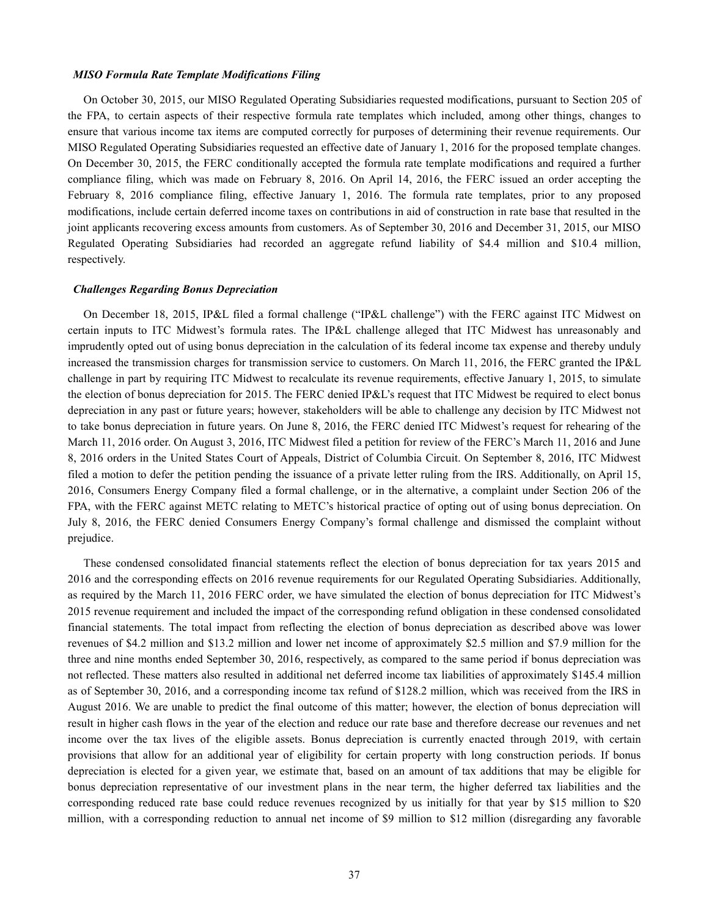#### *MISO Formula Rate Template Modifications Filing*

On October 30, 2015, our MISO Regulated Operating Subsidiaries requested modifications, pursuant to Section 205 of the FPA, to certain aspects of their respective formula rate templates which included, among other things, changes to ensure that various income tax items are computed correctly for purposes of determining their revenue requirements. Our MISO Regulated Operating Subsidiaries requested an effective date of January 1, 2016 for the proposed template changes. On December 30, 2015, the FERC conditionally accepted the formula rate template modifications and required a further compliance filing, which was made on February 8, 2016. On April 14, 2016, the FERC issued an order accepting the February 8, 2016 compliance filing, effective January 1, 2016. The formula rate templates, prior to any proposed modifications, include certain deferred income taxes on contributions in aid of construction in rate base that resulted in the joint applicants recovering excess amounts from customers. As of September 30, 2016 and December 31, 2015, our MISO Regulated Operating Subsidiaries had recorded an aggregate refund liability of \$4.4 million and \$10.4 million, respectively.

#### *Challenges Regarding Bonus Depreciation*

On December 18, 2015, IP&L filed a formal challenge ("IP&L challenge") with the FERC against ITC Midwest on certain inputs to ITC Midwest's formula rates. The IP&L challenge alleged that ITC Midwest has unreasonably and imprudently opted out of using bonus depreciation in the calculation of its federal income tax expense and thereby unduly increased the transmission charges for transmission service to customers. On March 11, 2016, the FERC granted the IP&L challenge in part by requiring ITC Midwest to recalculate its revenue requirements, effective January 1, 2015, to simulate the election of bonus depreciation for 2015. The FERC denied IP&L's request that ITC Midwest be required to elect bonus depreciation in any past or future years; however, stakeholders will be able to challenge any decision by ITC Midwest not to take bonus depreciation in future years. On June 8, 2016, the FERC denied ITC Midwest's request for rehearing of the March 11, 2016 order. On August 3, 2016, ITC Midwest filed a petition for review of the FERC's March 11, 2016 and June 8, 2016 orders in the United States Court of Appeals, District of Columbia Circuit. On September 8, 2016, ITC Midwest filed a motion to defer the petition pending the issuance of a private letter ruling from the IRS. Additionally, on April 15, 2016, Consumers Energy Company filed a formal challenge, or in the alternative, a complaint under Section 206 of the FPA, with the FERC against METC relating to METC's historical practice of opting out of using bonus depreciation. On July 8, 2016, the FERC denied Consumers Energy Company's formal challenge and dismissed the complaint without prejudice.

These condensed consolidated financial statements reflect the election of bonus depreciation for tax years 2015 and 2016 and the corresponding effects on 2016 revenue requirements for our Regulated Operating Subsidiaries. Additionally, as required by the March 11, 2016 FERC order, we have simulated the election of bonus depreciation for ITC Midwest's 2015 revenue requirement and included the impact of the corresponding refund obligation in these condensed consolidated financial statements. The total impact from reflecting the election of bonus depreciation as described above was lower revenues of \$4.2 million and \$13.2 million and lower net income of approximately \$2.5 million and \$7.9 million for the three and nine months ended September 30, 2016, respectively, as compared to the same period if bonus depreciation was not reflected. These matters also resulted in additional net deferred income tax liabilities of approximately \$145.4 million as of September 30, 2016, and a corresponding income tax refund of \$128.2 million, which was received from the IRS in August 2016. We are unable to predict the final outcome of this matter; however, the election of bonus depreciation will result in higher cash flows in the year of the election and reduce our rate base and therefore decrease our revenues and net income over the tax lives of the eligible assets. Bonus depreciation is currently enacted through 2019, with certain provisions that allow for an additional year of eligibility for certain property with long construction periods. If bonus depreciation is elected for a given year, we estimate that, based on an amount of tax additions that may be eligible for bonus depreciation representative of our investment plans in the near term, the higher deferred tax liabilities and the corresponding reduced rate base could reduce revenues recognized by us initially for that year by \$15 million to \$20 million, with a corresponding reduction to annual net income of \$9 million to \$12 million (disregarding any favorable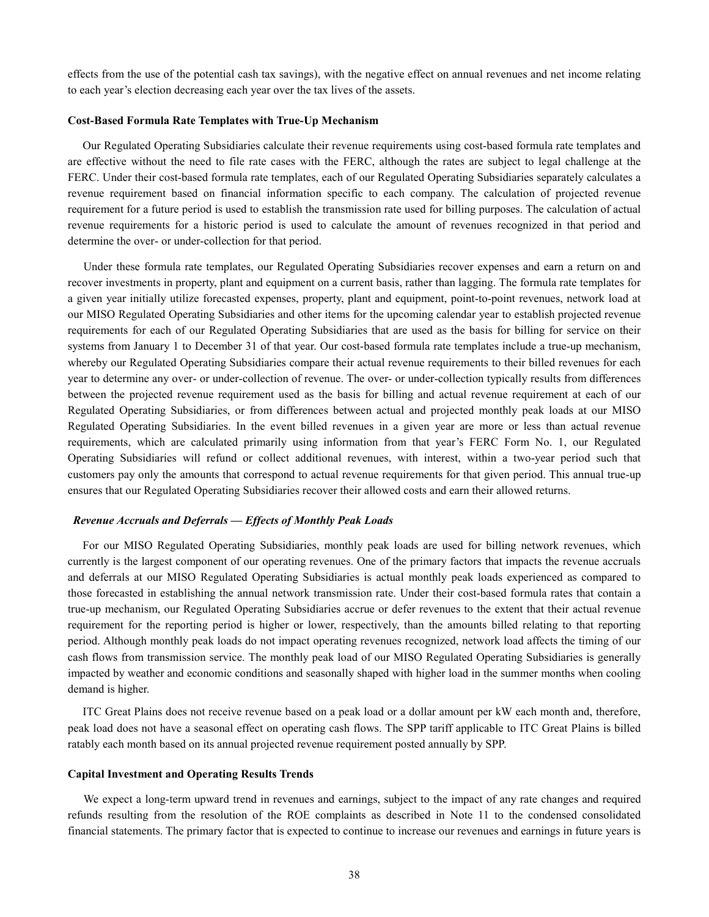effects from the use of the potential cash tax savings), with the negative effect on annual revenues and net income relating to each year's election decreasing each year over the tax lives of the assets.

#### **Cost-Based Formula Rate Templates with True-Up Mechanism**

Our Regulated Operating Subsidiaries calculate their revenue requirements using cost-based formula rate templates and are effective without the need to file rate cases with the FERC, although the rates are subject to legal challenge at the FERC. Under their cost-based formula rate templates, each of our Regulated Operating Subsidiaries separately calculates a revenue requirement based on financial information specific to each company. The calculation of projected revenue requirement for a future period is used to establish the transmission rate used for billing purposes. The calculation of actual revenue requirements for a historic period is used to calculate the amount of revenues recognized in that period and determine the over- or under-collection for that period.

Under these formula rate templates, our Regulated Operating Subsidiaries recover expenses and earn a return on and recover investments in property, plant and equipment on a current basis, rather than lagging. The formula rate templates for a given year initially utilize forecasted expenses, property, plant and equipment, point-to-point revenues, network load at our MISO Regulated Operating Subsidiaries and other items for the upcoming calendar year to establish projected revenue requirements for each of our Regulated Operating Subsidiaries that are used as the basis for billing for service on their systems from January 1 to December 31 of that year. Our cost-based formula rate templates include a true-up mechanism, whereby our Regulated Operating Subsidiaries compare their actual revenue requirements to their billed revenues for each year to determine any over- or under-collection of revenue. The over- or under-collection typically results from differences between the projected revenue requirement used as the basis for billing and actual revenue requirement at each of our Regulated Operating Subsidiaries, or from differences between actual and projected monthly peak loads at our MISO Regulated Operating Subsidiaries. In the event billed revenues in a given year are more or less than actual revenue requirements, which are calculated primarily using information from that year's FERC Form No. 1, our Regulated Operating Subsidiaries will refund or collect additional revenues, with interest, within a two-year period such that customers pay only the amounts that correspond to actual revenue requirements for that given period. This annual true-up ensures that our Regulated Operating Subsidiaries recover their allowed costs and earn their allowed returns.

#### *Revenue Accruals and Deferrals — Effects of Monthly Peak Loads*

For our MISO Regulated Operating Subsidiaries, monthly peak loads are used for billing network revenues, which currently is the largest component of our operating revenues. One of the primary factors that impacts the revenue accruals and deferrals at our MISO Regulated Operating Subsidiaries is actual monthly peak loads experienced as compared to those forecasted in establishing the annual network transmission rate. Under their cost-based formula rates that contain a true-up mechanism, our Regulated Operating Subsidiaries accrue or defer revenues to the extent that their actual revenue requirement for the reporting period is higher or lower, respectively, than the amounts billed relating to that reporting period. Although monthly peak loads do not impact operating revenues recognized, network load affects the timing of our cash flows from transmission service. The monthly peak load of our MISO Regulated Operating Subsidiaries is generally impacted by weather and economic conditions and seasonally shaped with higher load in the summer months when cooling demand is higher.

ITC Great Plains does not receive revenue based on a peak load or a dollar amount per kW each month and, therefore, peak load does not have a seasonal effect on operating cash flows. The SPP tariff applicable to ITC Great Plains is billed ratably each month based on its annual projected revenue requirement posted annually by SPP.

#### **Capital Investment and Operating Results Trends**

We expect a long-term upward trend in revenues and earnings, subject to the impact of any rate changes and required refunds resulting from the resolution of the ROE complaints as described in Note 11 to the condensed consolidated financial statements. The primary factor that is expected to continue to increase our revenues and earnings in future years is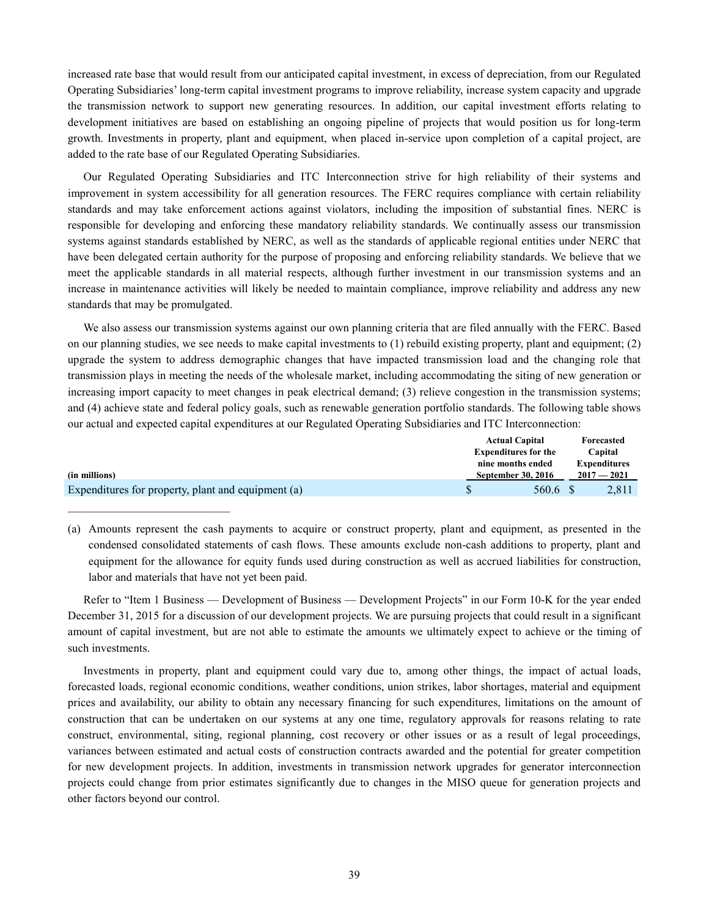increased rate base that would result from our anticipated capital investment, in excess of depreciation, from our Regulated Operating Subsidiaries' long-term capital investment programs to improve reliability, increase system capacity and upgrade the transmission network to support new generating resources. In addition, our capital investment efforts relating to development initiatives are based on establishing an ongoing pipeline of projects that would position us for long-term growth. Investments in property, plant and equipment, when placed in-service upon completion of a capital project, are added to the rate base of our Regulated Operating Subsidiaries.

Our Regulated Operating Subsidiaries and ITC Interconnection strive for high reliability of their systems and improvement in system accessibility for all generation resources. The FERC requires compliance with certain reliability standards and may take enforcement actions against violators, including the imposition of substantial fines. NERC is responsible for developing and enforcing these mandatory reliability standards. We continually assess our transmission systems against standards established by NERC, as well as the standards of applicable regional entities under NERC that have been delegated certain authority for the purpose of proposing and enforcing reliability standards. We believe that we meet the applicable standards in all material respects, although further investment in our transmission systems and an increase in maintenance activities will likely be needed to maintain compliance, improve reliability and address any new standards that may be promulgated.

We also assess our transmission systems against our own planning criteria that are filed annually with the FERC. Based on our planning studies, we see needs to make capital investments to (1) rebuild existing property, plant and equipment; (2) upgrade the system to address demographic changes that have impacted transmission load and the changing role that transmission plays in meeting the needs of the wholesale market, including accommodating the siting of new generation or increasing import capacity to meet changes in peak electrical demand; (3) relieve congestion in the transmission systems; and (4) achieve state and federal policy goals, such as renewable generation portfolio standards. The following table shows our actual and expected capital expenditures at our Regulated Operating Subsidiaries and ITC Interconnection:

|                                                    | <b>Actual Capital</b>       |  | Forecasted          |  |
|----------------------------------------------------|-----------------------------|--|---------------------|--|
|                                                    | <b>Expenditures for the</b> |  | Capital             |  |
|                                                    | nine months ended           |  | <b>Expenditures</b> |  |
| (in millions)                                      | <b>September 30, 2016</b>   |  | $2017 - 2021$       |  |
| Expenditures for property, plant and equipment (a) | 560.6 \$                    |  | 2.811               |  |

 $\mathcal{L}_\text{max}$ 

(a) Amounts represent the cash payments to acquire or construct property, plant and equipment, as presented in the condensed consolidated statements of cash flows. These amounts exclude non-cash additions to property, plant and equipment for the allowance for equity funds used during construction as well as accrued liabilities for construction, labor and materials that have not yet been paid.

Refer to "Item 1 Business — Development of Business — Development Projects" in our Form 10-K for the year ended December 31, 2015 for a discussion of our development projects. We are pursuing projects that could result in a significant amount of capital investment, but are not able to estimate the amounts we ultimately expect to achieve or the timing of such investments.

Investments in property, plant and equipment could vary due to, among other things, the impact of actual loads, forecasted loads, regional economic conditions, weather conditions, union strikes, labor shortages, material and equipment prices and availability, our ability to obtain any necessary financing for such expenditures, limitations on the amount of construction that can be undertaken on our systems at any one time, regulatory approvals for reasons relating to rate construct, environmental, siting, regional planning, cost recovery or other issues or as a result of legal proceedings, variances between estimated and actual costs of construction contracts awarded and the potential for greater competition for new development projects. In addition, investments in transmission network upgrades for generator interconnection projects could change from prior estimates significantly due to changes in the MISO queue for generation projects and other factors beyond our control.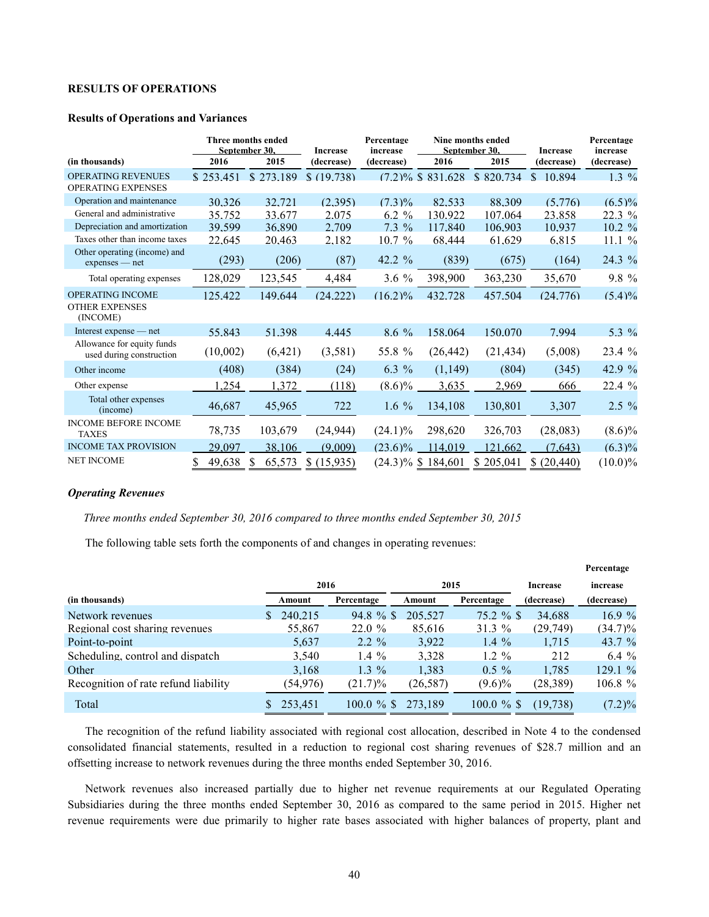# **RESULTS OF OPERATIONS**

#### **Results of Operations and Variances**

|                                                              |           | Three months ended<br>September 30. | <b>Increase</b> | Percentage<br>increase |                       | Nine months ended<br>September 30. | <b>Increase</b> | Percentage<br>increase |  |
|--------------------------------------------------------------|-----------|-------------------------------------|-----------------|------------------------|-----------------------|------------------------------------|-----------------|------------------------|--|
| (in thousands)                                               | 2016      | 2015                                | (decrease)      | (decrease)             | 2016                  | 2015                               | (decrease)      | (decrease)             |  |
| <b>OPERATING REVENUES</b><br><b>OPERATING EXPENSES</b>       | \$253.451 | \$273.189                           | \$(19.738)      |                        | $(7.2)\%$ \$ 831.628  | \$820.734                          | \$10.894        | $1.3\%$                |  |
| Operation and maintenance                                    | 30.326    | 32.721                              | (2.395)         | $(7.3)\%$              | 82.533                | 88.309                             | (5.776)         | $(6.5)\%$              |  |
| General and administrative                                   | 35.752    | 33.677                              | 2.075           | $6.2 \%$               | 130.922               | 107.064                            | 23.858          | $22.3\%$               |  |
| Depreciation and amortization                                | 39,599    | 36.890                              | 2.709           | $7.3\%$                | 117.840               | 106.903                            | 10.937          | $10.2 \%$              |  |
| Taxes other than income taxes                                | 22.645    | 20.463                              | 2.182           | 10.7%                  | 68.444                | 61.629                             | 6.815           | 11.1%                  |  |
| Other operating (income) and<br>$express - net$              | (293)     | (206)                               | (87)            | 42.2 %                 | (839)                 | (675)                              | (164)           | 24.3 %                 |  |
| Total operating expenses                                     | 128,029   | 123,545                             | 4,484           | 3.6%                   | 398,900               | 363,230                            | 35,670          | 9.8 %                  |  |
| <b>OPERATING INCOME</b><br><b>OTHER EXPENSES</b><br>(INCOME) | 125.422   | 149.644                             | (24.222)        | (16.2)%                | 432.728               | 457.504                            | (24.776)        | $(5.4)\%$              |  |
| Interest expense — net                                       | 55.843    | 51.398                              | 4.445           | $8.6\%$                | 158.064               | 150.070                            | 7.994           | 5.3 $%$                |  |
| Allowance for equity funds<br>used during construction       | (10,002)  | (6,421)                             | (3,581)         | 55.8 %                 | (26, 442)             | (21, 434)                          | (5,008)         | 23.4 %                 |  |
| Other income                                                 | (408)     | (384)                               | (24)            | 6.3 %                  | (1, 149)              | (804)                              | (345)           | 42.9 %                 |  |
| Other expense                                                | .254      | 1,372                               | (118)           | $(8.6)\%$              | 3.635                 | 2,969                              | 666             | 22.4%                  |  |
| Total other expenses<br>(income)                             | 46,687    | 45,965                              | 722             | 1.6 $%$                | 134,108               | 130,801                            | 3,307           | $2.5\%$                |  |
| <b>INCOME BEFORE INCOME</b><br><b>TAXES</b>                  | 78,735    | 103,679                             | (24, 944)       | $(24.1)\%$             | 298,620               | 326,703                            | (28,083)        | $(8.6)\%$              |  |
| <b>INCOME TAX PROVISION</b>                                  | 29,097    | 38,106                              | (9,009)         | $(23.6)\%$             | 114,019               | 121,662                            | (7,643)         | $(6.3)\%$              |  |
| <b>NET INCOME</b>                                            | 49,638    | 65,573<br>S                         | \$(15,935)      |                        | $(24.3)\%$ \$ 184,601 | \$205,041                          | (20, 440)       | $(10.0)\%$             |  |

# *Operating Revenues*

*Three months ended September 30, 2016 compared to three months ended September 30, 2015* 

The following table sets forth the components of and changes in operating revenues:

|                                      |           |            |           |            |                 | Percentage |
|--------------------------------------|-----------|------------|-----------|------------|-----------------|------------|
|                                      | 2016      |            | 2015      |            | <b>Increase</b> | increase   |
| (in thousands)                       | Amount    | Percentage | Amount    | Percentage | (decrease)      | (decrease) |
| Network revenues                     | 240.215   | $94.8 \%$  | 205.527   | $75.2 \%$  | 34.688          | 16.9%      |
| Regional cost sharing revenues       | 55,867    | $22.0 \%$  | 85,616    | 31.3%      | (29,749)        | $(34.7)\%$ |
| Point-to-point                       | 5,637     | $2.2 \%$   | 3.922     | 1.4 $\%$   | 1,715           | 43.7 $\%$  |
| Scheduling, control and dispatch     | 3,540     | 1.4 $%$    | 3,328     | $1.2 \%$   | 212             | $6.4 \%$   |
| Other                                | 3,168     | $1.3\%$    | 1,383     | $0.5 \%$   | 1,785           | 129.1%     |
| Recognition of rate refund liability | (54, 976) | $(21.7)\%$ | (26, 587) | $(9.6)\%$  | (28, 389)       | $106.8 \%$ |
| Total                                | 253,451   | $100.0 \%$ | 273.189   | $100.0 \%$ | (19, 738)       | $(7.2)\%$  |

The recognition of the refund liability associated with regional cost allocation, described in Note 4 to the condensed consolidated financial statements, resulted in a reduction to regional cost sharing revenues of \$28.7 million and an offsetting increase to network revenues during the three months ended September 30, 2016.

Network revenues also increased partially due to higher net revenue requirements at our Regulated Operating Subsidiaries during the three months ended September 30, 2016 as compared to the same period in 2015. Higher net revenue requirements were due primarily to higher rate bases associated with higher balances of property, plant and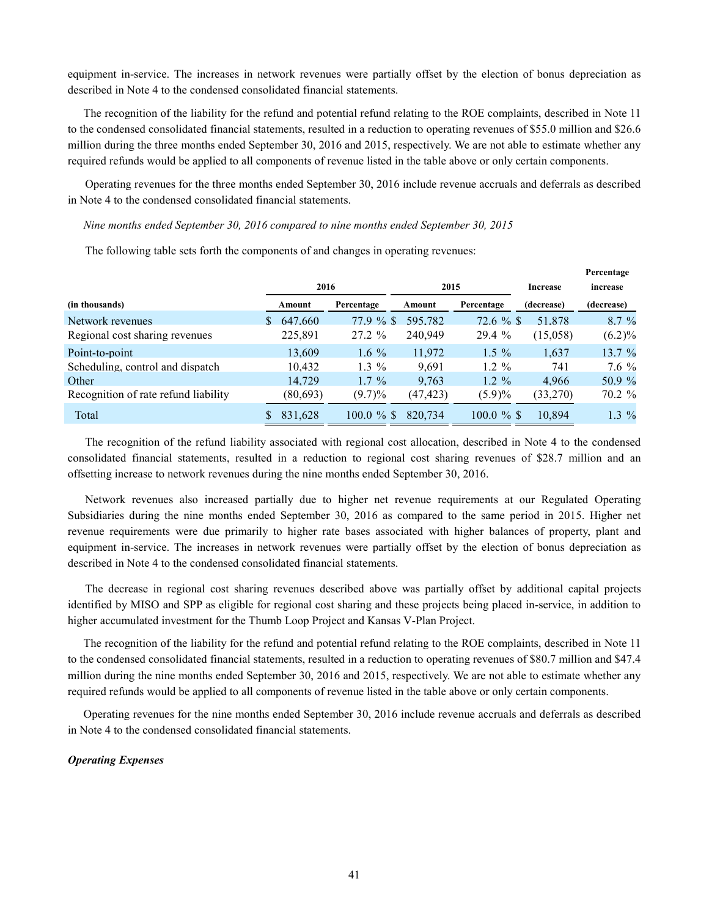equipment in-service. The increases in network revenues were partially offset by the election of bonus depreciation as described in Note 4 to the condensed consolidated financial statements.

The recognition of the liability for the refund and potential refund relating to the ROE complaints, described in Note 11 to the condensed consolidated financial statements, resulted in a reduction to operating revenues of \$55.0 million and \$26.6 million during the three months ended September 30, 2016 and 2015, respectively. We are not able to estimate whether any required refunds would be applied to all components of revenue listed in the table above or only certain components.

Operating revenues for the three months ended September 30, 2016 include revenue accruals and deferrals as described in Note 4 to the condensed consolidated financial statements.

*Nine months ended September 30, 2016 compared to nine months ended September 30, 2015* 

|                                      |           |            |          |            |                 | Percentage |
|--------------------------------------|-----------|------------|----------|------------|-----------------|------------|
|                                      | 2016      |            | 2015     |            | <b>Increase</b> | increase   |
| (in thousands)                       | Amount    | Percentage | Amount   | Percentage | (decrease)      | (decrease) |
| Network revenues                     | 647.660   | 77.9%      | 595.782  | $72.6 \%$  | 51.878          | $8.7\%$    |
| Regional cost sharing revenues       | 225,891   | $27.2 \%$  | 240,949  | 29.4%      | (15,058)        | (6.2)%     |
| Point-to-point                       | 13.609    | 1.6 $%$    | 11.972   | $1.5 \%$   | 1.637           | 13.7 %     |
| Scheduling, control and dispatch     | 10,432    | $1.3\%$    | 9.691    | $1.2 \%$   | 741             | $7.6\%$    |
| Other                                | 14.729    | $1.7 \%$   | 9,763    | $1.2 \%$   | 4.966           | 50.9 %     |
| Recognition of rate refund liability | (80, 693) | $(9.7)\%$  | (47,423) | $(5.9)\%$  | (33,270)        | 70.2 %     |
| Total                                | 831,628   | $100.0 \%$ | 820,734  | $100.0 \%$ | 10.894          | $1.3\%$    |

The following table sets forth the components of and changes in operating revenues:

The recognition of the refund liability associated with regional cost allocation, described in Note 4 to the condensed consolidated financial statements, resulted in a reduction to regional cost sharing revenues of \$28.7 million and an offsetting increase to network revenues during the nine months ended September 30, 2016.

Network revenues also increased partially due to higher net revenue requirements at our Regulated Operating Subsidiaries during the nine months ended September 30, 2016 as compared to the same period in 2015. Higher net revenue requirements were due primarily to higher rate bases associated with higher balances of property, plant and equipment in-service. The increases in network revenues were partially offset by the election of bonus depreciation as described in Note 4 to the condensed consolidated financial statements.

The decrease in regional cost sharing revenues described above was partially offset by additional capital projects identified by MISO and SPP as eligible for regional cost sharing and these projects being placed in-service, in addition to higher accumulated investment for the Thumb Loop Project and Kansas V-Plan Project.

The recognition of the liability for the refund and potential refund relating to the ROE complaints, described in Note 11 to the condensed consolidated financial statements, resulted in a reduction to operating revenues of \$80.7 million and \$47.4 million during the nine months ended September 30, 2016 and 2015, respectively. We are not able to estimate whether any required refunds would be applied to all components of revenue listed in the table above or only certain components.

Operating revenues for the nine months ended September 30, 2016 include revenue accruals and deferrals as described in Note 4 to the condensed consolidated financial statements.

#### *Operating Expenses*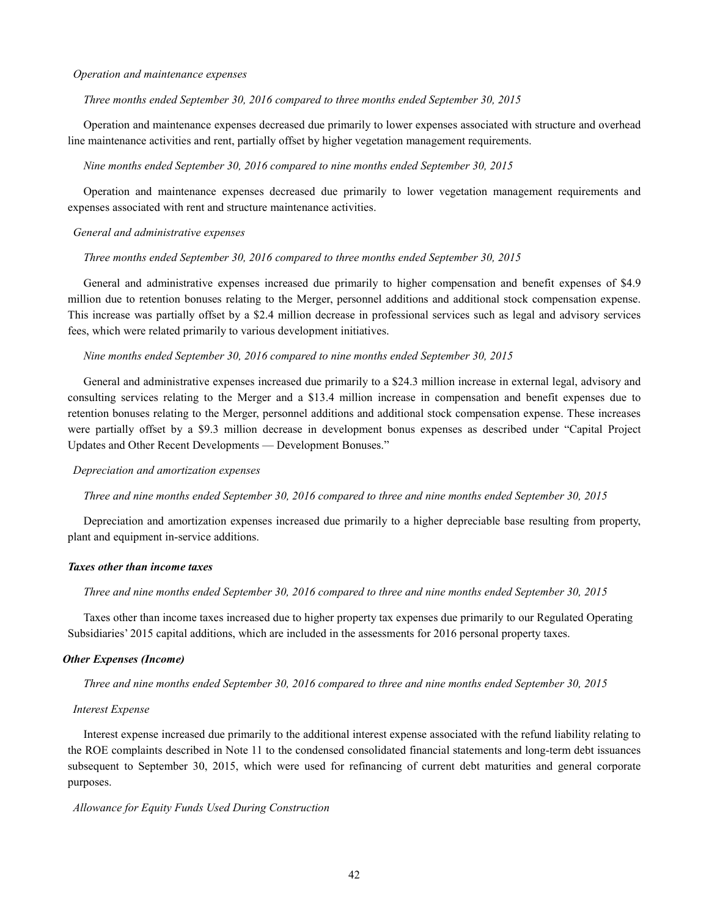#### *Operation and maintenance expenses*

*Three months ended September 30, 2016 compared to three months ended September 30, 2015* 

Operation and maintenance expenses decreased due primarily to lower expenses associated with structure and overhead line maintenance activities and rent, partially offset by higher vegetation management requirements.

#### *Nine months ended September 30, 2016 compared to nine months ended September 30, 2015*

Operation and maintenance expenses decreased due primarily to lower vegetation management requirements and expenses associated with rent and structure maintenance activities.

#### *General and administrative expenses*

*Three months ended September 30, 2016 compared to three months ended September 30, 2015* 

General and administrative expenses increased due primarily to higher compensation and benefit expenses of \$4.9 million due to retention bonuses relating to the Merger, personnel additions and additional stock compensation expense. This increase was partially offset by a \$2.4 million decrease in professional services such as legal and advisory services fees, which were related primarily to various development initiatives.

#### *Nine months ended September 30, 2016 compared to nine months ended September 30, 2015*

General and administrative expenses increased due primarily to a \$24.3 million increase in external legal, advisory and consulting services relating to the Merger and a \$13.4 million increase in compensation and benefit expenses due to retention bonuses relating to the Merger, personnel additions and additional stock compensation expense. These increases were partially offset by a \$9.3 million decrease in development bonus expenses as described under "Capital Project Updates and Other Recent Developments — Development Bonuses."

#### *Depreciation and amortization expenses*

#### *Three and nine months ended September 30, 2016 compared to three and nine months ended September 30, 2015*

Depreciation and amortization expenses increased due primarily to a higher depreciable base resulting from property, plant and equipment in-service additions.

## *Taxes other than income taxes*

*Three and nine months ended September 30, 2016 compared to three and nine months ended September 30, 2015* 

Taxes other than income taxes increased due to higher property tax expenses due primarily to our Regulated Operating Subsidiaries' 2015 capital additions, which are included in the assessments for 2016 personal property taxes.

#### *Other Expenses (Income)*

*Three and nine months ended September 30, 2016 compared to three and nine months ended September 30, 2015* 

#### *Interest Expense*

Interest expense increased due primarily to the additional interest expense associated with the refund liability relating to the ROE complaints described in Note 11 to the condensed consolidated financial statements and long-term debt issuances subsequent to September 30, 2015, which were used for refinancing of current debt maturities and general corporate purposes.

#### *Allowance for Equity Funds Used During Construction*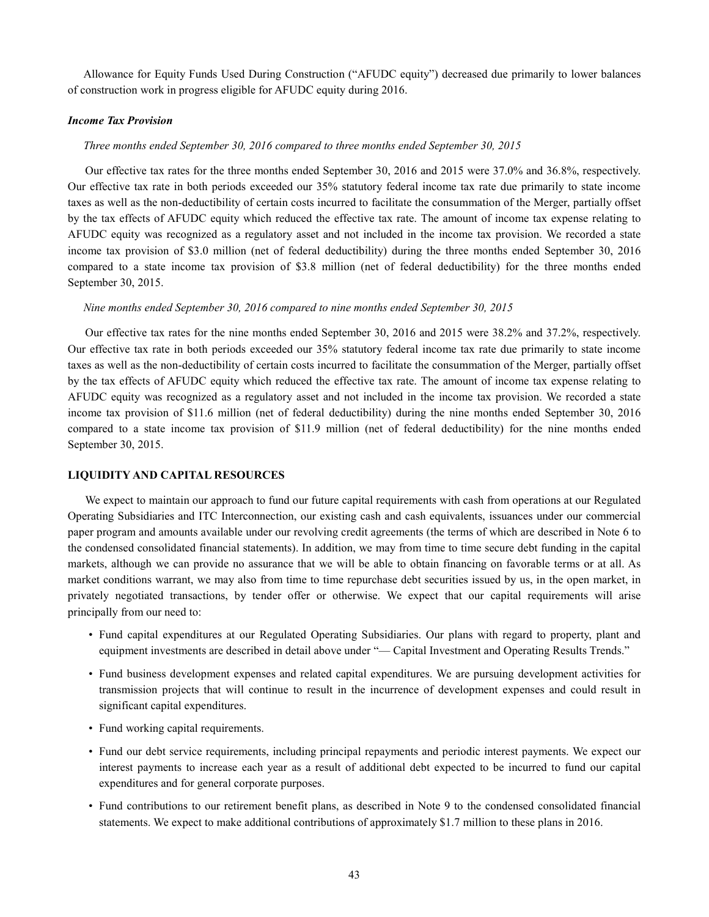Allowance for Equity Funds Used During Construction ("AFUDC equity") decreased due primarily to lower balances of construction work in progress eligible for AFUDC equity during 2016.

# *Income Tax Provision*

#### *Three months ended September 30, 2016 compared to three months ended September 30, 2015*

Our effective tax rates for the three months ended September 30, 2016 and 2015 were 37.0% and 36.8%, respectively. Our effective tax rate in both periods exceeded our 35% statutory federal income tax rate due primarily to state income taxes as well as the non-deductibility of certain costs incurred to facilitate the consummation of the Merger, partially offset by the tax effects of AFUDC equity which reduced the effective tax rate. The amount of income tax expense relating to AFUDC equity was recognized as a regulatory asset and not included in the income tax provision. We recorded a state income tax provision of \$3.0 million (net of federal deductibility) during the three months ended September 30, 2016 compared to a state income tax provision of \$3.8 million (net of federal deductibility) for the three months ended September 30, 2015.

#### *Nine months ended September 30, 2016 compared to nine months ended September 30, 2015*

Our effective tax rates for the nine months ended September 30, 2016 and 2015 were 38.2% and 37.2%, respectively. Our effective tax rate in both periods exceeded our 35% statutory federal income tax rate due primarily to state income taxes as well as the non-deductibility of certain costs incurred to facilitate the consummation of the Merger, partially offset by the tax effects of AFUDC equity which reduced the effective tax rate. The amount of income tax expense relating to AFUDC equity was recognized as a regulatory asset and not included in the income tax provision. We recorded a state income tax provision of \$11.6 million (net of federal deductibility) during the nine months ended September 30, 2016 compared to a state income tax provision of \$11.9 million (net of federal deductibility) for the nine months ended September 30, 2015.

#### **LIQUIDITY AND CAPITAL RESOURCES**

We expect to maintain our approach to fund our future capital requirements with cash from operations at our Regulated Operating Subsidiaries and ITC Interconnection, our existing cash and cash equivalents, issuances under our commercial paper program and amounts available under our revolving credit agreements (the terms of which are described in Note 6 to the condensed consolidated financial statements). In addition, we may from time to time secure debt funding in the capital markets, although we can provide no assurance that we will be able to obtain financing on favorable terms or at all. As market conditions warrant, we may also from time to time repurchase debt securities issued by us, in the open market, in privately negotiated transactions, by tender offer or otherwise. We expect that our capital requirements will arise principally from our need to:

- Fund capital expenditures at our Regulated Operating Subsidiaries. Our plans with regard to property, plant and equipment investments are described in detail above under "— Capital Investment and Operating Results Trends."
- Fund business development expenses and related capital expenditures. We are pursuing development activities for transmission projects that will continue to result in the incurrence of development expenses and could result in significant capital expenditures.
- Fund working capital requirements.
- Fund our debt service requirements, including principal repayments and periodic interest payments. We expect our interest payments to increase each year as a result of additional debt expected to be incurred to fund our capital expenditures and for general corporate purposes.
- Fund contributions to our retirement benefit plans, as described in Note 9 to the condensed consolidated financial statements. We expect to make additional contributions of approximately \$1.7 million to these plans in 2016.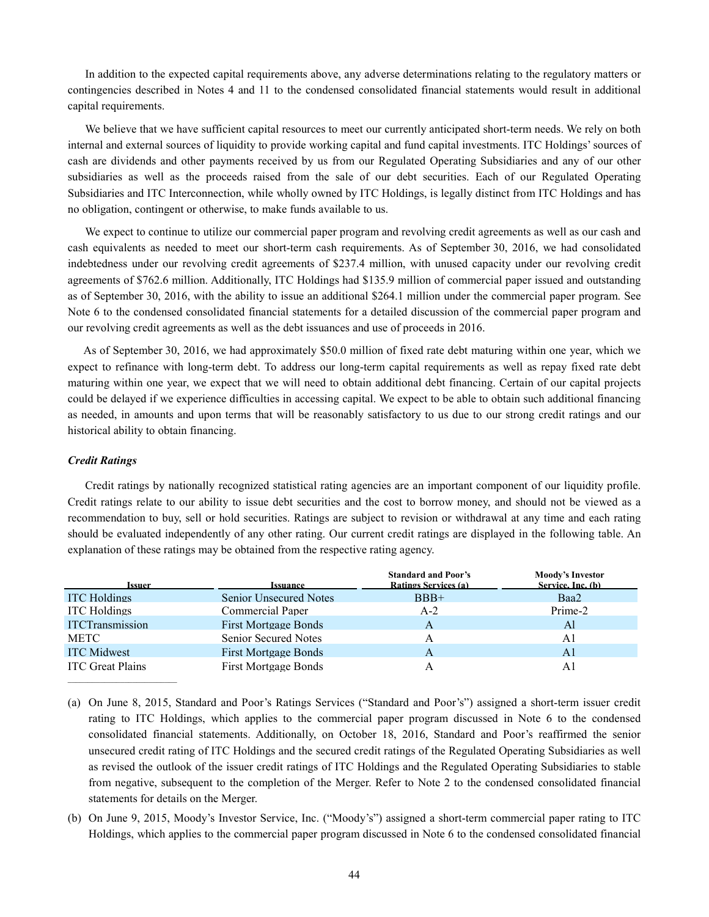In addition to the expected capital requirements above, any adverse determinations relating to the regulatory matters or contingencies described in Notes 4 and 11 to the condensed consolidated financial statements would result in additional capital requirements.

We believe that we have sufficient capital resources to meet our currently anticipated short-term needs. We rely on both internal and external sources of liquidity to provide working capital and fund capital investments. ITC Holdings' sources of cash are dividends and other payments received by us from our Regulated Operating Subsidiaries and any of our other subsidiaries as well as the proceeds raised from the sale of our debt securities. Each of our Regulated Operating Subsidiaries and ITC Interconnection, while wholly owned by ITC Holdings, is legally distinct from ITC Holdings and has no obligation, contingent or otherwise, to make funds available to us.

We expect to continue to utilize our commercial paper program and revolving credit agreements as well as our cash and cash equivalents as needed to meet our short-term cash requirements. As of September 30, 2016, we had consolidated indebtedness under our revolving credit agreements of \$237.4 million, with unused capacity under our revolving credit agreements of \$762.6 million. Additionally, ITC Holdings had \$135.9 million of commercial paper issued and outstanding as of September 30, 2016, with the ability to issue an additional \$264.1 million under the commercial paper program. See Note 6 to the condensed consolidated financial statements for a detailed discussion of the commercial paper program and our revolving credit agreements as well as the debt issuances and use of proceeds in 2016.

As of September 30, 2016, we had approximately \$50.0 million of fixed rate debt maturing within one year, which we expect to refinance with long-term debt. To address our long-term capital requirements as well as repay fixed rate debt maturing within one year, we expect that we will need to obtain additional debt financing. Certain of our capital projects could be delayed if we experience difficulties in accessing capital. We expect to be able to obtain such additional financing as needed, in amounts and upon terms that will be reasonably satisfactory to us due to our strong credit ratings and our historical ability to obtain financing.

#### *Credit Ratings*

Credit ratings by nationally recognized statistical rating agencies are an important component of our liquidity profile. Credit ratings relate to our ability to issue debt securities and the cost to borrow money, and should not be viewed as a recommendation to buy, sell or hold securities. Ratings are subject to revision or withdrawal at any time and each rating should be evaluated independently of any other rating. Our current credit ratings are displayed in the following table. An explanation of these ratings may be obtained from the respective rating agency.

| Issuer                  | Issuance                      | <b>Standard and Poor's</b><br>Ratings Services (a) | <b>Moody's Investor</b><br>Service, Inc. (b) |
|-------------------------|-------------------------------|----------------------------------------------------|----------------------------------------------|
| <b>ITC</b> Holdings     | <b>Senior Unsecured Notes</b> | $BBB+$                                             | Baa2                                         |
| <b>ITC</b> Holdings     | Commercial Paper              | $A-2$                                              | Prime-2                                      |
| <b>ITCTransmission</b>  | <b>First Mortgage Bonds</b>   |                                                    | Al                                           |
| <b>METC</b>             | <b>Senior Secured Notes</b>   |                                                    | A1                                           |
| <b>ITC</b> Midwest      | <b>First Mortgage Bonds</b>   |                                                    | A1                                           |
| <b>ITC</b> Great Plains | <b>First Mortgage Bonds</b>   |                                                    | Αl                                           |

(a) On June 8, 2015, Standard and Poor's Ratings Services ("Standard and Poor's") assigned a short-term issuer credit rating to ITC Holdings, which applies to the commercial paper program discussed in Note 6 to the condensed consolidated financial statements. Additionally, on October 18, 2016, Standard and Poor's reaffirmed the senior unsecured credit rating of ITC Holdings and the secured credit ratings of the Regulated Operating Subsidiaries as well as revised the outlook of the issuer credit ratings of ITC Holdings and the Regulated Operating Subsidiaries to stable from negative, subsequent to the completion of the Merger. Refer to Note 2 to the condensed consolidated financial statements for details on the Merger.

(b) On June 9, 2015, Moody's Investor Service, Inc. ("Moody's") assigned a short-term commercial paper rating to ITC Holdings, which applies to the commercial paper program discussed in Note 6 to the condensed consolidated financial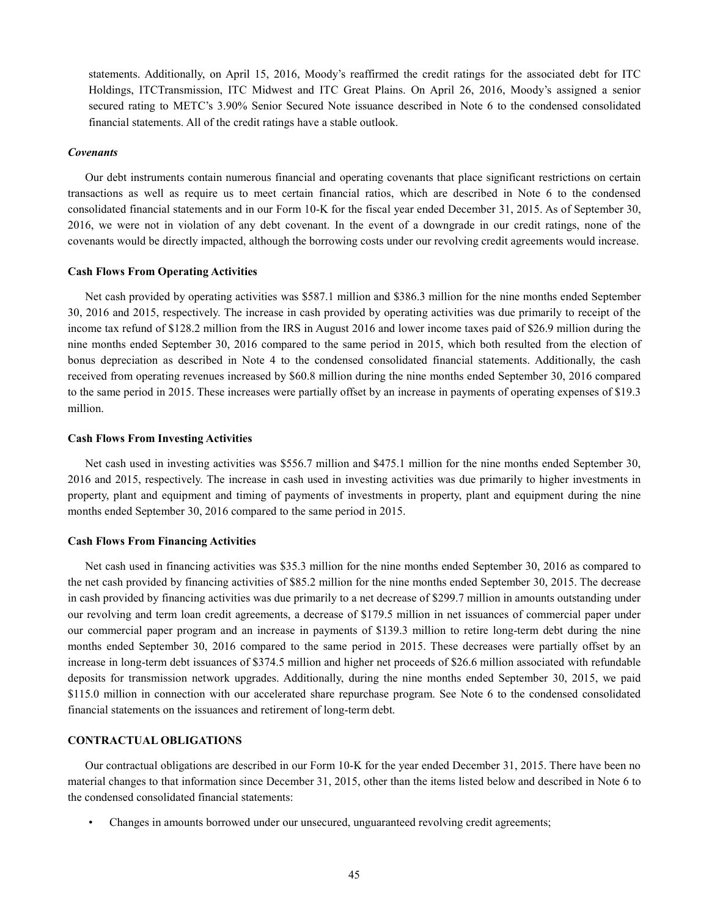statements. Additionally, on April 15, 2016, Moody's reaffirmed the credit ratings for the associated debt for ITC Holdings, ITCTransmission, ITC Midwest and ITC Great Plains. On April 26, 2016, Moody's assigned a senior secured rating to METC's 3.90% Senior Secured Note issuance described in Note 6 to the condensed consolidated financial statements. All of the credit ratings have a stable outlook.

#### *Covenants*

Our debt instruments contain numerous financial and operating covenants that place significant restrictions on certain transactions as well as require us to meet certain financial ratios, which are described in Note 6 to the condensed consolidated financial statements and in our Form 10-K for the fiscal year ended December 31, 2015. As of September 30, 2016, we were not in violation of any debt covenant. In the event of a downgrade in our credit ratings, none of the covenants would be directly impacted, although the borrowing costs under our revolving credit agreements would increase.

#### **Cash Flows From Operating Activities**

Net cash provided by operating activities was \$587.1 million and \$386.3 million for the nine months ended September 30, 2016 and 2015, respectively. The increase in cash provided by operating activities was due primarily to receipt of the income tax refund of \$128.2 million from the IRS in August 2016 and lower income taxes paid of \$26.9 million during the nine months ended September 30, 2016 compared to the same period in 2015, which both resulted from the election of bonus depreciation as described in Note 4 to the condensed consolidated financial statements. Additionally, the cash received from operating revenues increased by \$60.8 million during the nine months ended September 30, 2016 compared to the same period in 2015. These increases were partially offset by an increase in payments of operating expenses of \$19.3 million.

# **Cash Flows From Investing Activities**

Net cash used in investing activities was \$556.7 million and \$475.1 million for the nine months ended September 30, 2016 and 2015, respectively. The increase in cash used in investing activities was due primarily to higher investments in property, plant and equipment and timing of payments of investments in property, plant and equipment during the nine months ended September 30, 2016 compared to the same period in 2015.

#### **Cash Flows From Financing Activities**

Net cash used in financing activities was \$35.3 million for the nine months ended September 30, 2016 as compared to the net cash provided by financing activities of \$85.2 million for the nine months ended September 30, 2015. The decrease in cash provided by financing activities was due primarily to a net decrease of \$299.7 million in amounts outstanding under our revolving and term loan credit agreements, a decrease of \$179.5 million in net issuances of commercial paper under our commercial paper program and an increase in payments of \$139.3 million to retire long-term debt during the nine months ended September 30, 2016 compared to the same period in 2015. These decreases were partially offset by an increase in long-term debt issuances of \$374.5 million and higher net proceeds of \$26.6 million associated with refundable deposits for transmission network upgrades. Additionally, during the nine months ended September 30, 2015, we paid \$115.0 million in connection with our accelerated share repurchase program. See Note 6 to the condensed consolidated financial statements on the issuances and retirement of long-term debt.

# **CONTRACTUAL OBLIGATIONS**

Our contractual obligations are described in our Form 10-K for the year ended December 31, 2015. There have been no material changes to that information since December 31, 2015, other than the items listed below and described in Note 6 to the condensed consolidated financial statements:

• Changes in amounts borrowed under our unsecured, unguaranteed revolving credit agreements;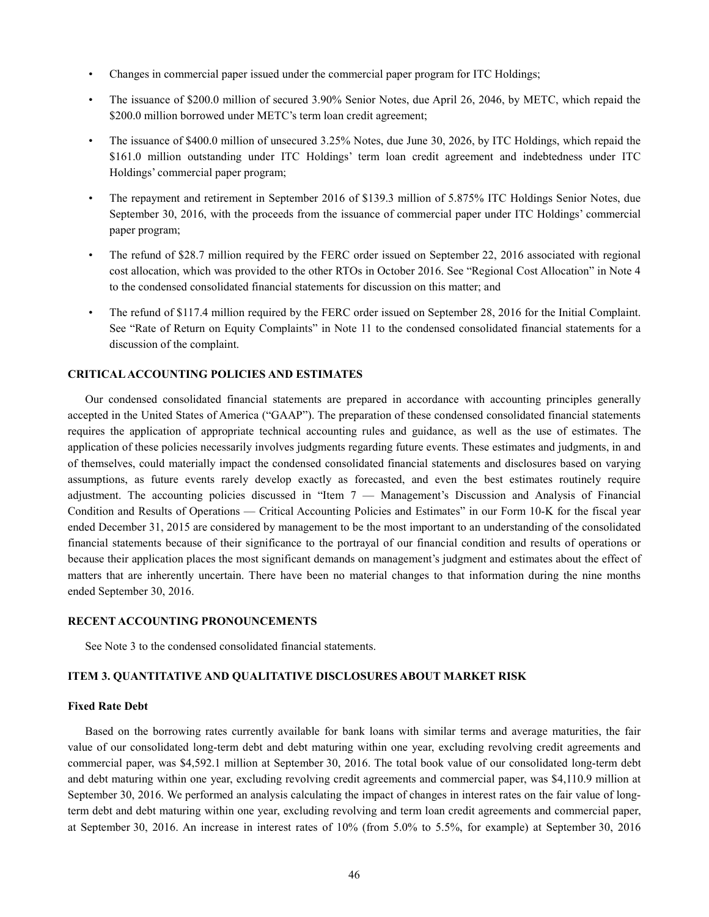- Changes in commercial paper issued under the commercial paper program for ITC Holdings;
- The issuance of \$200.0 million of secured 3.90% Senior Notes, due April 26, 2046, by METC, which repaid the \$200.0 million borrowed under METC's term loan credit agreement;
- The issuance of \$400.0 million of unsecured 3.25% Notes, due June 30, 2026, by ITC Holdings, which repaid the \$161.0 million outstanding under ITC Holdings' term loan credit agreement and indebtedness under ITC Holdings' commercial paper program;
- The repayment and retirement in September 2016 of \$139.3 million of 5.875% ITC Holdings Senior Notes, due September 30, 2016, with the proceeds from the issuance of commercial paper under ITC Holdings' commercial paper program;
- The refund of \$28.7 million required by the FERC order issued on September 22, 2016 associated with regional cost allocation, which was provided to the other RTOs in October 2016. See "Regional Cost Allocation" in Note 4 to the condensed consolidated financial statements for discussion on this matter; and
- The refund of \$117.4 million required by the FERC order issued on September 28, 2016 for the Initial Complaint. See "Rate of Return on Equity Complaints" in Note 11 to the condensed consolidated financial statements for a discussion of the complaint.

# **CRITICAL ACCOUNTING POLICIES AND ESTIMATES**

Our condensed consolidated financial statements are prepared in accordance with accounting principles generally accepted in the United States of America ("GAAP"). The preparation of these condensed consolidated financial statements requires the application of appropriate technical accounting rules and guidance, as well as the use of estimates. The application of these policies necessarily involves judgments regarding future events. These estimates and judgments, in and of themselves, could materially impact the condensed consolidated financial statements and disclosures based on varying assumptions, as future events rarely develop exactly as forecasted, and even the best estimates routinely require adjustment. The accounting policies discussed in "Item 7 — Management's Discussion and Analysis of Financial Condition and Results of Operations — Critical Accounting Policies and Estimates" in our Form 10-K for the fiscal year ended December 31, 2015 are considered by management to be the most important to an understanding of the consolidated financial statements because of their significance to the portrayal of our financial condition and results of operations or because their application places the most significant demands on management's judgment and estimates about the effect of matters that are inherently uncertain. There have been no material changes to that information during the nine months ended September 30, 2016.

# **RECENT ACCOUNTING PRONOUNCEMENTS**

See Note 3 to the condensed consolidated financial statements.

# **ITEM 3. QUANTITATIVE AND QUALITATIVE DISCLOSURES ABOUT MARKET RISK**

# **Fixed Rate Debt**

Based on the borrowing rates currently available for bank loans with similar terms and average maturities, the fair value of our consolidated long-term debt and debt maturing within one year, excluding revolving credit agreements and commercial paper, was \$4,592.1 million at September 30, 2016. The total book value of our consolidated long-term debt and debt maturing within one year, excluding revolving credit agreements and commercial paper, was \$4,110.9 million at September 30, 2016. We performed an analysis calculating the impact of changes in interest rates on the fair value of longterm debt and debt maturing within one year, excluding revolving and term loan credit agreements and commercial paper, at September 30, 2016. An increase in interest rates of 10% (from 5.0% to 5.5%, for example) at September 30, 2016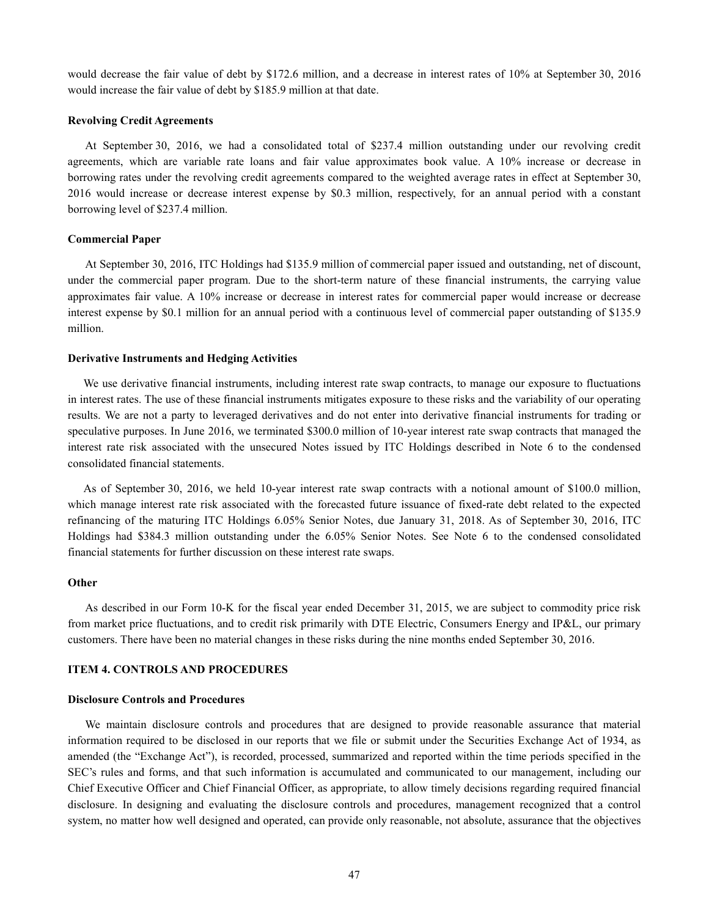would decrease the fair value of debt by \$172.6 million, and a decrease in interest rates of 10% at September 30, 2016 would increase the fair value of debt by \$185.9 million at that date.

#### **Revolving Credit Agreements**

At September 30, 2016, we had a consolidated total of \$237.4 million outstanding under our revolving credit agreements, which are variable rate loans and fair value approximates book value. A 10% increase or decrease in borrowing rates under the revolving credit agreements compared to the weighted average rates in effect at September 30, 2016 would increase or decrease interest expense by \$0.3 million, respectively, for an annual period with a constant borrowing level of \$237.4 million.

#### **Commercial Paper**

At September 30, 2016, ITC Holdings had \$135.9 million of commercial paper issued and outstanding, net of discount, under the commercial paper program. Due to the short-term nature of these financial instruments, the carrying value approximates fair value. A 10% increase or decrease in interest rates for commercial paper would increase or decrease interest expense by \$0.1 million for an annual period with a continuous level of commercial paper outstanding of \$135.9 million.

#### **Derivative Instruments and Hedging Activities**

We use derivative financial instruments, including interest rate swap contracts, to manage our exposure to fluctuations in interest rates. The use of these financial instruments mitigates exposure to these risks and the variability of our operating results. We are not a party to leveraged derivatives and do not enter into derivative financial instruments for trading or speculative purposes. In June 2016, we terminated \$300.0 million of 10-year interest rate swap contracts that managed the interest rate risk associated with the unsecured Notes issued by ITC Holdings described in Note 6 to the condensed consolidated financial statements.

As of September 30, 2016, we held 10-year interest rate swap contracts with a notional amount of \$100.0 million, which manage interest rate risk associated with the forecasted future issuance of fixed-rate debt related to the expected refinancing of the maturing ITC Holdings 6.05% Senior Notes, due January 31, 2018. As of September 30, 2016, ITC Holdings had \$384.3 million outstanding under the 6.05% Senior Notes. See Note 6 to the condensed consolidated financial statements for further discussion on these interest rate swaps.

#### **Other**

As described in our Form 10-K for the fiscal year ended December 31, 2015, we are subject to commodity price risk from market price fluctuations, and to credit risk primarily with DTE Electric, Consumers Energy and IP&L, our primary customers. There have been no material changes in these risks during the nine months ended September 30, 2016.

# **ITEM 4. CONTROLS AND PROCEDURES**

#### **Disclosure Controls and Procedures**

We maintain disclosure controls and procedures that are designed to provide reasonable assurance that material information required to be disclosed in our reports that we file or submit under the Securities Exchange Act of 1934, as amended (the "Exchange Act"), is recorded, processed, summarized and reported within the time periods specified in the SEC's rules and forms, and that such information is accumulated and communicated to our management, including our Chief Executive Officer and Chief Financial Officer, as appropriate, to allow timely decisions regarding required financial disclosure. In designing and evaluating the disclosure controls and procedures, management recognized that a control system, no matter how well designed and operated, can provide only reasonable, not absolute, assurance that the objectives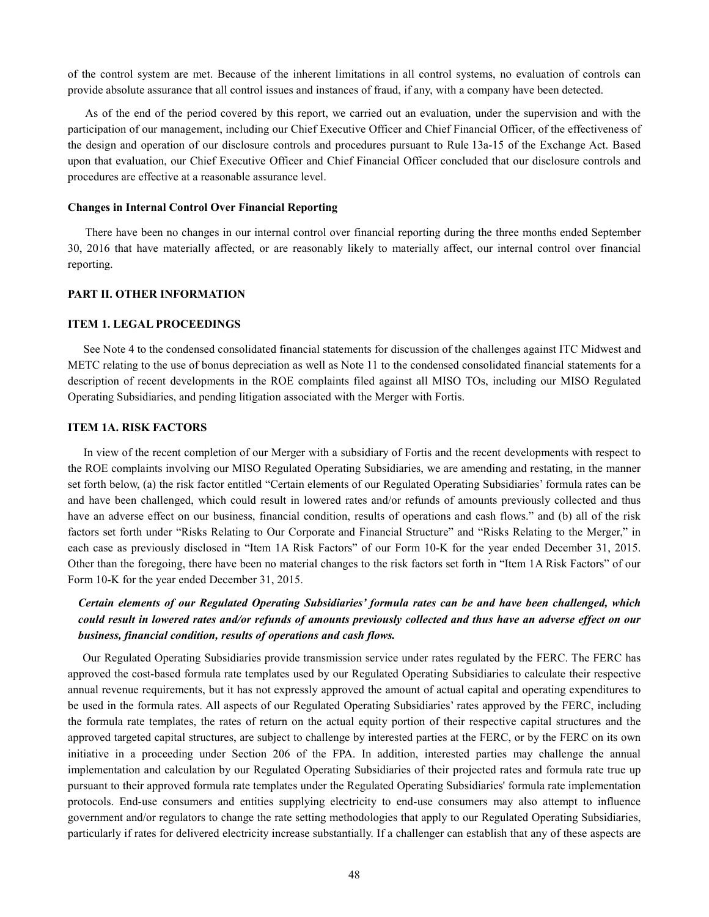of the control system are met. Because of the inherent limitations in all control systems, no evaluation of controls can provide absolute assurance that all control issues and instances of fraud, if any, with a company have been detected.

As of the end of the period covered by this report, we carried out an evaluation, under the supervision and with the participation of our management, including our Chief Executive Officer and Chief Financial Officer, of the effectiveness of the design and operation of our disclosure controls and procedures pursuant to Rule 13a-15 of the Exchange Act. Based upon that evaluation, our Chief Executive Officer and Chief Financial Officer concluded that our disclosure controls and procedures are effective at a reasonable assurance level.

#### **Changes in Internal Control Over Financial Reporting**

There have been no changes in our internal control over financial reporting during the three months ended September 30, 2016 that have materially affected, or are reasonably likely to materially affect, our internal control over financial reporting.

# **PART II. OTHER INFORMATION**

#### **ITEM 1. LEGAL PROCEEDINGS**

See Note 4 to the condensed consolidated financial statements for discussion of the challenges against ITC Midwest and METC relating to the use of bonus depreciation as well as Note 11 to the condensed consolidated financial statements for a description of recent developments in the ROE complaints filed against all MISO TOs, including our MISO Regulated Operating Subsidiaries, and pending litigation associated with the Merger with Fortis.

# **ITEM 1A. RISK FACTORS**

In view of the recent completion of our Merger with a subsidiary of Fortis and the recent developments with respect to the ROE complaints involving our MISO Regulated Operating Subsidiaries, we are amending and restating, in the manner set forth below, (a) the risk factor entitled "Certain elements of our Regulated Operating Subsidiaries' formula rates can be and have been challenged, which could result in lowered rates and/or refunds of amounts previously collected and thus have an adverse effect on our business, financial condition, results of operations and cash flows." and (b) all of the risk factors set forth under "Risks Relating to Our Corporate and Financial Structure" and "Risks Relating to the Merger," in each case as previously disclosed in "Item 1A Risk Factors" of our Form 10-K for the year ended December 31, 2015. Other than the foregoing, there have been no material changes to the risk factors set forth in "Item 1A Risk Factors" of our Form 10-K for the year ended December 31, 2015.

# *Certain elements of our Regulated Operating Subsidiaries' formula rates can be and have been challenged, which could result in lowered rates and/or refunds of amounts previously collected and thus have an adverse effect on our business, financial condition, results of operations and cash flows.*

Our Regulated Operating Subsidiaries provide transmission service under rates regulated by the FERC. The FERC has approved the cost-based formula rate templates used by our Regulated Operating Subsidiaries to calculate their respective annual revenue requirements, but it has not expressly approved the amount of actual capital and operating expenditures to be used in the formula rates. All aspects of our Regulated Operating Subsidiaries' rates approved by the FERC, including the formula rate templates, the rates of return on the actual equity portion of their respective capital structures and the approved targeted capital structures, are subject to challenge by interested parties at the FERC, or by the FERC on its own initiative in a proceeding under Section 206 of the FPA. In addition, interested parties may challenge the annual implementation and calculation by our Regulated Operating Subsidiaries of their projected rates and formula rate true up pursuant to their approved formula rate templates under the Regulated Operating Subsidiaries' formula rate implementation protocols. End-use consumers and entities supplying electricity to end-use consumers may also attempt to influence government and/or regulators to change the rate setting methodologies that apply to our Regulated Operating Subsidiaries, particularly if rates for delivered electricity increase substantially. If a challenger can establish that any of these aspects are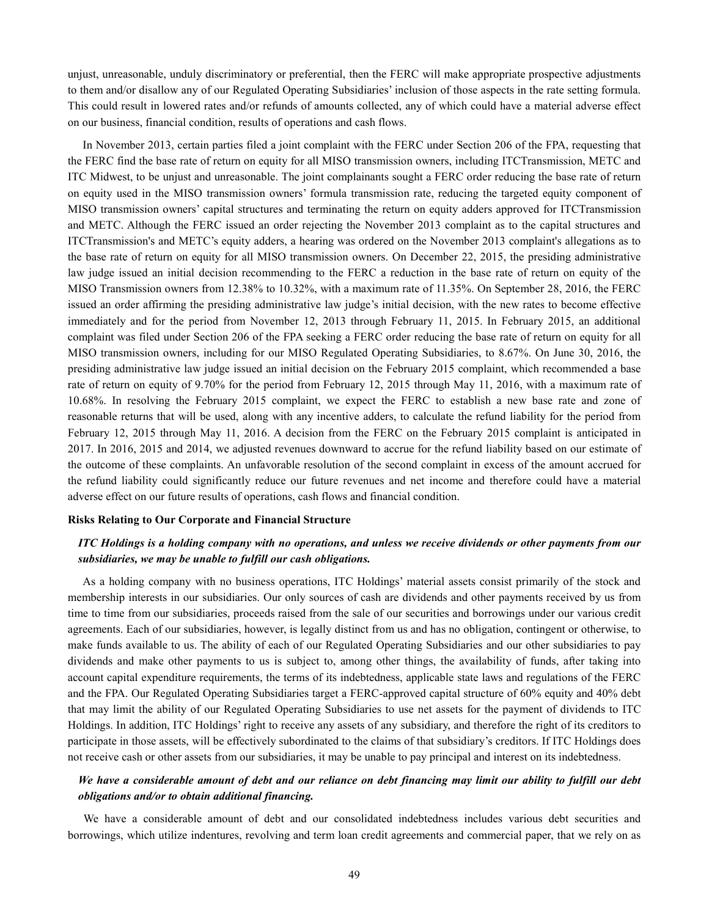unjust, unreasonable, unduly discriminatory or preferential, then the FERC will make appropriate prospective adjustments to them and/or disallow any of our Regulated Operating Subsidiaries' inclusion of those aspects in the rate setting formula. This could result in lowered rates and/or refunds of amounts collected, any of which could have a material adverse effect on our business, financial condition, results of operations and cash flows.

In November 2013, certain parties filed a joint complaint with the FERC under Section 206 of the FPA, requesting that the FERC find the base rate of return on equity for all MISO transmission owners, including ITCTransmission, METC and ITC Midwest, to be unjust and unreasonable. The joint complainants sought a FERC order reducing the base rate of return on equity used in the MISO transmission owners' formula transmission rate, reducing the targeted equity component of MISO transmission owners' capital structures and terminating the return on equity adders approved for ITCTransmission and METC. Although the FERC issued an order rejecting the November 2013 complaint as to the capital structures and ITCTransmission's and METC's equity adders, a hearing was ordered on the November 2013 complaint's allegations as to the base rate of return on equity for all MISO transmission owners. On December 22, 2015, the presiding administrative law judge issued an initial decision recommending to the FERC a reduction in the base rate of return on equity of the MISO Transmission owners from 12.38% to 10.32%, with a maximum rate of 11.35%. On September 28, 2016, the FERC issued an order affirming the presiding administrative law judge's initial decision, with the new rates to become effective immediately and for the period from November 12, 2013 through February 11, 2015. In February 2015, an additional complaint was filed under Section 206 of the FPA seeking a FERC order reducing the base rate of return on equity for all MISO transmission owners, including for our MISO Regulated Operating Subsidiaries, to 8.67%. On June 30, 2016, the presiding administrative law judge issued an initial decision on the February 2015 complaint, which recommended a base rate of return on equity of 9.70% for the period from February 12, 2015 through May 11, 2016, with a maximum rate of 10.68%. In resolving the February 2015 complaint, we expect the FERC to establish a new base rate and zone of reasonable returns that will be used, along with any incentive adders, to calculate the refund liability for the period from February 12, 2015 through May 11, 2016. A decision from the FERC on the February 2015 complaint is anticipated in 2017. In 2016, 2015 and 2014, we adjusted revenues downward to accrue for the refund liability based on our estimate of the outcome of these complaints. An unfavorable resolution of the second complaint in excess of the amount accrued for the refund liability could significantly reduce our future revenues and net income and therefore could have a material adverse effect on our future results of operations, cash flows and financial condition.

#### **Risks Relating to Our Corporate and Financial Structure**

# *ITC Holdings is a holding company with no operations, and unless we receive dividends or other payments from our subsidiaries, we may be unable to fulfill our cash obligations.*

As a holding company with no business operations, ITC Holdings' material assets consist primarily of the stock and membership interests in our subsidiaries. Our only sources of cash are dividends and other payments received by us from time to time from our subsidiaries, proceeds raised from the sale of our securities and borrowings under our various credit agreements. Each of our subsidiaries, however, is legally distinct from us and has no obligation, contingent or otherwise, to make funds available to us. The ability of each of our Regulated Operating Subsidiaries and our other subsidiaries to pay dividends and make other payments to us is subject to, among other things, the availability of funds, after taking into account capital expenditure requirements, the terms of its indebtedness, applicable state laws and regulations of the FERC and the FPA. Our Regulated Operating Subsidiaries target a FERC-approved capital structure of 60% equity and 40% debt that may limit the ability of our Regulated Operating Subsidiaries to use net assets for the payment of dividends to ITC Holdings. In addition, ITC Holdings' right to receive any assets of any subsidiary, and therefore the right of its creditors to participate in those assets, will be effectively subordinated to the claims of that subsidiary's creditors. If ITC Holdings does not receive cash or other assets from our subsidiaries, it may be unable to pay principal and interest on its indebtedness.

# *We have a considerable amount of debt and our reliance on debt financing may limit our ability to fulfill our debt obligations and/or to obtain additional financing.*

We have a considerable amount of debt and our consolidated indebtedness includes various debt securities and borrowings, which utilize indentures, revolving and term loan credit agreements and commercial paper, that we rely on as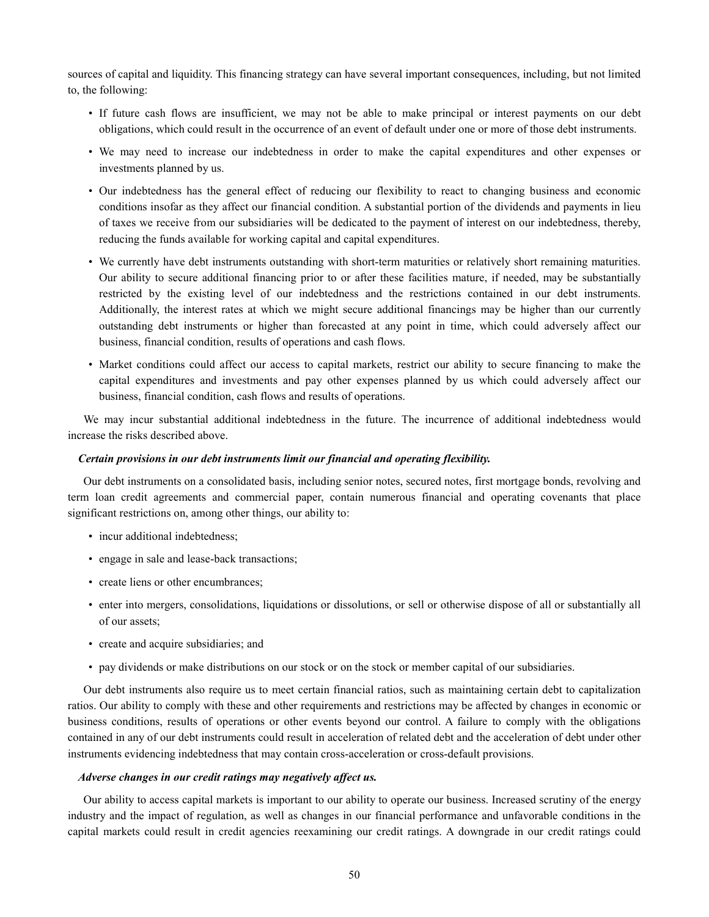sources of capital and liquidity. This financing strategy can have several important consequences, including, but not limited to, the following:

- If future cash flows are insufficient, we may not be able to make principal or interest payments on our debt obligations, which could result in the occurrence of an event of default under one or more of those debt instruments.
- We may need to increase our indebtedness in order to make the capital expenditures and other expenses or investments planned by us.
- Our indebtedness has the general effect of reducing our flexibility to react to changing business and economic conditions insofar as they affect our financial condition. A substantial portion of the dividends and payments in lieu of taxes we receive from our subsidiaries will be dedicated to the payment of interest on our indebtedness, thereby, reducing the funds available for working capital and capital expenditures.
- We currently have debt instruments outstanding with short-term maturities or relatively short remaining maturities. Our ability to secure additional financing prior to or after these facilities mature, if needed, may be substantially restricted by the existing level of our indebtedness and the restrictions contained in our debt instruments. Additionally, the interest rates at which we might secure additional financings may be higher than our currently outstanding debt instruments or higher than forecasted at any point in time, which could adversely affect our business, financial condition, results of operations and cash flows.
- Market conditions could affect our access to capital markets, restrict our ability to secure financing to make the capital expenditures and investments and pay other expenses planned by us which could adversely affect our business, financial condition, cash flows and results of operations.

We may incur substantial additional indebtedness in the future. The incurrence of additional indebtedness would increase the risks described above.

# *Certain provisions in our debt instruments limit our financial and operating flexibility.*

Our debt instruments on a consolidated basis, including senior notes, secured notes, first mortgage bonds, revolving and term loan credit agreements and commercial paper, contain numerous financial and operating covenants that place significant restrictions on, among other things, our ability to:

- incur additional indebtedness;
- engage in sale and lease-back transactions;
- create liens or other encumbrances;
- enter into mergers, consolidations, liquidations or dissolutions, or sell or otherwise dispose of all or substantially all of our assets;
- create and acquire subsidiaries; and
- pay dividends or make distributions on our stock or on the stock or member capital of our subsidiaries.

Our debt instruments also require us to meet certain financial ratios, such as maintaining certain debt to capitalization ratios. Our ability to comply with these and other requirements and restrictions may be affected by changes in economic or business conditions, results of operations or other events beyond our control. A failure to comply with the obligations contained in any of our debt instruments could result in acceleration of related debt and the acceleration of debt under other instruments evidencing indebtedness that may contain cross-acceleration or cross-default provisions.

# *Adverse changes in our credit ratings may negatively affect us.*

Our ability to access capital markets is important to our ability to operate our business. Increased scrutiny of the energy industry and the impact of regulation, as well as changes in our financial performance and unfavorable conditions in the capital markets could result in credit agencies reexamining our credit ratings. A downgrade in our credit ratings could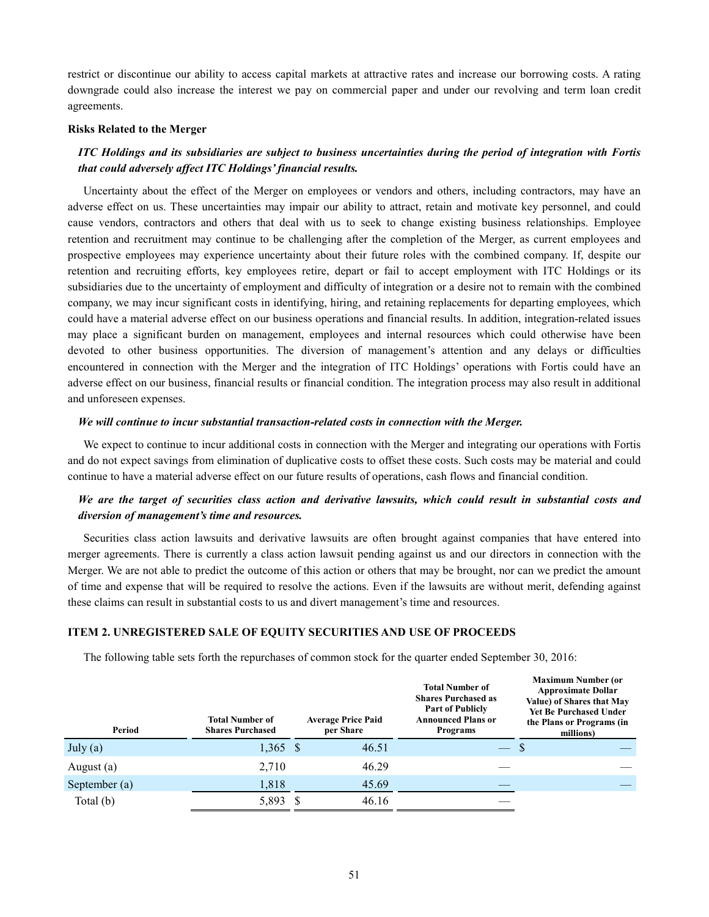restrict or discontinue our ability to access capital markets at attractive rates and increase our borrowing costs. A rating downgrade could also increase the interest we pay on commercial paper and under our revolving and term loan credit agreements.

#### **Risks Related to the Merger**

# *ITC Holdings and its subsidiaries are subject to business uncertainties during the period of integration with Fortis that could adversely affect ITC Holdings' financial results.*

Uncertainty about the effect of the Merger on employees or vendors and others, including contractors, may have an adverse effect on us. These uncertainties may impair our ability to attract, retain and motivate key personnel, and could cause vendors, contractors and others that deal with us to seek to change existing business relationships. Employee retention and recruitment may continue to be challenging after the completion of the Merger, as current employees and prospective employees may experience uncertainty about their future roles with the combined company. If, despite our retention and recruiting efforts, key employees retire, depart or fail to accept employment with ITC Holdings or its subsidiaries due to the uncertainty of employment and difficulty of integration or a desire not to remain with the combined company, we may incur significant costs in identifying, hiring, and retaining replacements for departing employees, which could have a material adverse effect on our business operations and financial results. In addition, integration-related issues may place a significant burden on management, employees and internal resources which could otherwise have been devoted to other business opportunities. The diversion of management's attention and any delays or difficulties encountered in connection with the Merger and the integration of ITC Holdings' operations with Fortis could have an adverse effect on our business, financial results or financial condition. The integration process may also result in additional and unforeseen expenses.

#### *We will continue to incur substantial transaction-related costs in connection with the Merger.*

We expect to continue to incur additional costs in connection with the Merger and integrating our operations with Fortis and do not expect savings from elimination of duplicative costs to offset these costs. Such costs may be material and could continue to have a material adverse effect on our future results of operations, cash flows and financial condition.

# *We are the target of securities class action and derivative lawsuits, which could result in substantial costs and diversion of management's time and resources.*

Securities class action lawsuits and derivative lawsuits are often brought against companies that have entered into merger agreements. There is currently a class action lawsuit pending against us and our directors in connection with the Merger. We are not able to predict the outcome of this action or others that may be brought, nor can we predict the amount of time and expense that will be required to resolve the actions. Even if the lawsuits are without merit, defending against these claims can result in substantial costs to us and divert management's time and resources.

# **ITEM 2. UNREGISTERED SALE OF EQUITY SECURITIES AND USE OF PROCEEDS**

The following table sets forth the repurchases of common stock for the quarter ended September 30, 2016:

| Period        | <b>Total Number of</b><br><b>Shares Purchased</b> | <b>Average Price Paid</b><br>per Share | <b>Total Number of</b><br><b>Shares Purchased as</b><br><b>Part of Publicly</b><br><b>Announced Plans or</b><br><b>Programs</b> | <b>Maximum Number (or</b><br><b>Approximate Dollar</b><br>Value) of Shares that May<br><b>Yet Be Purchased Under</b><br>the Plans or Programs (in<br>millions) |  |  |
|---------------|---------------------------------------------------|----------------------------------------|---------------------------------------------------------------------------------------------------------------------------------|----------------------------------------------------------------------------------------------------------------------------------------------------------------|--|--|
| July $(a)$    | $1,365$ \$                                        | 46.51                                  |                                                                                                                                 |                                                                                                                                                                |  |  |
| August (a)    | 2,710                                             | 46.29                                  |                                                                                                                                 |                                                                                                                                                                |  |  |
| September (a) | 1,818                                             | 45.69                                  |                                                                                                                                 |                                                                                                                                                                |  |  |
| Total $(b)$   | 5,893 \$                                          | 46.16                                  |                                                                                                                                 |                                                                                                                                                                |  |  |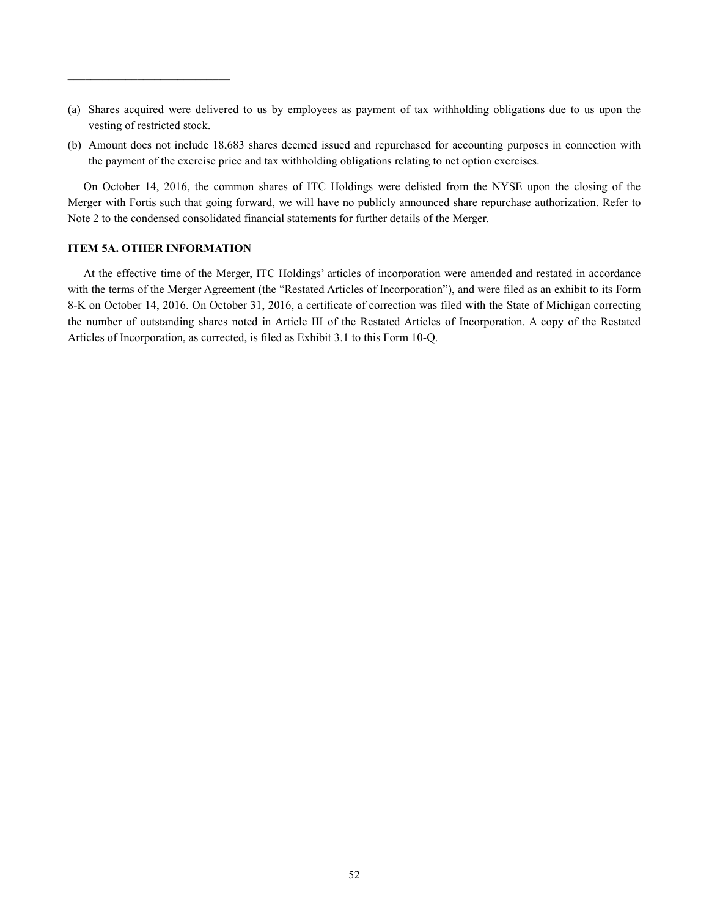- (a) Shares acquired were delivered to us by employees as payment of tax withholding obligations due to us upon the vesting of restricted stock.
- (b) Amount does not include 18,683 shares deemed issued and repurchased for accounting purposes in connection with the payment of the exercise price and tax withholding obligations relating to net option exercises.

On October 14, 2016, the common shares of ITC Holdings were delisted from the NYSE upon the closing of the Merger with Fortis such that going forward, we will have no publicly announced share repurchase authorization. Refer to Note 2 to the condensed consolidated financial statements for further details of the Merger.

# **ITEM 5A. OTHER INFORMATION**

\_\_\_\_\_\_\_\_\_\_\_\_\_\_\_\_\_\_\_\_\_\_\_\_\_\_\_\_

At the effective time of the Merger, ITC Holdings' articles of incorporation were amended and restated in accordance with the terms of the Merger Agreement (the "Restated Articles of Incorporation"), and were filed as an exhibit to its Form 8-K on October 14, 2016. On October 31, 2016, a certificate of correction was filed with the State of Michigan correcting the number of outstanding shares noted in Article III of the Restated Articles of Incorporation. A copy of the Restated Articles of Incorporation, as corrected, is filed as Exhibit 3.1 to this Form 10-Q.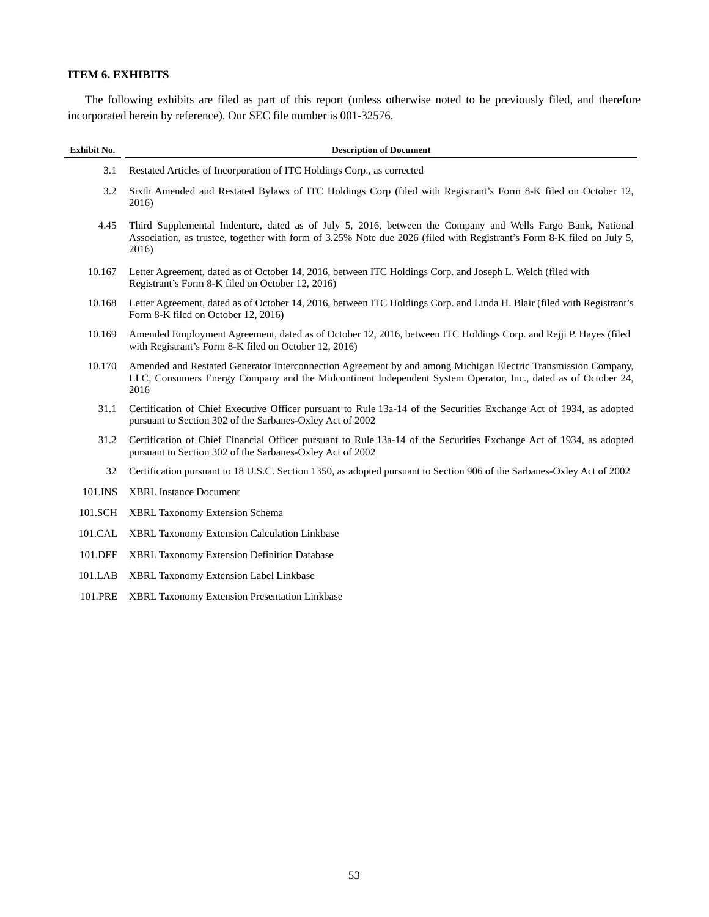# **ITEM 6. EXHIBITS**

The following exhibits are filed as part of this report (unless otherwise noted to be previously filed, and therefore incorporated herein by reference). Our SEC file number is 001-32576.

| Exhibit No. | <b>Description of Document</b>                                                                                                                                                                                                               |
|-------------|----------------------------------------------------------------------------------------------------------------------------------------------------------------------------------------------------------------------------------------------|
| 3.1         | Restated Articles of Incorporation of ITC Holdings Corp., as corrected                                                                                                                                                                       |
| 3.2         | Sixth Amended and Restated Bylaws of ITC Holdings Corp (filed with Registrant's Form 8-K filed on October 12,<br>2016)                                                                                                                       |
| 4.45        | Third Supplemental Indenture, dated as of July 5, 2016, between the Company and Wells Fargo Bank, National<br>Association, as trustee, together with form of 3.25% Note due 2026 (filed with Registrant's Form 8-K filed on July 5,<br>2016) |
| 10.167      | Letter Agreement, dated as of October 14, 2016, between ITC Holdings Corp. and Joseph L. Welch (filed with<br>Registrant's Form 8-K filed on October 12, 2016)                                                                               |
| 10.168      | Letter Agreement, dated as of October 14, 2016, between ITC Holdings Corp. and Linda H. Blair (filed with Registrant's<br>Form 8-K filed on October 12, 2016)                                                                                |
| 10.169      | Amended Employment Agreement, dated as of October 12, 2016, between ITC Holdings Corp. and Rejji P. Hayes (filed<br>with Registrant's Form 8-K filed on October 12, 2016)                                                                    |
| 10.170      | Amended and Restated Generator Interconnection Agreement by and among Michigan Electric Transmission Company,<br>LLC, Consumers Energy Company and the Midcontinent Independent System Operator, Inc., dated as of October 24,<br>2016       |
| 31.1        | Certification of Chief Executive Officer pursuant to Rule 13a-14 of the Securities Exchange Act of 1934, as adopted<br>pursuant to Section 302 of the Sarbanes-Oxley Act of 2002                                                             |
| 31.2        | Certification of Chief Financial Officer pursuant to Rule 13a-14 of the Securities Exchange Act of 1934, as adopted<br>pursuant to Section 302 of the Sarbanes-Oxley Act of 2002                                                             |
| 32          | Certification pursuant to 18 U.S.C. Section 1350, as adopted pursuant to Section 906 of the Sarbanes-Oxley Act of 2002                                                                                                                       |
| 101.INS     | <b>XBRL Instance Document</b>                                                                                                                                                                                                                |
| 101.SCH     | <b>XBRL Taxonomy Extension Schema</b>                                                                                                                                                                                                        |
| 101.CAL     | XBRL Taxonomy Extension Calculation Linkbase                                                                                                                                                                                                 |
| 101.DEF     | XBRL Taxonomy Extension Definition Database                                                                                                                                                                                                  |
| 101.LAB     | <b>XBRL Taxonomy Extension Label Linkbase</b>                                                                                                                                                                                                |
| 101.PRE     | XBRL Taxonomy Extension Presentation Linkbase                                                                                                                                                                                                |
|             |                                                                                                                                                                                                                                              |
|             |                                                                                                                                                                                                                                              |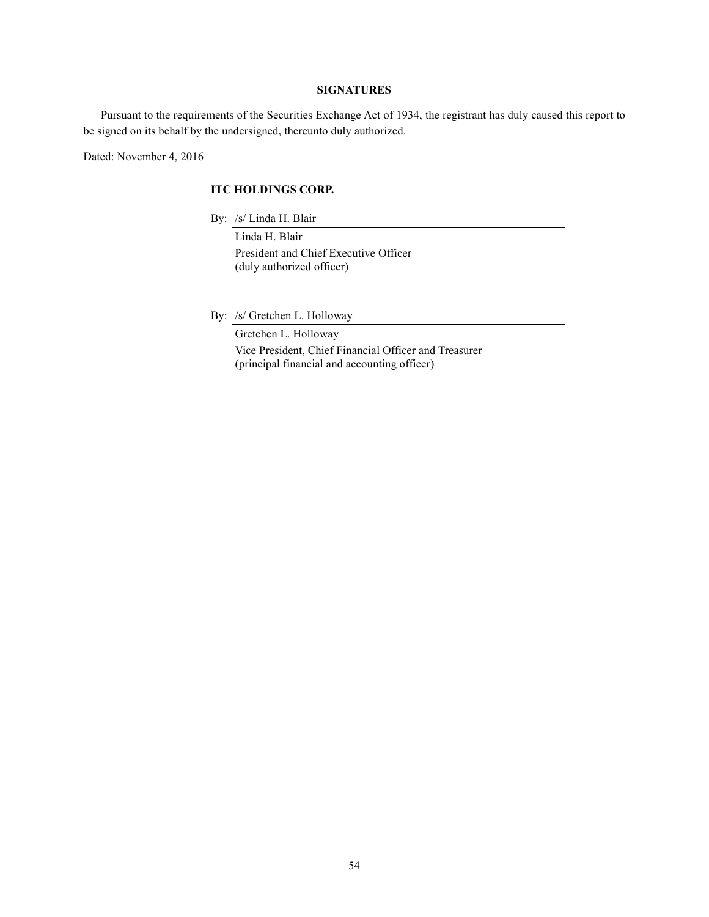# **SIGNATURES**

Pursuant to the requirements of the Securities Exchange Act of 1934, the registrant has duly caused this report to be signed on its behalf by the undersigned, thereunto duly authorized.

Dated: November 4, 2016

# **ITC HOLDINGS CORP.**

By: /s/ Linda H. Blair

 Linda H. Blair President and Chief Executive Officer (duly authorized officer)

By: /s/ Gretchen L. Holloway

 Gretchen L. Holloway Vice President, Chief Financial Officer and Treasurer (principal financial and accounting officer)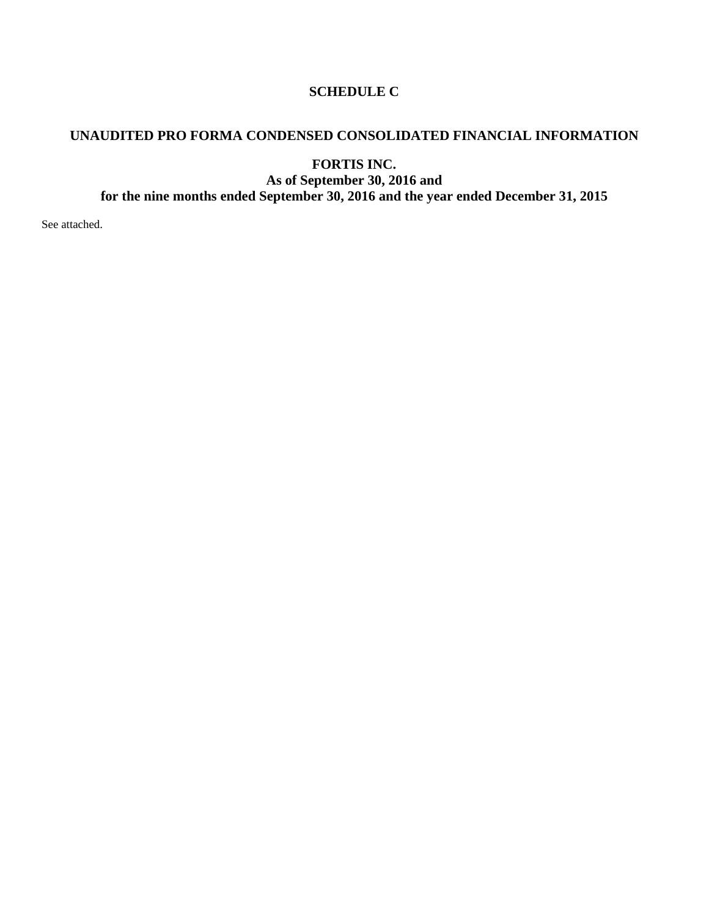# **SCHEDULE C**

# **UNAUDITED PRO FORMA CONDENSED CONSOLIDATED FINANCIAL INFORMATION**

**FORTIS INC. As of September 30, 2016 and for the nine months ended September 30, 2016 and the year ended December 31, 2015** 

See attached.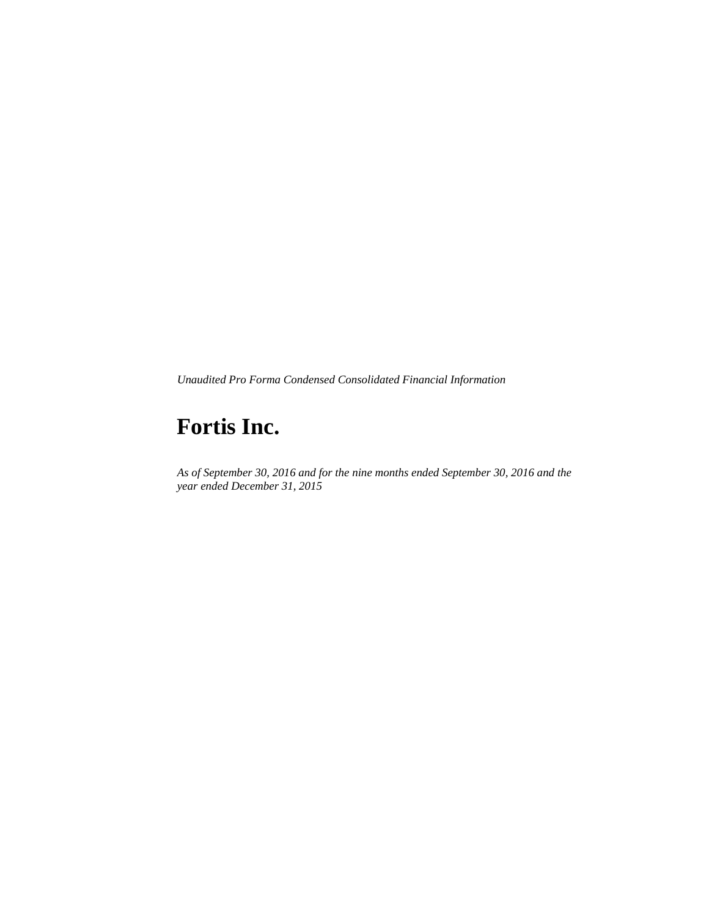*Unaudited Pro Forma Condensed Consolidated Financial Information* 

# **Fortis Inc.**

*As of September 30, 2016 and for the nine months ended September 30, 2016 and the year ended December 31, 2015*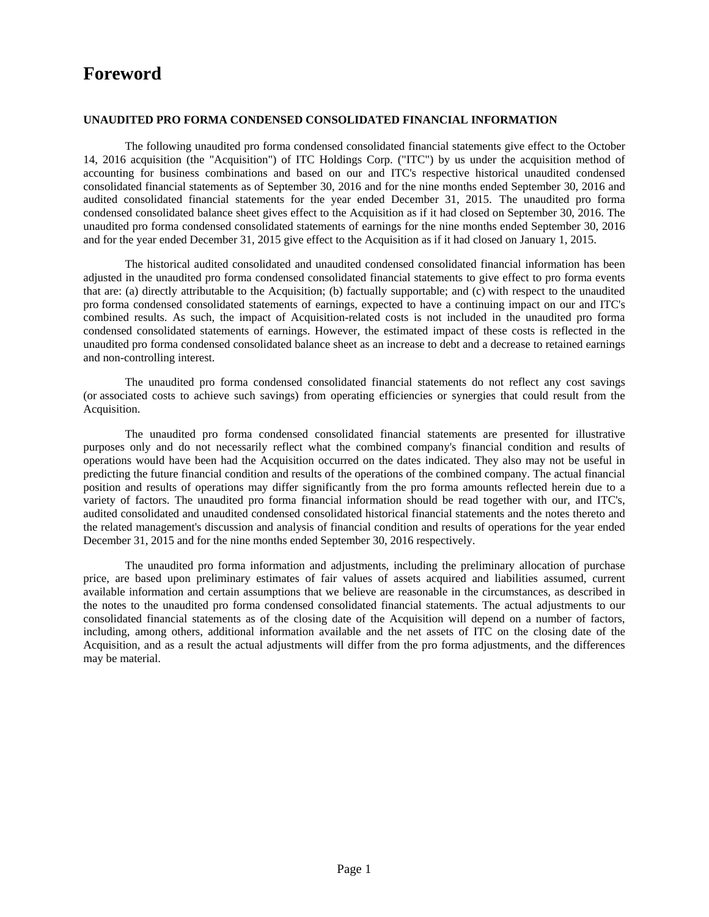# **Foreword**

# **UNAUDITED PRO FORMA CONDENSED CONSOLIDATED FINANCIAL INFORMATION**

The following unaudited pro forma condensed consolidated financial statements give effect to the October 14, 2016 acquisition (the "Acquisition") of ITC Holdings Corp. ("ITC") by us under the acquisition method of accounting for business combinations and based on our and ITC's respective historical unaudited condensed consolidated financial statements as of September 30, 2016 and for the nine months ended September 30, 2016 and audited consolidated financial statements for the year ended December 31, 2015. The unaudited pro forma condensed consolidated balance sheet gives effect to the Acquisition as if it had closed on September 30, 2016. The unaudited pro forma condensed consolidated statements of earnings for the nine months ended September 30, 2016 and for the year ended December 31, 2015 give effect to the Acquisition as if it had closed on January 1, 2015.

The historical audited consolidated and unaudited condensed consolidated financial information has been adjusted in the unaudited pro forma condensed consolidated financial statements to give effect to pro forma events that are: (a) directly attributable to the Acquisition; (b) factually supportable; and (c) with respect to the unaudited pro forma condensed consolidated statements of earnings, expected to have a continuing impact on our and ITC's combined results. As such, the impact of Acquisition-related costs is not included in the unaudited pro forma condensed consolidated statements of earnings. However, the estimated impact of these costs is reflected in the unaudited pro forma condensed consolidated balance sheet as an increase to debt and a decrease to retained earnings and non-controlling interest.

The unaudited pro forma condensed consolidated financial statements do not reflect any cost savings (or associated costs to achieve such savings) from operating efficiencies or synergies that could result from the Acquisition.

The unaudited pro forma condensed consolidated financial statements are presented for illustrative purposes only and do not necessarily reflect what the combined company's financial condition and results of operations would have been had the Acquisition occurred on the dates indicated. They also may not be useful in predicting the future financial condition and results of the operations of the combined company. The actual financial position and results of operations may differ significantly from the pro forma amounts reflected herein due to a variety of factors. The unaudited pro forma financial information should be read together with our, and ITC's, audited consolidated and unaudited condensed consolidated historical financial statements and the notes thereto and the related management's discussion and analysis of financial condition and results of operations for the year ended December 31, 2015 and for the nine months ended September 30, 2016 respectively.

The unaudited pro forma information and adjustments, including the preliminary allocation of purchase price, are based upon preliminary estimates of fair values of assets acquired and liabilities assumed, current available information and certain assumptions that we believe are reasonable in the circumstances, as described in the notes to the unaudited pro forma condensed consolidated financial statements. The actual adjustments to our consolidated financial statements as of the closing date of the Acquisition will depend on a number of factors, including, among others, additional information available and the net assets of ITC on the closing date of the Acquisition, and as a result the actual adjustments will differ from the pro forma adjustments, and the differences may be material.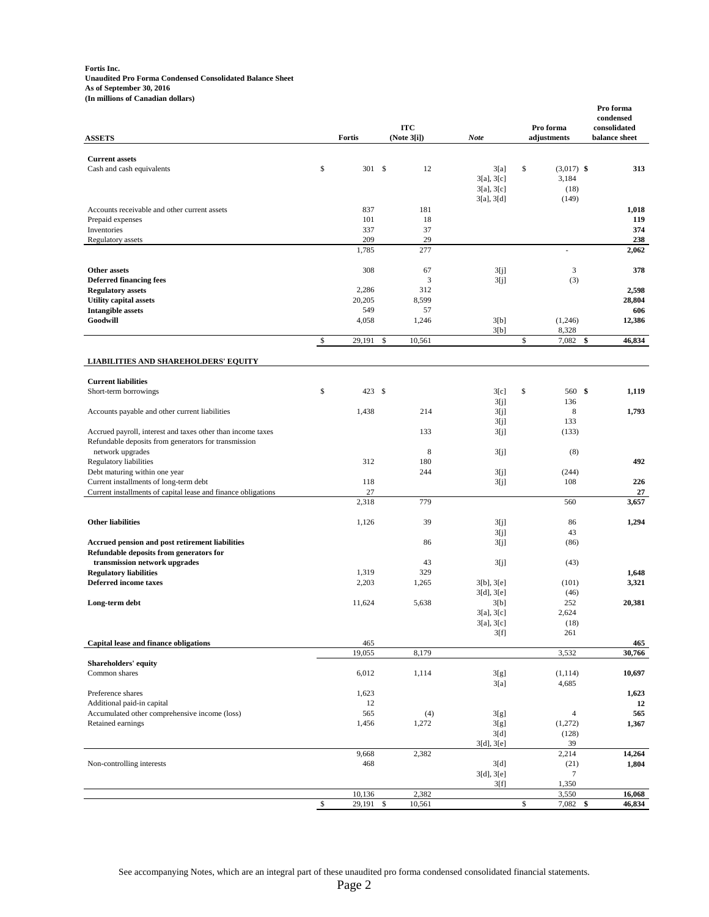#### **Fortis Inc. Unaudited Pro Forma Condensed Consolidated Balance Sheet As of September 30, 2016 (In millions of Canadian dollars)**

| <b>ASSETS</b>                                                                                                       |              | Fortis        |              | <b>ITC</b><br>(Note 3[i]) | <b>Note</b>                                         | Pro forma<br>adjustments                     | Pro forma<br>condensed<br>consolidated<br>balance sheet |
|---------------------------------------------------------------------------------------------------------------------|--------------|---------------|--------------|---------------------------|-----------------------------------------------------|----------------------------------------------|---------------------------------------------------------|
|                                                                                                                     |              |               |              |                           |                                                     |                                              |                                                         |
| <b>Current assets</b><br>Cash and cash equivalents                                                                  | \$           | 301S          |              | 12                        | 3[a]<br>$3[a]$ , $3[c]$<br>3[a], 3[c]<br>3[a], 3[d] | \$<br>$(3,017)$ \$<br>3,184<br>(18)<br>(149) | 313                                                     |
| Accounts receivable and other current assets                                                                        |              | 837           |              | 181                       |                                                     |                                              | 1,018                                                   |
| Prepaid expenses                                                                                                    |              | 101           |              | 18                        |                                                     |                                              | 119                                                     |
| Inventories                                                                                                         |              | 337           |              | 37                        |                                                     |                                              | 374                                                     |
| <b>Regulatory</b> assets                                                                                            |              | 209           |              | 29                        |                                                     |                                              | 238                                                     |
|                                                                                                                     |              | 1,785         |              | 277                       |                                                     |                                              | 2,062                                                   |
| Other assets<br><b>Deferred financing fees</b>                                                                      |              | 308           |              | 67<br>3                   | 3[j]<br>3[i]                                        | 3<br>(3)                                     | 378                                                     |
| <b>Regulatory assets</b>                                                                                            |              | 2,286         |              | 312                       |                                                     |                                              | 2,598                                                   |
| <b>Utility capital assets</b>                                                                                       |              | 20,205        |              | 8,599                     |                                                     |                                              | 28,804                                                  |
| <b>Intangible assets</b>                                                                                            |              | 549           |              | 57                        |                                                     |                                              | 606                                                     |
| Goodwill                                                                                                            |              | 4,058         |              | 1,246                     | 3[b]<br>3[b]                                        | (1,246)<br>8,328                             | 12,386                                                  |
|                                                                                                                     | \$           | 29,191        | \$           | 10,561                    |                                                     | \$<br>7,082                                  | \$<br>46,834                                            |
|                                                                                                                     |              |               |              |                           |                                                     |                                              |                                                         |
| <b>LIABILITIES AND SHAREHOLDERS' EQUITY</b>                                                                         |              |               |              |                           |                                                     |                                              |                                                         |
| <b>Current liabilities</b>                                                                                          |              |               |              |                           |                                                     |                                              |                                                         |
| Short-term borrowings                                                                                               | \$           | 423 \$        |              |                           | 3[c]                                                | \$<br>560 \$                                 | 1,119                                                   |
|                                                                                                                     |              |               |              |                           | 3[i]                                                | 136                                          |                                                         |
| Accounts payable and other current liabilities                                                                      |              | 1,438         |              | 214                       | 3[i]                                                | $\,$ 8 $\,$                                  | 1,793                                                   |
|                                                                                                                     |              |               |              | 133                       | 3[i]                                                | 133                                          |                                                         |
| Accrued payroll, interest and taxes other than income taxes<br>Refundable deposits from generators for transmission |              |               |              |                           | 3[i]                                                | (133)                                        |                                                         |
| network upgrades                                                                                                    |              |               |              | 8                         | 3[i]                                                | (8)                                          |                                                         |
| Regulatory liabilities                                                                                              |              | 312           |              | 180                       |                                                     |                                              | 492                                                     |
| Debt maturing within one year                                                                                       |              |               |              | 244                       | 3[j]                                                | (244)                                        |                                                         |
| Current installments of long-term debt                                                                              |              | 118           |              |                           | 3[i]                                                | 108                                          | 226                                                     |
| Current installments of capital lease and finance obligations                                                       |              | 27<br>2,318   |              | 779                       |                                                     | 560                                          | 27<br>3,657                                             |
|                                                                                                                     |              |               |              |                           |                                                     |                                              |                                                         |
| <b>Other liabilities</b>                                                                                            |              | 1,126         |              | 39                        | 3[i]                                                | 86                                           | 1,294                                                   |
|                                                                                                                     |              |               |              | 86                        | 3[i]                                                | 43                                           |                                                         |
| Accrued pension and post retirement liabilities<br>Refundable deposits from generators for                          |              |               |              |                           | 3[i]                                                | (86)                                         |                                                         |
| transmission network upgrades                                                                                       |              |               |              | 43                        | 3[i]                                                | (43)                                         |                                                         |
| <b>Regulatory liabilities</b>                                                                                       |              | 1,319         |              | 329                       |                                                     |                                              | 1,648                                                   |
| <b>Deferred income taxes</b>                                                                                        |              | 2,203         |              | 1,265                     | 3[b], 3[e]                                          | (101)                                        | 3,321                                                   |
| Long-term debt                                                                                                      |              | 11,624        |              | 5,638                     | 3[d], 3[e]<br>3[b]                                  | (46)<br>252                                  | 20,381                                                  |
|                                                                                                                     |              |               |              |                           | 3[a], 3[c]                                          | 2,624                                        |                                                         |
|                                                                                                                     |              |               |              |                           | $3[a], 3[c]$                                        | (18)                                         |                                                         |
|                                                                                                                     |              |               |              |                           | 3[f]                                                | 261                                          |                                                         |
| Capital lease and finance obligations                                                                               |              | 465<br>19,055 |              | 8,179                     |                                                     | 3,532                                        | 465<br>30,766                                           |
| Shareholders' equity                                                                                                |              |               |              |                           |                                                     |                                              |                                                         |
| Common shares                                                                                                       |              | 6,012         |              | 1,114                     | 3[g]                                                | (1, 114)                                     | 10,697                                                  |
|                                                                                                                     |              |               |              |                           | 3[a]                                                | 4,685                                        |                                                         |
| Preference shares                                                                                                   |              | 1,623         |              |                           |                                                     |                                              | 1,623                                                   |
| Additional paid-in capital<br>Accumulated other comprehensive income (loss)                                         |              | 12<br>565     |              | (4)                       | 3[g]                                                | 4                                            | 12<br>565                                               |
| Retained earnings                                                                                                   |              | 1,456         |              | 1,272                     | 3[g]                                                | (1,272)                                      | 1,367                                                   |
|                                                                                                                     |              |               |              |                           | 3[d]                                                | (128)                                        |                                                         |
|                                                                                                                     |              |               |              |                           | 3[d], 3[e]                                          | 39                                           |                                                         |
|                                                                                                                     |              | 9,668         |              | 2,382                     |                                                     | 2,214                                        | 14,264                                                  |
| Non-controlling interests                                                                                           |              | 468           |              |                           | 3[d]<br>3[d], 3[e]                                  | (21)<br>$\tau$                               | 1,804                                                   |
|                                                                                                                     |              |               |              |                           | 3[f]                                                | 1,350                                        |                                                         |
|                                                                                                                     |              | 10,136        |              | 2,382                     |                                                     | 3,550                                        | 16,068                                                  |
|                                                                                                                     | $\mathbb{S}$ | 29,191        | $\mathbb{S}$ | 10,561                    |                                                     | \$<br>7,082                                  | \$<br>46,834                                            |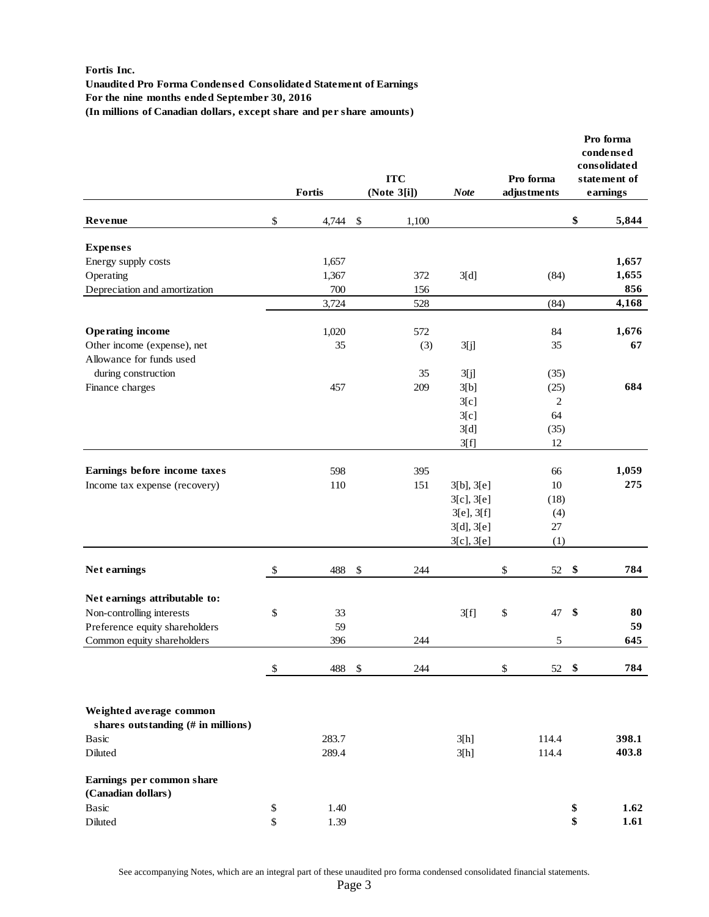# **Fortis Inc.**

**Unaudited Pro Forma Condensed Consolidated Statement of Earnings For the nine months ended September 30, 2016 (In millions of Canadian dollars, except share and per share amounts)**

|                                                               | Fortis      |                           | <b>ITC</b><br>(Note 3[i]) | <b>Note</b>     | Pro forma<br>adjustments |                   | Pro forma<br>condensed<br>consolidated<br>statement of<br>earnings |  |
|---------------------------------------------------------------|-------------|---------------------------|---------------------------|-----------------|--------------------------|-------------------|--------------------------------------------------------------------|--|
| Revenue                                                       | \$<br>4,744 | $\boldsymbol{\mathsf{S}}$ | 1,100                     |                 |                          | \$                | 5,844                                                              |  |
| <b>Expenses</b>                                               |             |                           |                           |                 |                          |                   |                                                                    |  |
| Energy supply costs                                           | 1,657       |                           |                           |                 |                          |                   | 1,657                                                              |  |
| Operating                                                     | 1,367       |                           | 372                       | 3[d]            | (84)                     |                   | 1,655                                                              |  |
| Depreciation and amortization                                 | 700         |                           | 156                       |                 |                          |                   | 856                                                                |  |
|                                                               | 3,724       |                           | 528                       |                 | (84)                     |                   | 4,168                                                              |  |
| <b>Operating income</b>                                       | 1,020       |                           | 572                       |                 | 84                       |                   | 1,676                                                              |  |
| Other income (expense), net                                   | 35          |                           | (3)                       | 3[j]            | 35                       |                   | 67                                                                 |  |
| Allowance for funds used                                      |             |                           |                           |                 |                          |                   |                                                                    |  |
| during construction                                           |             |                           | 35                        | 3[j]            | (35)                     |                   |                                                                    |  |
| Finance charges                                               | 457         |                           | 209                       | 3[b]            | (25)                     |                   | 684                                                                |  |
|                                                               |             |                           |                           | 3[c]            | $\overline{c}$           |                   |                                                                    |  |
|                                                               |             |                           |                           | 3[c]            | 64                       |                   |                                                                    |  |
|                                                               |             |                           |                           | 3[d]            | (35)                     |                   |                                                                    |  |
|                                                               |             |                           |                           | 3[f]            | 12                       |                   |                                                                    |  |
| Earnings before income taxes                                  | 598         |                           | 395                       |                 | 66                       |                   | 1,059                                                              |  |
| Income tax expense (recovery)                                 | 110         |                           | 151                       | 3[b], 3[e]      | 10                       |                   | 275                                                                |  |
|                                                               |             |                           |                           | 3[c], 3[e]      | (18)                     |                   |                                                                    |  |
|                                                               |             |                           |                           | 3[e], 3[f]      | (4)                      |                   |                                                                    |  |
|                                                               |             |                           |                           | 3[d], 3[e]      | 27                       |                   |                                                                    |  |
|                                                               |             |                           |                           | $3[c]$ , $3[e]$ | (1)                      |                   |                                                                    |  |
| Net earnings                                                  | \$<br>488   | $\boldsymbol{\mathsf{S}}$ | 244                       |                 | \$<br>52                 | \$                | 784                                                                |  |
|                                                               |             |                           |                           |                 |                          |                   |                                                                    |  |
| Net earnings attributable to:                                 |             |                           |                           |                 |                          |                   |                                                                    |  |
| Non-controlling interests                                     | \$<br>33    |                           |                           | 3[f]            | \$<br>47                 | $\boldsymbol{\$}$ | 80                                                                 |  |
| Preference equity shareholders                                | 59          |                           |                           |                 |                          |                   | 59                                                                 |  |
| Common equity shareholders                                    | 396         |                           | 244                       |                 | 5                        |                   | 645                                                                |  |
|                                                               | \$<br>488   | \$                        | 244                       |                 | \$<br>52                 | \$                | 784                                                                |  |
| Weighted average common<br>shares outstanding (# in millions) |             |                           |                           |                 |                          |                   |                                                                    |  |
| Basic                                                         | 283.7       |                           |                           | 3[h]            | 114.4                    |                   | 398.1                                                              |  |
| Diluted                                                       | 289.4       |                           |                           | 3[h]            | 114.4                    |                   | 403.8                                                              |  |
| Earnings per common share<br>(Canadian dollars)               |             |                           |                           |                 |                          |                   |                                                                    |  |
| Basic                                                         | \$<br>1.40  |                           |                           |                 |                          | \$                | 1.62                                                               |  |
| Diluted                                                       | \$<br>1.39  |                           |                           |                 |                          | \$                | 1.61                                                               |  |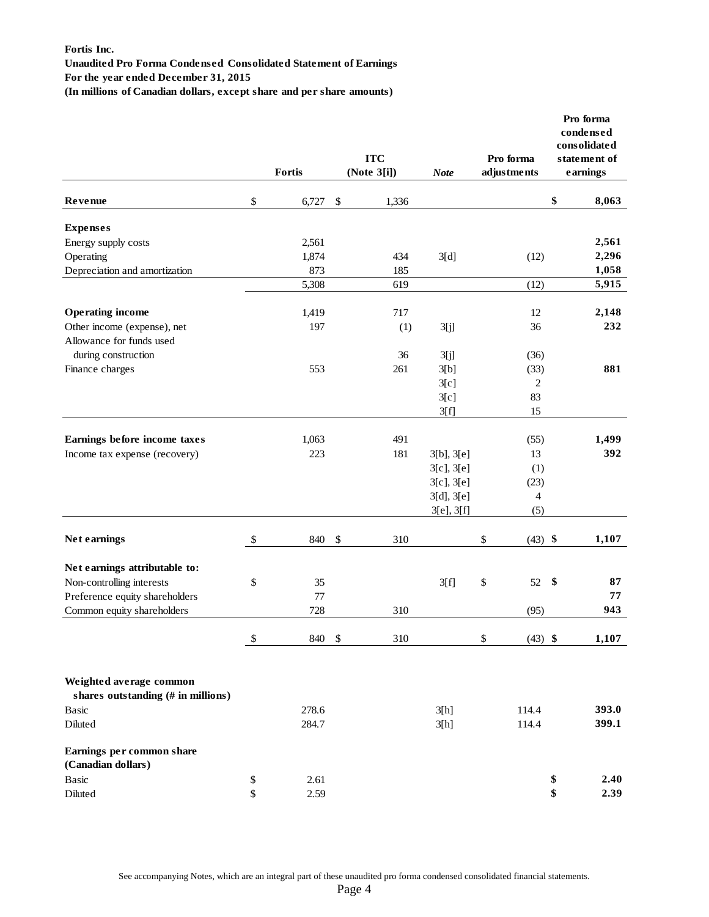# **Fortis Inc. Unaudited Pro Forma Condensed Consolidated Statement of Earnings For the year ended December 31, 2015**

**(In millions of Canadian dollars, except share and per share amounts)**

|                                                 |                   |        |                           | <b>ITC</b>  |                 | Pro forma       | Pro forma<br>condensed<br>consolidated<br>statement of |
|-------------------------------------------------|-------------------|--------|---------------------------|-------------|-----------------|-----------------|--------------------------------------------------------|
|                                                 |                   | Fortis |                           | (Note 3[i]) | <b>Note</b>     | adjustments     | earnings                                               |
| Revenue                                         | \$                | 6,727  | \$                        | 1,336       |                 |                 | \$<br>8,063                                            |
| <b>Expenses</b>                                 |                   |        |                           |             |                 |                 |                                                        |
| Energy supply costs                             |                   | 2,561  |                           |             |                 |                 | 2,561                                                  |
| Operating                                       |                   | 1,874  |                           | 434         | 3[d]            | (12)            | 2,296                                                  |
| Depreciation and amortization                   |                   | 873    |                           | 185         |                 |                 | 1,058                                                  |
|                                                 |                   | 5,308  |                           | 619         |                 | (12)            | 5,915                                                  |
| <b>Operating income</b>                         |                   | 1,419  |                           | 717         |                 | 12              | 2,148                                                  |
| Other income (expense), net                     |                   | 197    |                           | (1)         | 3[j]            | 36              | 232                                                    |
| Allowance for funds used                        |                   |        |                           |             |                 |                 |                                                        |
| during construction                             |                   |        |                           | 36          | 3[j]            | (36)            |                                                        |
| Finance charges                                 |                   | 553    |                           | 261         | 3[b]            | (33)            | 881                                                    |
|                                                 |                   |        |                           |             | 3[c]            | $\mathfrak{2}$  |                                                        |
|                                                 |                   |        |                           |             | 3[c]            | 83              |                                                        |
|                                                 |                   |        |                           |             | 3[f]            | 15              |                                                        |
| Earnings before income taxes                    |                   | 1,063  |                           | 491         |                 | (55)            | 1,499                                                  |
| Income tax expense (recovery)                   |                   | 223    |                           | 181         | 3[b], 3[e]      | 13              | 392                                                    |
|                                                 |                   |        |                           |             | $3[c]$ , $3[e]$ | (1)             |                                                        |
|                                                 |                   |        |                           |             | $3[c]$ , $3[e]$ | (23)            |                                                        |
|                                                 |                   |        |                           |             | 3[d], 3[e]      | $\overline{4}$  |                                                        |
|                                                 |                   |        |                           |             | 3[e], 3[f]      | (5)             |                                                        |
| Net earnings                                    | \$                | 840    | $\boldsymbol{\mathsf{S}}$ | 310         |                 | \$<br>$(43)$ \$ | 1,107                                                  |
| Net earnings attributable to:                   |                   |        |                           |             |                 |                 |                                                        |
| Non-controlling interests                       | \$                | 35     |                           |             | 3[f]            | \$<br>52        | \$<br>87                                               |
| Preference equity shareholders                  |                   | 77     |                           |             |                 |                 | 77                                                     |
| Common equity shareholders                      |                   | 728    |                           | 310         |                 | (95)            | 943                                                    |
|                                                 | $\boldsymbol{\$}$ | 840    | - \$                      | 310         |                 | $(43)$ \$<br>\$ | 1,107                                                  |
| Weighted average common                         |                   |        |                           |             |                 |                 |                                                        |
| shares outstanding (# in millions)              |                   |        |                           |             |                 |                 |                                                        |
| Basic                                           |                   | 278.6  |                           |             | 3[h]            | 114.4           | 393.0                                                  |
| Diluted                                         |                   | 284.7  |                           |             | 3[h]            | 114.4           | 399.1                                                  |
| Earnings per common share<br>(Canadian dollars) |                   |        |                           |             |                 |                 |                                                        |
| Basic                                           | \$                | 2.61   |                           |             |                 |                 | \$<br>2.40                                             |
| Diluted                                         | \$                | 2.59   |                           |             |                 |                 | \$<br>2.39                                             |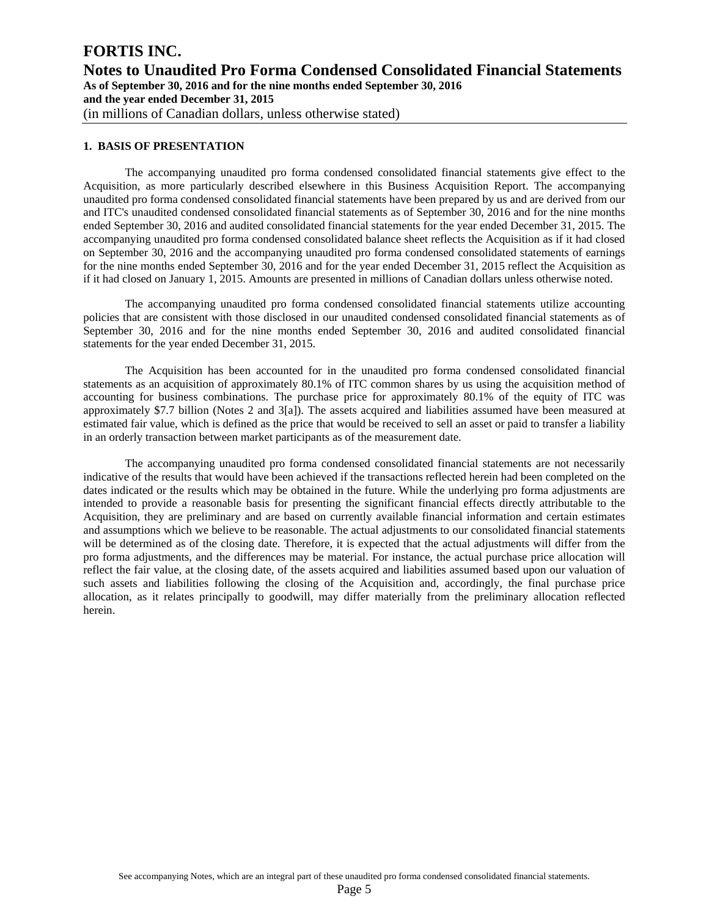# **FORTIS INC. Notes to Unaudited Pro Forma Condensed Consolidated Financial Statements As of September 30, 2016 and for the nine months ended September 30, 2016 and the year ended December 31, 2015**  (in millions of Canadian dollars, unless otherwise stated)

# **1. BASIS OF PRESENTATION**

The accompanying unaudited pro forma condensed consolidated financial statements give effect to the Acquisition, as more particularly described elsewhere in this Business Acquisition Report. The accompanying unaudited pro forma condensed consolidated financial statements have been prepared by us and are derived from our and ITC's unaudited condensed consolidated financial statements as of September 30, 2016 and for the nine months ended September 30, 2016 and audited consolidated financial statements for the year ended December 31, 2015. The accompanying unaudited pro forma condensed consolidated balance sheet reflects the Acquisition as if it had closed on September 30, 2016 and the accompanying unaudited pro forma condensed consolidated statements of earnings for the nine months ended September 30, 2016 and for the year ended December 31, 2015 reflect the Acquisition as if it had closed on January 1, 2015. Amounts are presented in millions of Canadian dollars unless otherwise noted.

The accompanying unaudited pro forma condensed consolidated financial statements utilize accounting policies that are consistent with those disclosed in our unaudited condensed consolidated financial statements as of September 30, 2016 and for the nine months ended September 30, 2016 and audited consolidated financial statements for the year ended December 31, 2015.

The Acquisition has been accounted for in the unaudited pro forma condensed consolidated financial statements as an acquisition of approximately 80.1% of ITC common shares by us using the acquisition method of accounting for business combinations. The purchase price for approximately 80.1% of the equity of ITC was approximately \$7.7 billion (Notes 2 and 3[a]). The assets acquired and liabilities assumed have been measured at estimated fair value, which is defined as the price that would be received to sell an asset or paid to transfer a liability in an orderly transaction between market participants as of the measurement date.

The accompanying unaudited pro forma condensed consolidated financial statements are not necessarily indicative of the results that would have been achieved if the transactions reflected herein had been completed on the dates indicated or the results which may be obtained in the future. While the underlying pro forma adjustments are intended to provide a reasonable basis for presenting the significant financial effects directly attributable to the Acquisition, they are preliminary and are based on currently available financial information and certain estimates and assumptions which we believe to be reasonable. The actual adjustments to our consolidated financial statements will be determined as of the closing date. Therefore, it is expected that the actual adjustments will differ from the pro forma adjustments, and the differences may be material. For instance, the actual purchase price allocation will reflect the fair value, at the closing date, of the assets acquired and liabilities assumed based upon our valuation of such assets and liabilities following the closing of the Acquisition and, accordingly, the final purchase price allocation, as it relates principally to goodwill, may differ materially from the preliminary allocation reflected herein.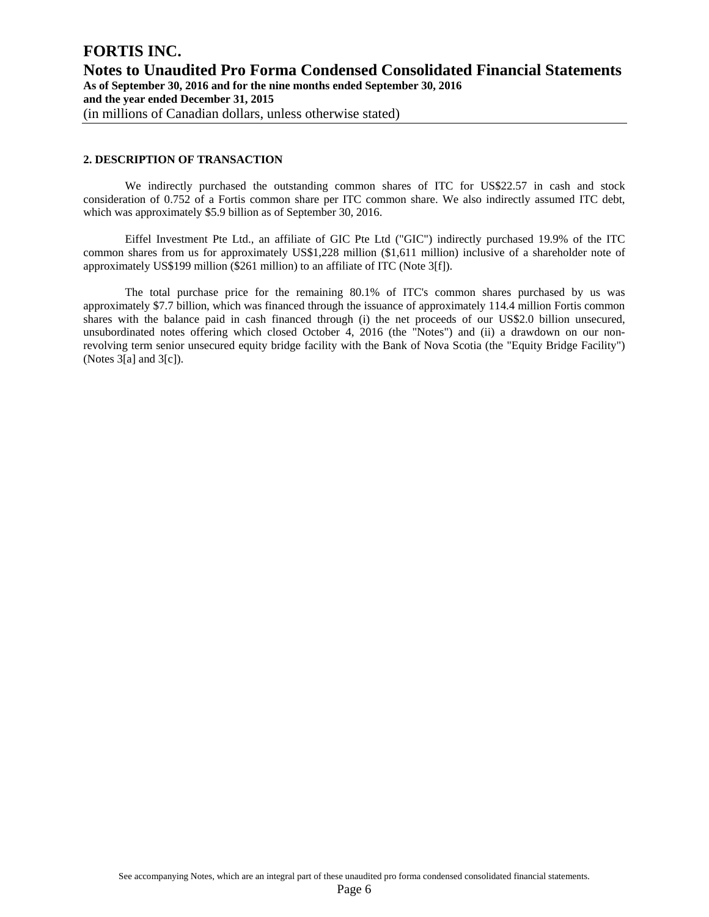# **2. DESCRIPTION OF TRANSACTION**

We indirectly purchased the outstanding common shares of ITC for US\$22.57 in cash and stock consideration of 0.752 of a Fortis common share per ITC common share. We also indirectly assumed ITC debt, which was approximately \$5.9 billion as of September 30, 2016.

Eiffel Investment Pte Ltd., an affiliate of GIC Pte Ltd ("GIC") indirectly purchased 19.9% of the ITC common shares from us for approximately US\$1,228 million (\$1,611 million) inclusive of a shareholder note of approximately US\$199 million (\$261 million) to an affiliate of ITC (Note 3[f]).

The total purchase price for the remaining 80.1% of ITC's common shares purchased by us was approximately \$7.7 billion, which was financed through the issuance of approximately 114.4 million Fortis common shares with the balance paid in cash financed through (i) the net proceeds of our US\$2.0 billion unsecured, unsubordinated notes offering which closed October 4, 2016 (the "Notes") and (ii) a drawdown on our nonrevolving term senior unsecured equity bridge facility with the Bank of Nova Scotia (the "Equity Bridge Facility") (Notes 3[a] and 3[c]).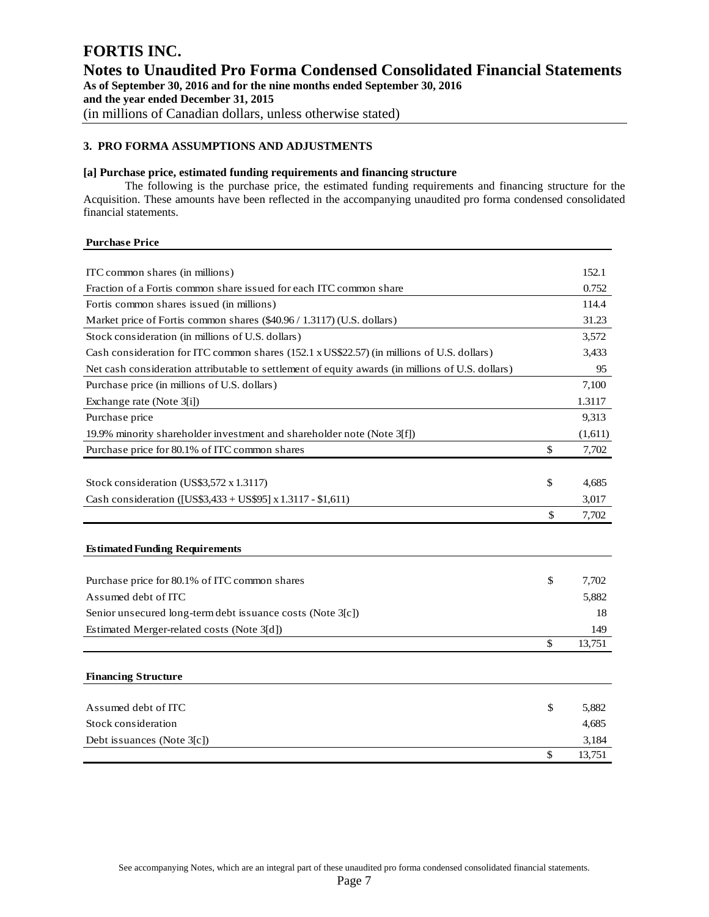# **3. PRO FORMA ASSUMPTIONS AND ADJUSTMENTS**

# **[a] Purchase price, estimated funding requirements and financing structure**

The following is the purchase price, the estimated funding requirements and financing structure for the Acquisition. These amounts have been reflected in the accompanying unaudited pro forma condensed consolidated financial statements.

# **Purchase Price**

| ITC common shares (in millions)                                                                  | 152.1        |
|--------------------------------------------------------------------------------------------------|--------------|
| Fraction of a Fortis common share issued for each ITC common share                               | 0.752        |
| Fortis common shares issued (in millions)                                                        | 114.4        |
| Market price of Fortis common shares (\$40.96 / 1.3117) (U.S. dollars)                           | 31.23        |
| Stock consideration (in millions of U.S. dollars)                                                | 3,572        |
| Cash consideration for ITC common shares (152.1 x US\$22.57) (in millions of U.S. dollars)       | 3,433        |
| Net cash consideration attributable to settlement of equity awards (in millions of U.S. dollars) | 95           |
| Purchase price (in millions of U.S. dollars)                                                     | 7,100        |
| Exchange rate (Note 3[i])                                                                        | 1.3117       |
| Purchase price                                                                                   | 9,313        |
| 19.9% minority shareholder investment and shareholder note (Note 3[f])                           | (1,611)      |
| Purchase price for 80.1% of ITC common shares                                                    | \$<br>7,702  |
|                                                                                                  |              |
| Stock consideration (US\$3,572 x 1.3117)                                                         | \$<br>4,685  |
| Cash consideration ([US\$3,433 + US\$95] x 1.3117 - \$1,611)                                     | 3,017        |
|                                                                                                  | \$<br>7,702  |
|                                                                                                  |              |
| <b>Estimated Funding Requirements</b>                                                            |              |
|                                                                                                  |              |
| Purchase price for 80.1% of ITC common shares                                                    | \$<br>7,702  |
| Assumed debt of ITC                                                                              | 5,882        |
| Senior unsecured long-term debt issuance costs (Note 3[c])                                       | 18           |
| Estimated Merger-related costs (Note 3[d])                                                       | 149          |
|                                                                                                  | \$<br>13,751 |
|                                                                                                  |              |
| <b>Financing Structure</b>                                                                       |              |
| Assumed debt of ITC                                                                              | \$<br>5,882  |
| Stock consideration                                                                              | 4,685        |
| Debt issuances (Note 3[c])                                                                       | 3,184        |
|                                                                                                  | \$<br>13,751 |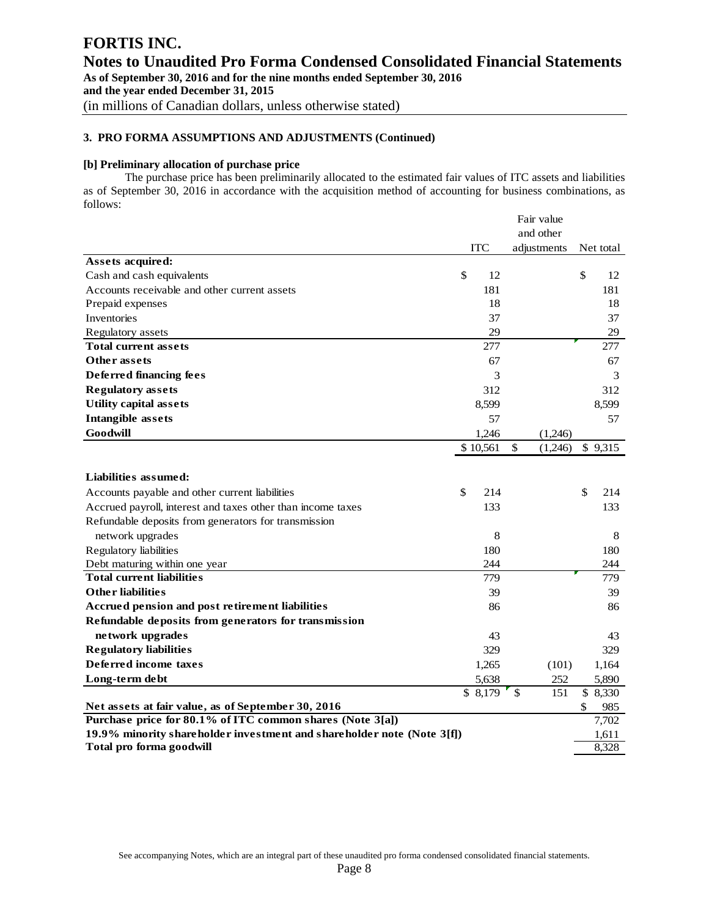### **[b] Preliminary allocation of purchase price**

The purchase price has been preliminarily allocated to the estimated fair values of ITC assets and liabilities as of September 30, 2016 in accordance with the acquisition method of accounting for business combinations, as follows: Fair value

|                                                                        |    | Fair value |              |             |               |           |
|------------------------------------------------------------------------|----|------------|--------------|-------------|---------------|-----------|
|                                                                        |    |            |              | and other   |               |           |
|                                                                        |    | <b>ITC</b> |              | adjustments |               | Net total |
| Assets acquired:                                                       |    |            |              |             |               |           |
| Cash and cash equivalents                                              | \$ | 12         |              |             | \$            | 12        |
| Accounts receivable and other current assets                           |    | 181        |              |             |               | 181       |
| Prepaid expenses                                                       |    | 18         |              |             |               | 18        |
| <b>Inventories</b>                                                     |    | 37         |              |             |               | 37        |
| Regulatory assets                                                      |    | 29         |              |             |               | 29        |
| <b>Total current assets</b>                                            |    | 277        |              |             |               | 277       |
| Other assets                                                           |    | 67         |              |             |               | 67        |
| Deferred financing fees                                                |    | 3          |              |             |               | 3         |
| <b>Regulatory</b> assets                                               |    | 312        |              |             |               | 312       |
| <b>Utility capital assets</b>                                          |    | 8,599      |              |             |               | 8,599     |
| <b>Intangible</b> assets                                               |    | 57         |              |             |               | 57        |
| Goodwill                                                               |    | 1,246      |              | (1,246)     |               |           |
|                                                                        |    | \$10,561   | \$           | (1,246)     |               | \$9,315   |
|                                                                        |    |            |              |             |               |           |
| Liabilities assumed:                                                   |    |            |              |             |               |           |
| Accounts payable and other current liabilities                         | \$ | 214        |              |             | $\mathcal{S}$ | 214       |
| Accrued payroll, interest and taxes other than income taxes            |    | 133        |              |             |               | 133       |
| Refundable deposits from generators for transmission                   |    |            |              |             |               |           |
| network upgrades                                                       |    | 8          |              |             |               | 8         |
| Regulatory liabilities                                                 |    | 180        |              |             |               | 180       |
| Debt maturing within one year                                          |    | 244        |              |             |               | 244       |
| <b>Total current liabilities</b>                                       |    | 779        |              |             |               | 779       |
| <b>Other liabilities</b>                                               |    | 39         |              |             |               | 39        |
| Accrued pension and post retirement liabilities                        |    | 86         |              |             |               | 86        |
| Refundable deposits from generators for transmission                   |    |            |              |             |               |           |
| network upgrades                                                       |    | 43         |              |             |               | 43        |
| <b>Regulatory liabilities</b>                                          |    | 329        |              |             |               | 329       |
| Deferred income taxes                                                  |    | 1,265      |              | (101)       |               | 1,164     |
| Long-term debt                                                         |    | 5,638      |              | 252         |               | 5,890     |
|                                                                        |    | \$8,179    | $\mathbb{S}$ | 151         |               | \$8,330   |
| Net assets at fair value, as of September 30, 2016                     |    |            |              |             | \$            | 985       |
| Purchase price for 80.1% of ITC common shares (Note 3[a])              |    |            |              |             |               | 7,702     |
| 19.9% minority shareholder investment and shareholder note (Note 3[f]) |    |            |              |             |               | 1,611     |
| Total pro forma goodwill                                               |    |            |              |             |               | 8,328     |

See accompanying Notes, which are an integral part of these unaudited pro forma condensed consolidated financial statements.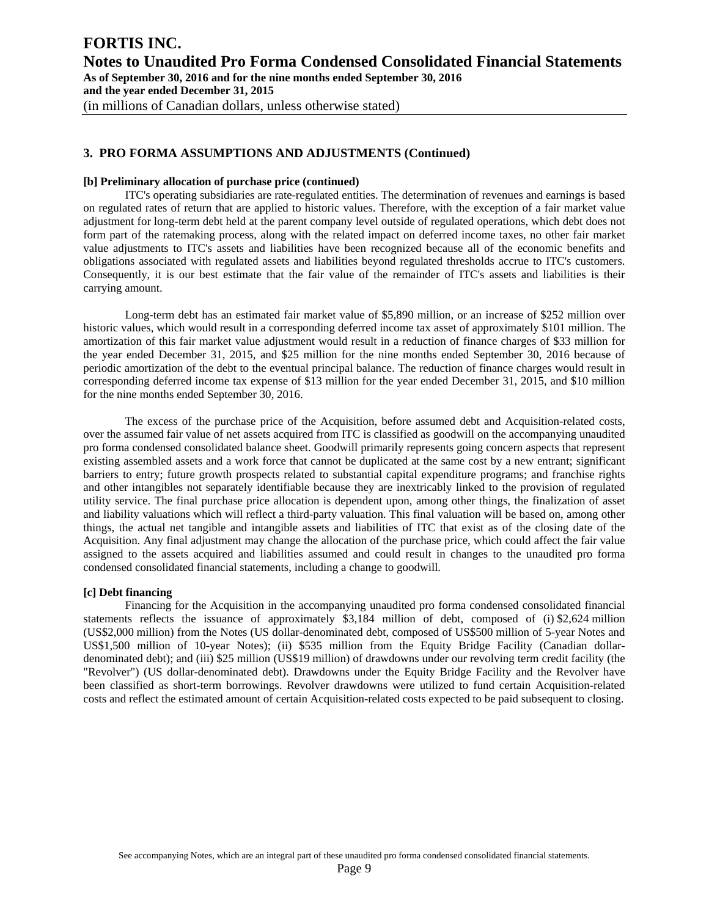#### **[b] Preliminary allocation of purchase price (continued)**

ITC's operating subsidiaries are rate-regulated entities. The determination of revenues and earnings is based on regulated rates of return that are applied to historic values. Therefore, with the exception of a fair market value adjustment for long-term debt held at the parent company level outside of regulated operations, which debt does not form part of the ratemaking process, along with the related impact on deferred income taxes, no other fair market value adjustments to ITC's assets and liabilities have been recognized because all of the economic benefits and obligations associated with regulated assets and liabilities beyond regulated thresholds accrue to ITC's customers. Consequently, it is our best estimate that the fair value of the remainder of ITC's assets and liabilities is their carrying amount.

Long-term debt has an estimated fair market value of \$5,890 million, or an increase of \$252 million over historic values, which would result in a corresponding deferred income tax asset of approximately \$101 million. The amortization of this fair market value adjustment would result in a reduction of finance charges of \$33 million for the year ended December 31, 2015, and \$25 million for the nine months ended September 30, 2016 because of periodic amortization of the debt to the eventual principal balance. The reduction of finance charges would result in corresponding deferred income tax expense of \$13 million for the year ended December 31, 2015, and \$10 million for the nine months ended September 30, 2016.

The excess of the purchase price of the Acquisition, before assumed debt and Acquisition-related costs, over the assumed fair value of net assets acquired from ITC is classified as goodwill on the accompanying unaudited pro forma condensed consolidated balance sheet. Goodwill primarily represents going concern aspects that represent existing assembled assets and a work force that cannot be duplicated at the same cost by a new entrant; significant barriers to entry; future growth prospects related to substantial capital expenditure programs; and franchise rights and other intangibles not separately identifiable because they are inextricably linked to the provision of regulated utility service. The final purchase price allocation is dependent upon, among other things, the finalization of asset and liability valuations which will reflect a third-party valuation. This final valuation will be based on, among other things, the actual net tangible and intangible assets and liabilities of ITC that exist as of the closing date of the Acquisition. Any final adjustment may change the allocation of the purchase price, which could affect the fair value assigned to the assets acquired and liabilities assumed and could result in changes to the unaudited pro forma condensed consolidated financial statements, including a change to goodwill.

# **[c] Debt financing**

Financing for the Acquisition in the accompanying unaudited pro forma condensed consolidated financial statements reflects the issuance of approximately \$3,184 million of debt, composed of (i) \$2,624 million (US\$2,000 million) from the Notes (US dollar-denominated debt, composed of US\$500 million of 5-year Notes and US\$1,500 million of 10-year Notes); (ii) \$535 million from the Equity Bridge Facility (Canadian dollardenominated debt); and (iii) \$25 million (US\$19 million) of drawdowns under our revolving term credit facility (the "Revolver") (US dollar-denominated debt). Drawdowns under the Equity Bridge Facility and the Revolver have been classified as short-term borrowings. Revolver drawdowns were utilized to fund certain Acquisition-related costs and reflect the estimated amount of certain Acquisition-related costs expected to be paid subsequent to closing.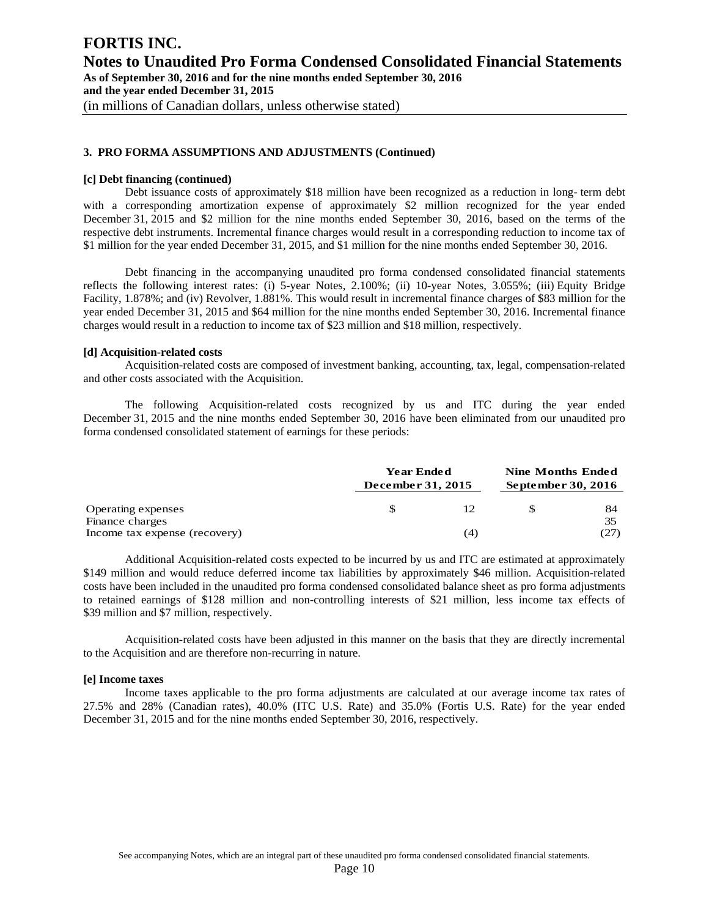### **[c] Debt financing (continued)**

Debt issuance costs of approximately \$18 million have been recognized as a reduction in long- term debt with a corresponding amortization expense of approximately \$2 million recognized for the year ended December 31, 2015 and \$2 million for the nine months ended September 30, 2016, based on the terms of the respective debt instruments. Incremental finance charges would result in a corresponding reduction to income tax of \$1 million for the year ended December 31, 2015, and \$1 million for the nine months ended September 30, 2016.

Debt financing in the accompanying unaudited pro forma condensed consolidated financial statements reflects the following interest rates: (i) 5-year Notes, 2.100%; (ii) 10-year Notes, 3.055%; (iii) Equity Bridge Facility, 1.878%; and (iv) Revolver, 1.881%. This would result in incremental finance charges of \$83 million for the year ended December 31, 2015 and \$64 million for the nine months ended September 30, 2016. Incremental finance charges would result in a reduction to income tax of \$23 million and \$18 million, respectively.

#### **[d] Acquisition-related costs**

Acquisition-related costs are composed of investment banking, accounting, tax, legal, compensation-related and other costs associated with the Acquisition.

 The following Acquisition-related costs recognized by us and ITC during the year ended December 31, 2015 and the nine months ended September 30, 2016 have been eliminated from our unaudited pro forma condensed consolidated statement of earnings for these periods:

|                                       | <b>Year Ended</b><br>December 31, 2015 |  | <b>Nine Months Ended</b><br>September 30, 2016 |  |  |
|---------------------------------------|----------------------------------------|--|------------------------------------------------|--|--|
| Operating expenses<br>Finance charges | 12                                     |  | 84<br>35                                       |  |  |
| Income tax expense (recovery)         | (4)                                    |  | (27)                                           |  |  |

Additional Acquisition-related costs expected to be incurred by us and ITC are estimated at approximately \$149 million and would reduce deferred income tax liabilities by approximately \$46 million. Acquisition-related costs have been included in the unaudited pro forma condensed consolidated balance sheet as pro forma adjustments to retained earnings of \$128 million and non-controlling interests of \$21 million, less income tax effects of \$39 million and \$7 million, respectively.

Acquisition-related costs have been adjusted in this manner on the basis that they are directly incremental to the Acquisition and are therefore non-recurring in nature.

#### **[e] Income taxes**

Income taxes applicable to the pro forma adjustments are calculated at our average income tax rates of 27.5% and 28% (Canadian rates), 40.0% (ITC U.S. Rate) and 35.0% (Fortis U.S. Rate) for the year ended December 31, 2015 and for the nine months ended September 30, 2016, respectively.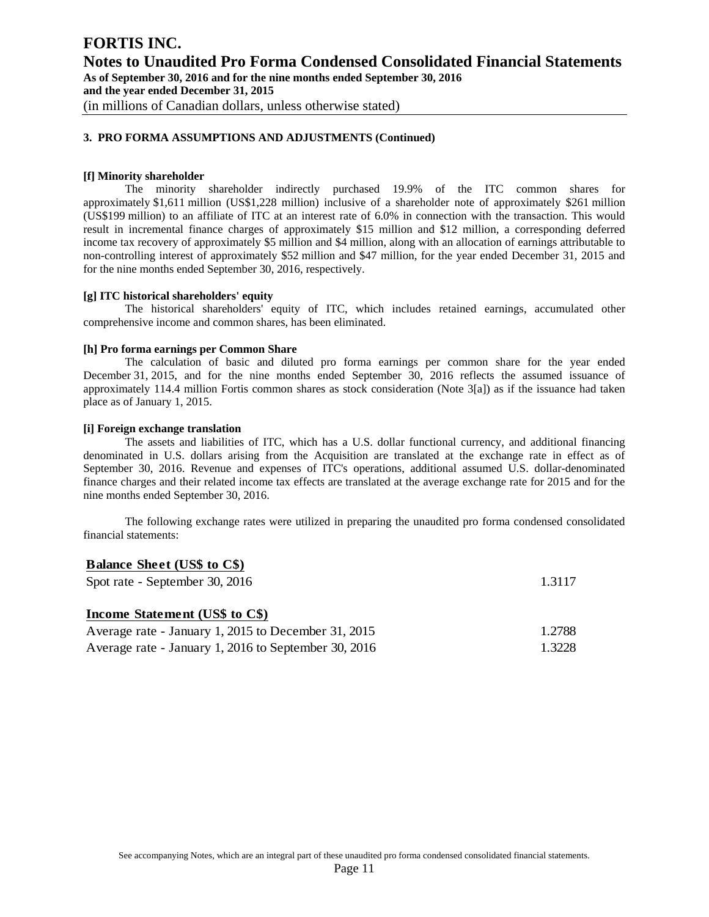# **[f] Minority shareholder**

The minority shareholder indirectly purchased 19.9% of the ITC common shares for approximately \$1,611 million (US\$1,228 million) inclusive of a shareholder note of approximately \$261 million (US\$199 million) to an affiliate of ITC at an interest rate of 6.0% in connection with the transaction. This would result in incremental finance charges of approximately \$15 million and \$12 million, a corresponding deferred income tax recovery of approximately \$5 million and \$4 million, along with an allocation of earnings attributable to non-controlling interest of approximately \$52 million and \$47 million, for the year ended December 31, 2015 and for the nine months ended September 30, 2016, respectively.

# **[g] ITC historical shareholders' equity**

The historical shareholders' equity of ITC, which includes retained earnings, accumulated other comprehensive income and common shares, has been eliminated.

### **[h] Pro forma earnings per Common Share**

The calculation of basic and diluted pro forma earnings per common share for the year ended December 31, 2015, and for the nine months ended September 30, 2016 reflects the assumed issuance of approximately 114.4 million Fortis common shares as stock consideration (Note 3[a]) as if the issuance had taken place as of January 1, 2015.

# **[i] Foreign exchange translation**

The assets and liabilities of ITC, which has a U.S. dollar functional currency, and additional financing denominated in U.S. dollars arising from the Acquisition are translated at the exchange rate in effect as of September 30, 2016. Revenue and expenses of ITC's operations, additional assumed U.S. dollar-denominated finance charges and their related income tax effects are translated at the average exchange rate for 2015 and for the nine months ended September 30, 2016.

The following exchange rates were utilized in preparing the unaudited pro forma condensed consolidated financial statements:

# **Balance Sheet (US\$ to C\$)** Spot rate - September 30, 2016 1.3117 **Income Statement (US\$ to C\$)** Average rate - January 1, 2015 to December 31, 2015 1.2788 Average rate - January 1, 2016 to September 30, 2016 1.3228